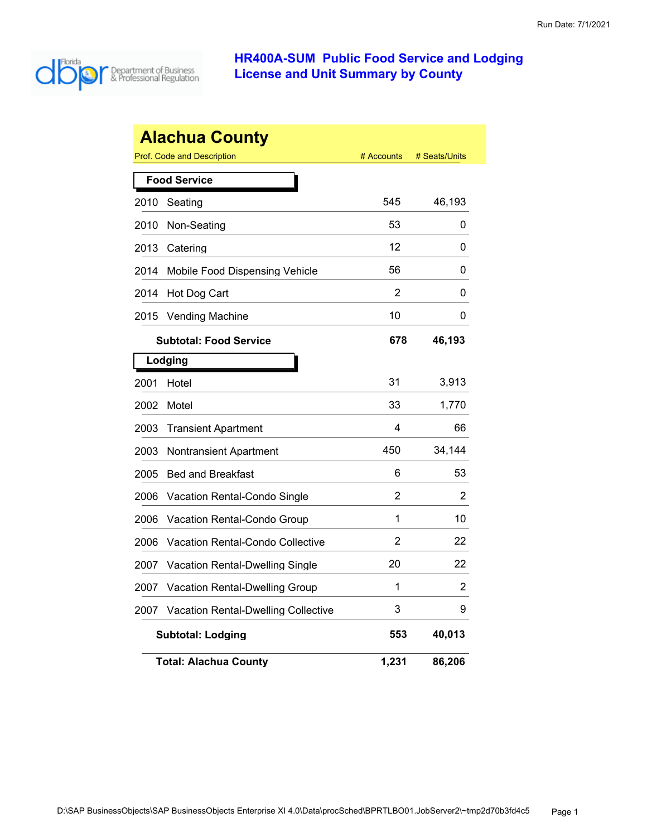

|      | <b>Alachua County</b>                      |            |               |
|------|--------------------------------------------|------------|---------------|
|      | Prof. Code and Description                 | # Accounts | # Seats/Units |
|      | <b>Food Service</b>                        |            |               |
| 2010 | Seating                                    | 545        | 46,193        |
| 2010 | Non-Seating                                | 53         | 0             |
| 2013 | Catering                                   | 12         | 0             |
| 2014 | Mobile Food Dispensing Vehicle             | 56         | 0             |
| 2014 | Hot Dog Cart                               | 2          | 0             |
| 2015 | <b>Vending Machine</b>                     | 10         | 0             |
|      | <b>Subtotal: Food Service</b>              | 678        | 46,193        |
|      | Lodging                                    |            |               |
| 2001 | Hotel                                      | 31         | 3,913         |
| 2002 | Motel                                      | 33         | 1,770         |
| 2003 | <b>Transient Apartment</b>                 | 4          | 66            |
| 2003 | Nontransient Apartment                     | 450        | 34,144        |
| 2005 | <b>Bed and Breakfast</b>                   | 6          | 53            |
| 2006 | Vacation Rental-Condo Single               | 2          | 2             |
| 2006 | Vacation Rental-Condo Group                | 1          | 10            |
| 2006 | <b>Vacation Rental-Condo Collective</b>    | 2          | 22            |
| 2007 | <b>Vacation Rental-Dwelling Single</b>     | 20         | 22            |
| 2007 | <b>Vacation Rental-Dwelling Group</b>      | 1          | 2             |
| 2007 | <b>Vacation Rental-Dwelling Collective</b> | 3          | 9             |
|      | <b>Subtotal: Lodging</b>                   | 553        | 40,013        |
|      | <b>Total: Alachua County</b>               | 1,231      | 86,206        |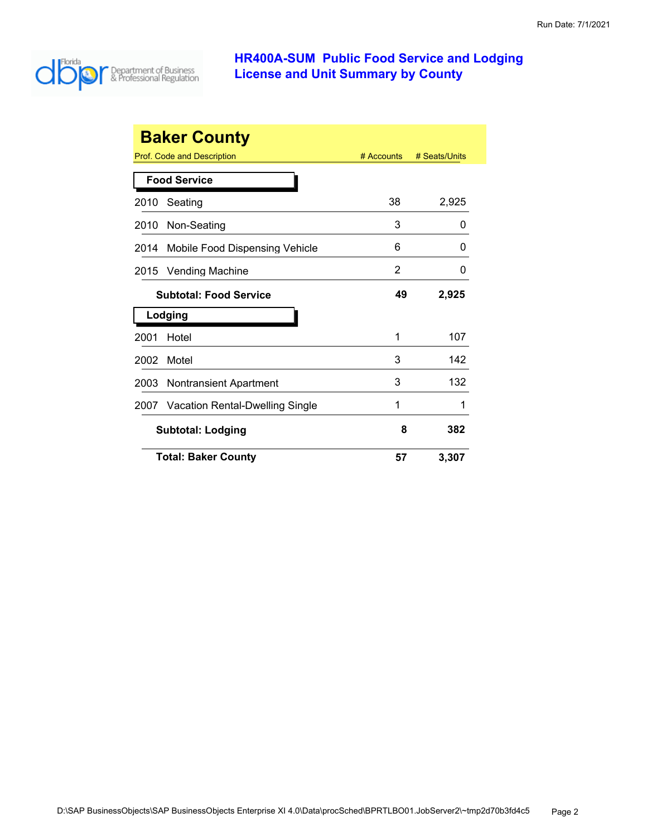

|      | <b>Baker County</b>             |              |               |
|------|---------------------------------|--------------|---------------|
|      | Prof. Code and Description      | $#$ Accounts | # Seats/Units |
|      | <b>Food Service</b>             |              |               |
| 2010 | Seating                         | 38           | 2,925         |
| 2010 | Non-Seating                     | 3            | 0             |
| 2014 | Mobile Food Dispensing Vehicle  | 6            | 0             |
| 2015 | <b>Vending Machine</b>          | 2            | 0             |
|      | <b>Subtotal: Food Service</b>   | 49           | 2,925         |
|      | Lodging                         |              |               |
| 2001 | Hotel                           | 1            | 107           |
| 2002 | Motel                           | 3            | 142           |
| 2003 | <b>Nontransient Apartment</b>   | 3            | 132           |
| 2007 | Vacation Rental-Dwelling Single | 1            | 1             |
|      | <b>Subtotal: Lodging</b>        | 8            | 382           |
|      | <b>Total: Baker County</b>      | 57           | 3,307         |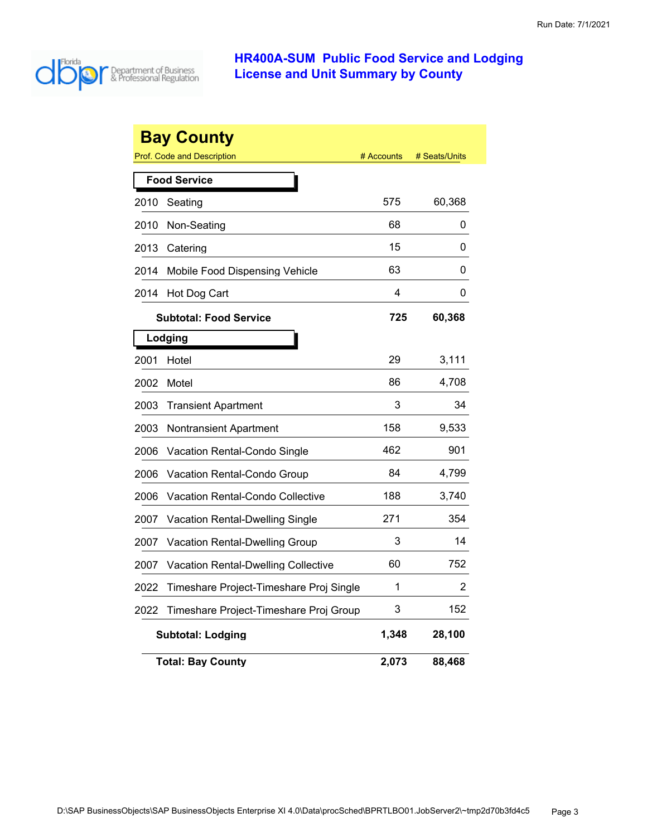

|      | <b>Bay County</b>                       |            |               |
|------|-----------------------------------------|------------|---------------|
|      | <b>Prof. Code and Description</b>       | # Accounts | # Seats/Units |
|      | <b>Food Service</b>                     |            |               |
| 2010 | Seating                                 | 575        | 60,368        |
| 2010 | Non-Seating                             | 68         | 0             |
| 2013 | Catering                                | 15         | 0             |
| 2014 | Mobile Food Dispensing Vehicle          | 63         | 0             |
| 2014 | Hot Dog Cart                            | 4          | 0             |
|      | <b>Subtotal: Food Service</b>           | 725        | 60,368        |
|      | Lodging                                 |            |               |
| 2001 | Hotel                                   | 29         | 3,111         |
| 2002 | Motel                                   | 86         | 4,708         |
| 2003 | <b>Transient Apartment</b>              | 3          | 34            |
| 2003 | Nontransient Apartment                  | 158        | 9,533         |
| 2006 | Vacation Rental-Condo Single            | 462        | 901           |
| 2006 | Vacation Rental-Condo Group             | 84         | 4,799         |
| 2006 | Vacation Rental-Condo Collective        | 188        | 3,740         |
| 2007 | Vacation Rental-Dwelling Single         | 271        | 354           |
| 2007 | Vacation Rental-Dwelling Group          | 3          | 14            |
| 2007 | Vacation Rental-Dwelling Collective     | 60         | 752           |
| 2022 | Timeshare Project-Timeshare Proj Single | 1          | 2             |
| 2022 | Timeshare Project-Timeshare Proj Group  | 3          | 152           |
|      | <b>Subtotal: Lodging</b>                | 1,348      | 28,100        |
|      | <b>Total: Bay County</b>                | 2,073      | 88,468        |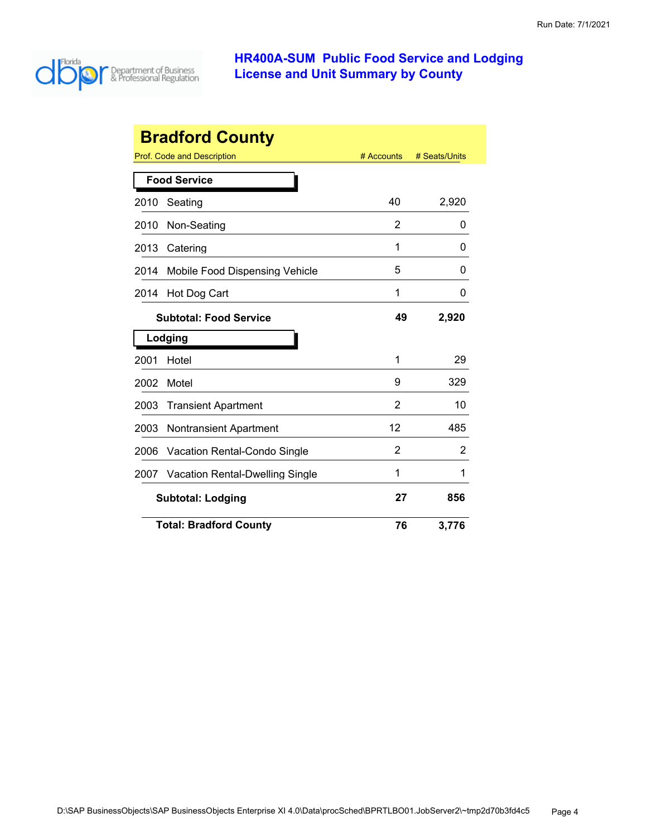

| <b>Bradford County</b> |                                        |            |               |
|------------------------|----------------------------------------|------------|---------------|
|                        | Prof. Code and Description             | # Accounts | # Seats/Units |
|                        | <b>Food Service</b>                    |            |               |
| 2010                   | Seating                                | 40         | 2,920         |
| 2010                   | Non-Seating                            | 2          | 0             |
| 2013                   | Catering                               | 1          | 0             |
| 2014                   | Mobile Food Dispensing Vehicle         | 5          | O             |
| 2014                   | Hot Dog Cart                           | 1          | 0             |
|                        | <b>Subtotal: Food Service</b>          | 49         | 2,920         |
|                        | Lodging                                |            |               |
| 2001                   | Hotel                                  | 1          | 29            |
| 2002                   | Motel                                  | 9          | 329           |
| 2003                   | <b>Transient Apartment</b>             | 2          | 10            |
| 2003                   | <b>Nontransient Apartment</b>          | 12         | 485           |
| 2006                   | Vacation Rental-Condo Single           | 2          | 2             |
| 2007                   | <b>Vacation Rental-Dwelling Single</b> | 1          | 1             |
|                        | <b>Subtotal: Lodging</b>               | 27         | 856           |
|                        | <b>Total: Bradford County</b>          | 76         | 3,776         |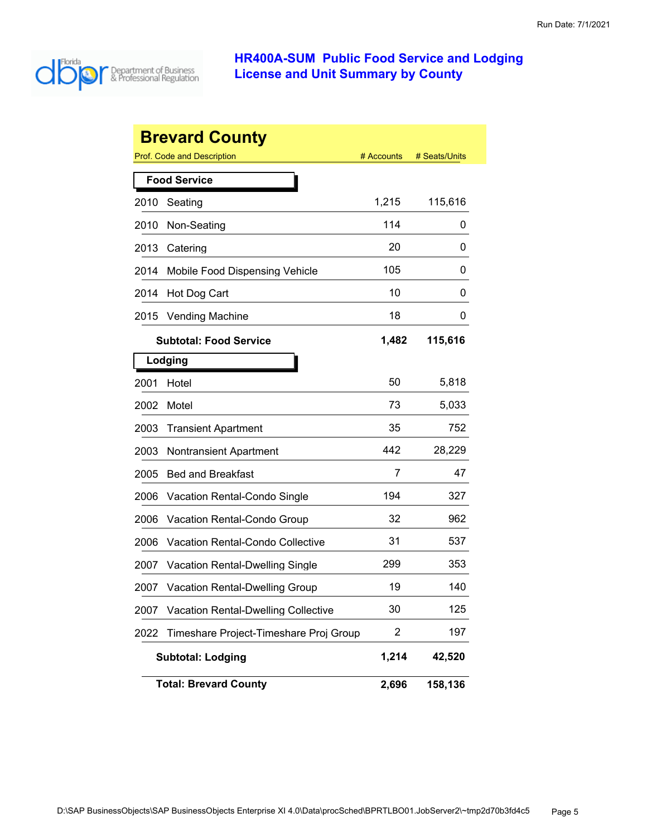

|      | <b>Brevard County</b>                      |            |               |
|------|--------------------------------------------|------------|---------------|
|      | <b>Prof. Code and Description</b>          | # Accounts | # Seats/Units |
|      | <b>Food Service</b>                        |            |               |
| 2010 | Seating                                    | 1,215      | 115,616       |
| 2010 | Non-Seating                                | 114        | 0             |
| 2013 | Catering                                   | 20         | 0             |
| 2014 | Mobile Food Dispensing Vehicle             | 105        | 0             |
| 2014 | Hot Dog Cart                               | 10         | 0             |
| 2015 | <b>Vending Machine</b>                     | 18         | 0             |
|      | <b>Subtotal: Food Service</b>              | 1,482      | 115,616       |
|      | Lodging                                    |            |               |
| 2001 | Hotel                                      | 50         | 5,818         |
| 2002 | Motel                                      | 73         | 5,033         |
| 2003 | <b>Transient Apartment</b>                 | 35         | 752           |
| 2003 | <b>Nontransient Apartment</b>              | 442        | 28,229        |
| 2005 | <b>Bed and Breakfast</b>                   | 7          | 47            |
| 2006 | Vacation Rental-Condo Single               | 194        | 327           |
| 2006 | Vacation Rental-Condo Group                | 32         | 962           |
| 2006 | <b>Vacation Rental-Condo Collective</b>    | 31         | 537           |
| 2007 | Vacation Rental-Dwelling Single            | 299        | 353           |
| 2007 | <b>Vacation Rental-Dwelling Group</b>      | 19         | 140           |
| 2007 | <b>Vacation Rental-Dwelling Collective</b> | 30         | 125           |
| 2022 | Timeshare Project-Timeshare Proj Group     | 2          | 197           |
|      | <b>Subtotal: Lodging</b>                   | 1,214      | 42,520        |
|      | <b>Total: Brevard County</b>               | 2,696      | 158,136       |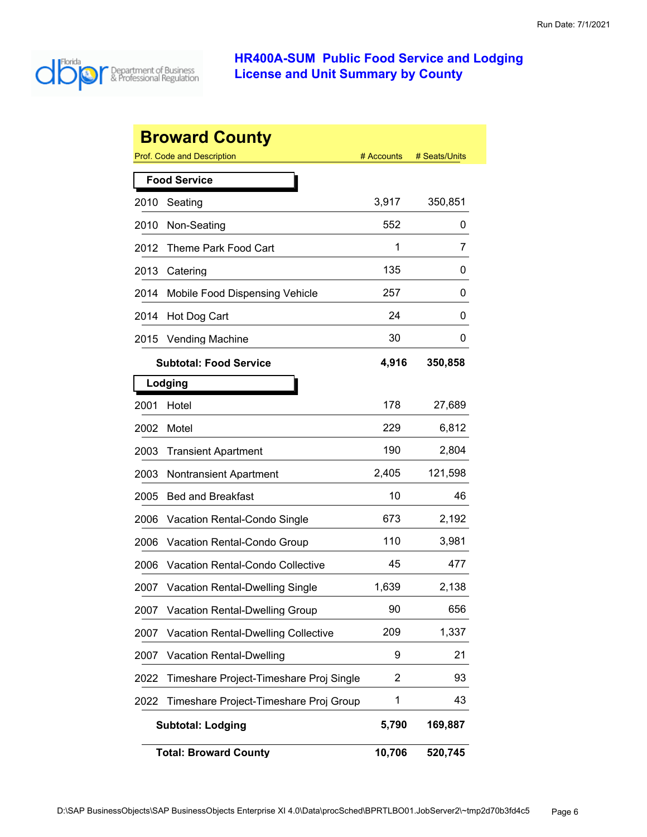

| <b>Broward County</b> |                                              |            |               |  |
|-----------------------|----------------------------------------------|------------|---------------|--|
|                       | <b>Prof. Code and Description</b>            | # Accounts | # Seats/Units |  |
|                       | <b>Food Service</b>                          |            |               |  |
| 2010                  | Seating                                      | 3,917      | 350,851       |  |
| 2010                  | Non-Seating                                  | 552        | 0             |  |
| 2012                  | Theme Park Food Cart                         | 1          | 7             |  |
| 2013                  | Catering                                     | 135        | 0             |  |
| 2014                  | Mobile Food Dispensing Vehicle               | 257        | 0             |  |
| 2014                  | Hot Dog Cart                                 | 24         | 0             |  |
| 2015                  | <b>Vending Machine</b>                       | 30         | 0             |  |
|                       | <b>Subtotal: Food Service</b>                | 4,916      | 350,858       |  |
|                       | Lodging                                      |            |               |  |
| 2001                  | Hotel                                        | 178        | 27,689        |  |
| 2002                  | Motel                                        | 229        | 6,812         |  |
| 2003                  | <b>Transient Apartment</b>                   | 190        | 2,804         |  |
| 2003                  | <b>Nontransient Apartment</b>                | 2,405      | 121,598       |  |
| 2005                  | <b>Bed and Breakfast</b>                     | 10         | 46            |  |
| 2006                  | Vacation Rental-Condo Single                 | 673        | 2,192         |  |
| 2006                  | Vacation Rental-Condo Group                  | 110        | 3,981         |  |
| 2006                  | <b>Vacation Rental-Condo Collective</b>      | 45         | 477           |  |
| 2007                  | <b>Vacation Rental-Dwelling Single</b>       | 1,639      | 2,138         |  |
| 2007                  | <b>Vacation Rental-Dwelling Group</b>        | 90         | 656           |  |
| 2007                  | <b>Vacation Rental-Dwelling Collective</b>   | 209        | 1,337         |  |
| 2007                  | <b>Vacation Rental-Dwelling</b>              | 9          | 21            |  |
| 2022                  | Timeshare Project-Timeshare Proj Single      | 2          | 93            |  |
| 2022                  | Timeshare Project-Timeshare Proj Group       | 1          | 43            |  |
|                       | <b>Subtotal: Lodging</b><br>5,790<br>169,887 |            |               |  |
|                       | <b>Total: Broward County</b>                 | 10,706     | 520,745       |  |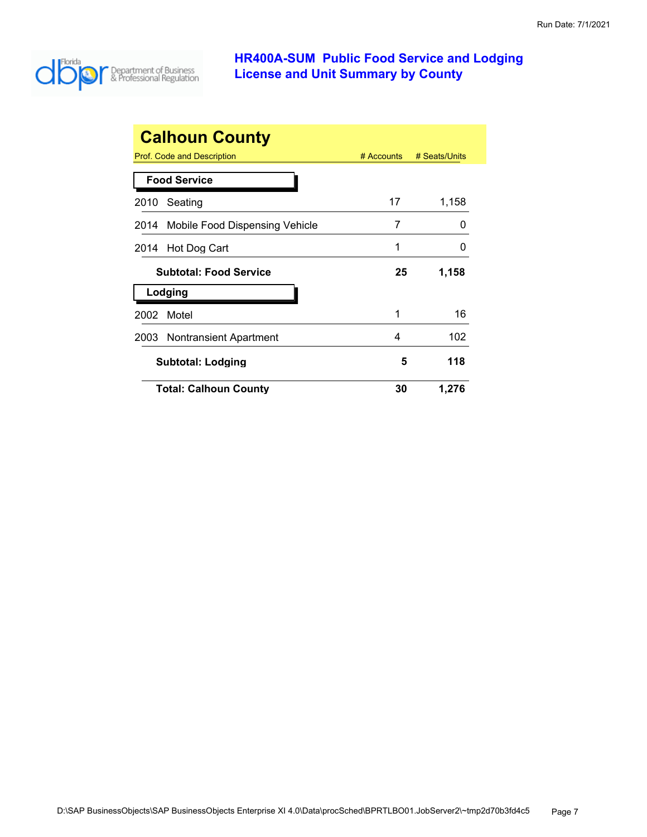

| <b>Calhoun County</b>                  |              |               |  |
|----------------------------------------|--------------|---------------|--|
| Prof. Code and Description             | $#$ Accounts | # Seats/Units |  |
| <b>Food Service</b>                    |              |               |  |
| 2010<br>Seating                        | 17           | 1,158         |  |
| Mobile Food Dispensing Vehicle<br>2014 | 7            | $\mathbf{0}$  |  |
| Hot Dog Cart<br>2014                   | 1            | 0             |  |
| <b>Subtotal: Food Service</b>          | 25           | 1,158         |  |
| Lodging                                |              |               |  |
| Motel<br>2002                          | 1            | 16            |  |
|                                        |              |               |  |
| <b>Nontransient Apartment</b><br>2003  | 4            | 102           |  |
| <b>Subtotal: Lodging</b>               | 5            | 118           |  |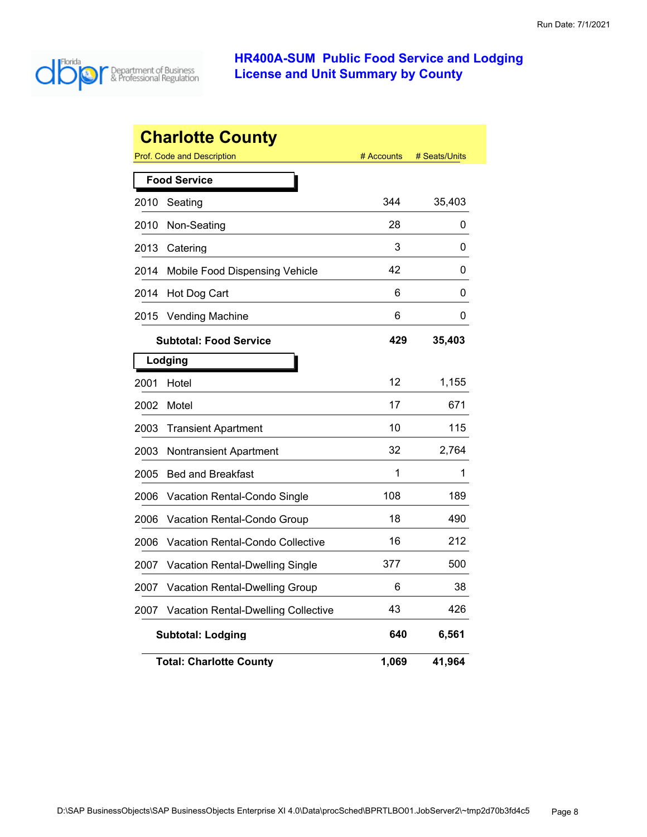

|      | <b>Charlotte County</b>                    |            |               |
|------|--------------------------------------------|------------|---------------|
|      | <b>Prof. Code and Description</b>          | # Accounts | # Seats/Units |
|      | <b>Food Service</b>                        |            |               |
| 2010 | Seating                                    | 344        | 35,403        |
| 2010 | Non-Seating                                | 28         | 0             |
| 2013 | Catering                                   | 3          | 0             |
| 2014 | Mobile Food Dispensing Vehicle             | 42         | 0             |
| 2014 | Hot Dog Cart                               | 6          | 0             |
| 2015 | <b>Vending Machine</b>                     | 6          | 0             |
|      | <b>Subtotal: Food Service</b>              | 429        | 35,403        |
|      | Lodging                                    |            |               |
| 2001 | Hotel                                      | 12         | 1,155         |
| 2002 | Motel                                      | 17         | 671           |
| 2003 | <b>Transient Apartment</b>                 | 10         | 115           |
| 2003 | Nontransient Apartment                     | 32         | 2.764         |
| 2005 | <b>Bed and Breakfast</b>                   | 1          | 1             |
| 2006 | <b>Vacation Rental-Condo Single</b>        | 108        | 189           |
| 2006 | Vacation Rental-Condo Group                | 18         | 490           |
| 2006 | Vacation Rental-Condo Collective           | 16         | 212           |
| 2007 | Vacation Rental-Dwelling Single            | 377        | 500           |
| 2007 | <b>Vacation Rental-Dwelling Group</b>      | 6          | 38            |
| 2007 | <b>Vacation Rental-Dwelling Collective</b> | 43         | 426           |
|      | <b>Subtotal: Lodging</b>                   | 640        | 6,561         |
|      | <b>Total: Charlotte County</b>             | 1,069      | 41,964        |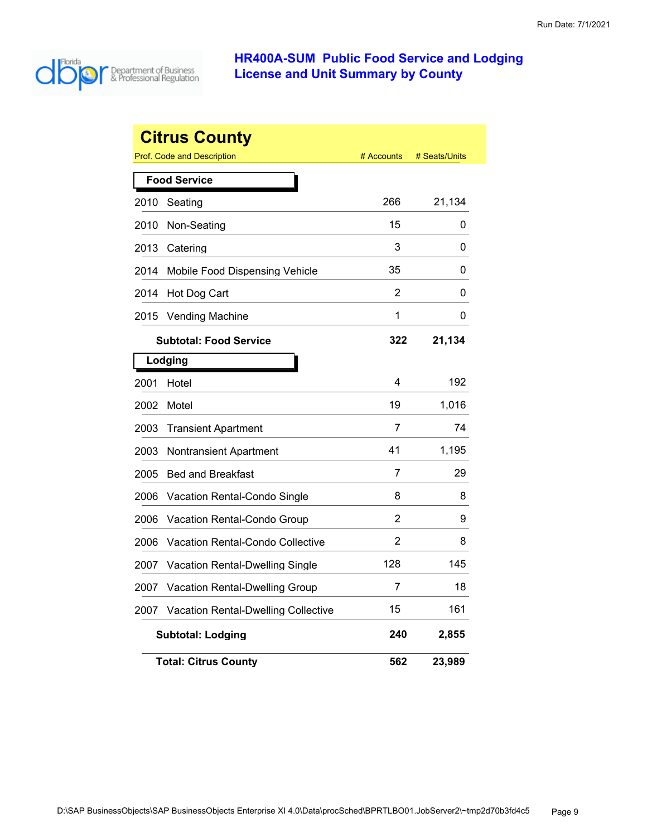

|      | <b>Citrus County</b>                       |            |               |
|------|--------------------------------------------|------------|---------------|
|      | <b>Prof. Code and Description</b>          | # Accounts | # Seats/Units |
|      | <b>Food Service</b>                        |            |               |
| 2010 | Seating                                    | 266        | 21,134        |
| 2010 | Non-Seating                                | 15         | 0             |
| 2013 | Catering                                   | 3          | 0             |
| 2014 | Mobile Food Dispensing Vehicle             | 35         | 0             |
| 2014 | Hot Dog Cart                               | 2          | 0             |
| 2015 | <b>Vending Machine</b>                     | 1          | 0             |
|      | <b>Subtotal: Food Service</b>              | 322        | 21,134        |
|      | Lodging                                    |            |               |
| 2001 | Hotel                                      | 4          | 192           |
| 2002 | Motel                                      | 19         | 1,016         |
| 2003 | <b>Transient Apartment</b>                 | 7          | 74            |
| 2003 | Nontransient Apartment                     | 41         | 1,195         |
| 2005 | <b>Bed and Breakfast</b>                   | 7          | 29            |
| 2006 | Vacation Rental-Condo Single               | 8          | 8             |
| 2006 | Vacation Rental-Condo Group                | 2          | 9             |
| 2006 | Vacation Rental-Condo Collective           | 2          | 8             |
| 2007 | Vacation Rental-Dwelling Single            | 128        | 145           |
| 2007 | Vacation Rental-Dwelling Group             | 7          | 18            |
| 2007 | <b>Vacation Rental-Dwelling Collective</b> | 15         | 161           |
|      | <b>Subtotal: Lodging</b>                   | 240        | 2,855         |
|      | <b>Total: Citrus County</b>                | 562        | 23,989        |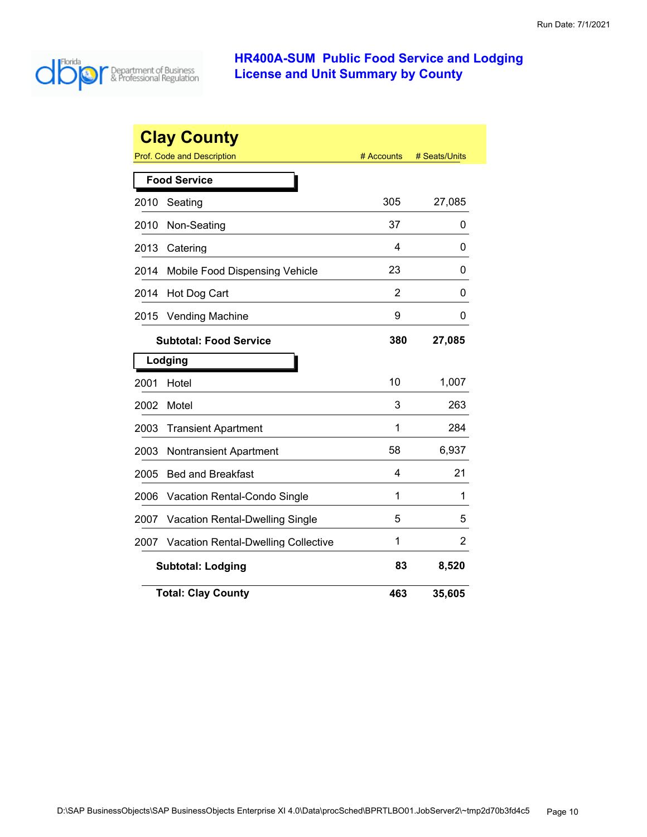

|      | <b>Clay County</b>                         |            |               |
|------|--------------------------------------------|------------|---------------|
|      | Prof. Code and Description                 | # Accounts | # Seats/Units |
|      | <b>Food Service</b>                        |            |               |
| 2010 | Seating                                    | 305        | 27,085        |
| 2010 | Non-Seating                                | 37         | 0             |
| 2013 | Catering                                   | 4          | 0             |
| 2014 | Mobile Food Dispensing Vehicle             | 23         | 0             |
| 2014 | Hot Dog Cart                               | 2          | 0             |
| 2015 | <b>Vending Machine</b>                     | 9          | 0             |
|      | <b>Subtotal: Food Service</b>              | 380        | 27,085        |
|      | Lodging                                    |            |               |
| 2001 | Hotel                                      | 10         | 1,007         |
| 2002 | Motel                                      | 3          | 263           |
| 2003 | <b>Transient Apartment</b>                 | 1          | 284           |
| 2003 | <b>Nontransient Apartment</b>              | 58         | 6,937         |
| 2005 | <b>Bed and Breakfast</b>                   | 4          | 21            |
| 2006 | Vacation Rental-Condo Single               | 1          | 1             |
| 2007 | Vacation Rental-Dwelling Single            | 5          | 5             |
| 2007 | <b>Vacation Rental-Dwelling Collective</b> | 1          | 2             |
|      | <b>Subtotal: Lodging</b>                   | 83         | 8,520         |
|      | <b>Total: Clay County</b>                  | 463        | 35,605        |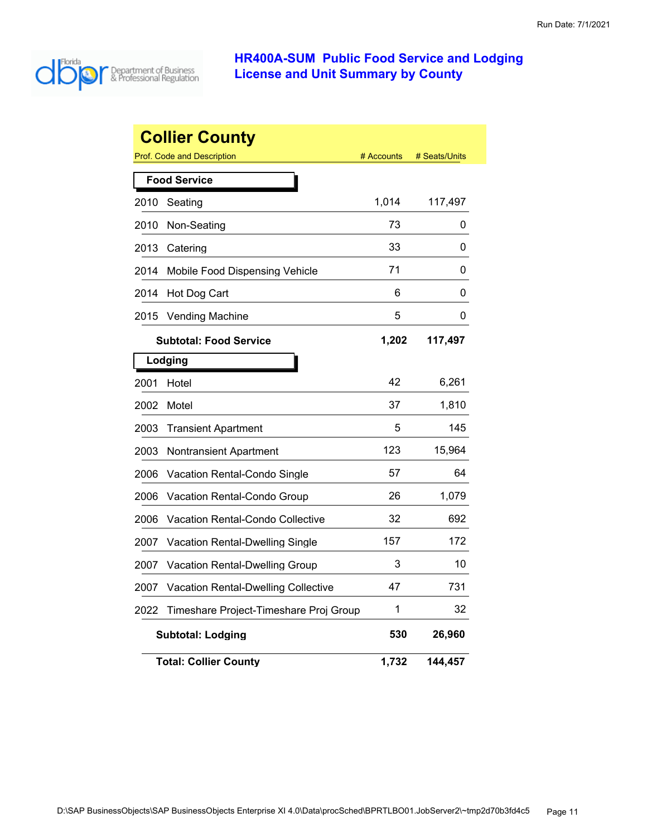

|      | <b>Collier County</b>                      |            |               |
|------|--------------------------------------------|------------|---------------|
|      | <b>Prof. Code and Description</b>          | # Accounts | # Seats/Units |
|      | <b>Food Service</b>                        |            |               |
| 2010 | Seating                                    | 1,014      | 117,497       |
| 2010 | Non-Seating                                | 73         | 0             |
| 2013 | Catering                                   | 33         | 0             |
| 2014 | Mobile Food Dispensing Vehicle             | 71         | 0             |
| 2014 | Hot Dog Cart                               | 6          | 0             |
| 2015 | <b>Vending Machine</b>                     | 5          | 0             |
|      | <b>Subtotal: Food Service</b>              | 1,202      | 117,497       |
|      | Lodging                                    |            |               |
| 2001 | Hotel                                      | 42         | 6,261         |
| 2002 | Motel                                      | 37         | 1,810         |
| 2003 | <b>Transient Apartment</b>                 | 5          | 145           |
| 2003 | <b>Nontransient Apartment</b>              | 123        | 15,964        |
| 2006 | Vacation Rental-Condo Single               | 57         | 64            |
| 2006 | Vacation Rental-Condo Group                | 26         | 1,079         |
| 2006 | <b>Vacation Rental-Condo Collective</b>    | 32         | 692           |
| 2007 | <b>Vacation Rental-Dwelling Single</b>     | 157        | 172           |
| 2007 | Vacation Rental-Dwelling Group             | 3          | 10            |
| 2007 | <b>Vacation Rental-Dwelling Collective</b> | 47         | 731           |
| 2022 | Timeshare Project-Timeshare Proj Group     | 1          | 32            |
|      | <b>Subtotal: Lodging</b>                   | 530        | 26,960        |
|      | <b>Total: Collier County</b>               | 1,732      | 144,457       |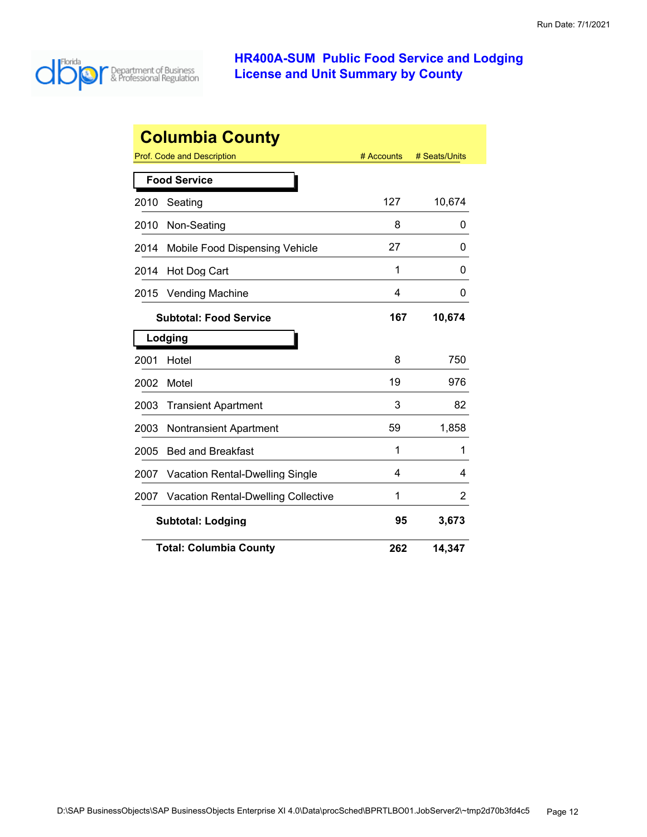

| <b>Columbia County</b> |                                            |            |               |  |
|------------------------|--------------------------------------------|------------|---------------|--|
|                        | Prof. Code and Description                 | # Accounts | # Seats/Units |  |
|                        | <b>Food Service</b>                        |            |               |  |
| 2010                   | Seating                                    | 127        | 10,674        |  |
| 2010                   | Non-Seating                                | 8          | 0             |  |
| 2014                   | Mobile Food Dispensing Vehicle             | 27         | 0             |  |
| 2014                   | Hot Dog Cart                               | 1          | 0             |  |
| 2015                   | <b>Vending Machine</b>                     | 4          | 0             |  |
|                        | <b>Subtotal: Food Service</b>              | 167        | 10,674        |  |
|                        | Lodging                                    |            |               |  |
| 2001                   | Hotel                                      | 8          | 750           |  |
| 2002                   | Motel                                      | 19         | 976           |  |
| 2003                   | <b>Transient Apartment</b>                 | 3          | 82            |  |
| 2003                   | <b>Nontransient Apartment</b>              | 59         | 1,858         |  |
| 2005                   | <b>Bed and Breakfast</b>                   | 1          | 1             |  |
| 2007                   | <b>Vacation Rental-Dwelling Single</b>     | 4          | 4             |  |
| 2007                   | <b>Vacation Rental-Dwelling Collective</b> | 1          | 2             |  |
|                        | <b>Subtotal: Lodging</b>                   | 95         | 3,673         |  |
|                        | <b>Total: Columbia County</b>              | 262        | 14,347        |  |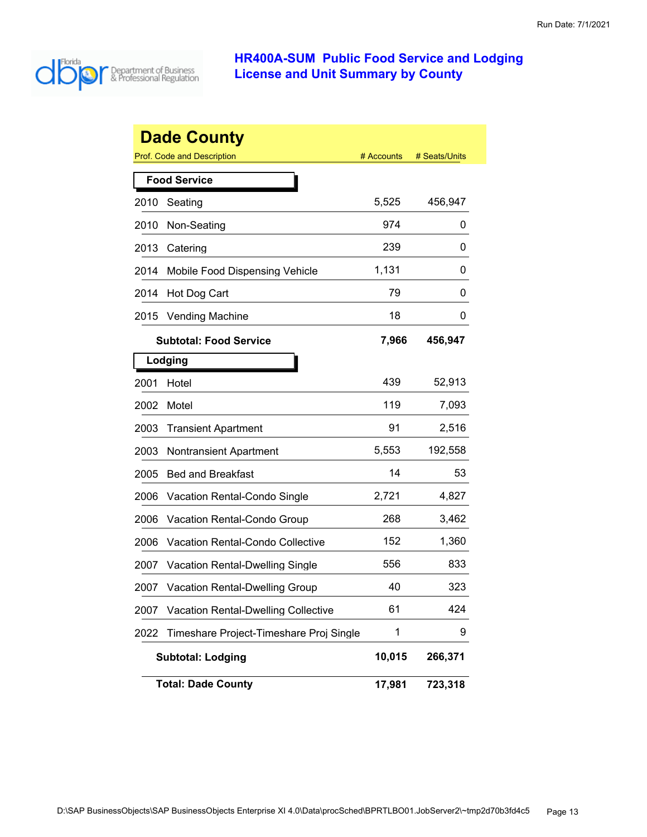

|      | <b>Dade County</b>                         |            |               |
|------|--------------------------------------------|------------|---------------|
|      | Prof. Code and Description                 | # Accounts | # Seats/Units |
|      | <b>Food Service</b>                        |            |               |
| 2010 | Seating                                    | 5,525      | 456,947       |
| 2010 | Non-Seating                                | 974        | 0             |
| 2013 | Catering                                   | 239        | 0             |
| 2014 | Mobile Food Dispensing Vehicle             | 1,131      | 0             |
| 2014 | Hot Dog Cart                               | 79         | 0             |
| 2015 | <b>Vending Machine</b>                     | 18         | 0             |
|      | <b>Subtotal: Food Service</b>              | 7,966      | 456,947       |
|      | Lodging                                    |            |               |
| 2001 | Hotel                                      | 439        | 52,913        |
| 2002 | Motel                                      | 119        | 7,093         |
| 2003 | <b>Transient Apartment</b>                 | 91         | 2,516         |
| 2003 | <b>Nontransient Apartment</b>              | 5,553      | 192,558       |
| 2005 | <b>Bed and Breakfast</b>                   | 14         | 53            |
| 2006 | Vacation Rental-Condo Single               | 2,721      | 4,827         |
| 2006 | Vacation Rental-Condo Group                | 268        | 3,462         |
| 2006 | <b>Vacation Rental-Condo Collective</b>    | 152        | 1,360         |
| 2007 | <b>Vacation Rental-Dwelling Single</b>     | 556        | 833           |
| 2007 | <b>Vacation Rental-Dwelling Group</b>      | 40         | 323           |
| 2007 | <b>Vacation Rental-Dwelling Collective</b> | 61         | 424           |
| 2022 | Timeshare Project-Timeshare Proj Single    | 1          | 9             |
|      | <b>Subtotal: Lodging</b>                   | 10,015     | 266,371       |
|      | <b>Total: Dade County</b>                  | 17,981     | 723,318       |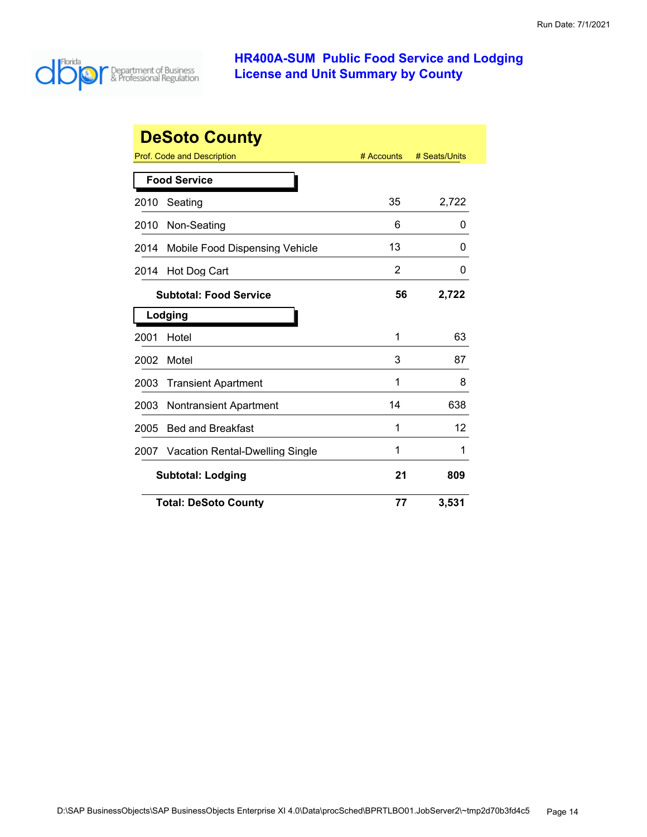

| <b>DeSoto County</b> |                                        |            |               |
|----------------------|----------------------------------------|------------|---------------|
|                      | Prof. Code and Description             | # Accounts | # Seats/Units |
|                      | <b>Food Service</b>                    |            |               |
| 2010                 | Seating                                | 35         | 2,722         |
| 2010                 | Non-Seating                            | 6          | O             |
| 2014                 | Mobile Food Dispensing Vehicle         | 13         | 0             |
| 2014                 | Hot Dog Cart                           | 2          | 0             |
|                      | <b>Subtotal: Food Service</b>          | 56         | 2,722         |
|                      | Lodging                                |            |               |
| 2001                 | Hotel                                  | 1          | 63            |
| 2002                 | Motel                                  | 3          | 87            |
| 2003                 | <b>Transient Apartment</b>             | 1          | 8             |
| 2003                 | <b>Nontransient Apartment</b>          | 14         | 638           |
| 2005                 | <b>Bed and Breakfast</b>               | 1          | 12            |
| 2007                 | <b>Vacation Rental-Dwelling Single</b> | 1          | 1             |
|                      | <b>Subtotal: Lodging</b>               |            | 809           |
|                      | <b>Total: DeSoto County</b>            | 77         | 3,531         |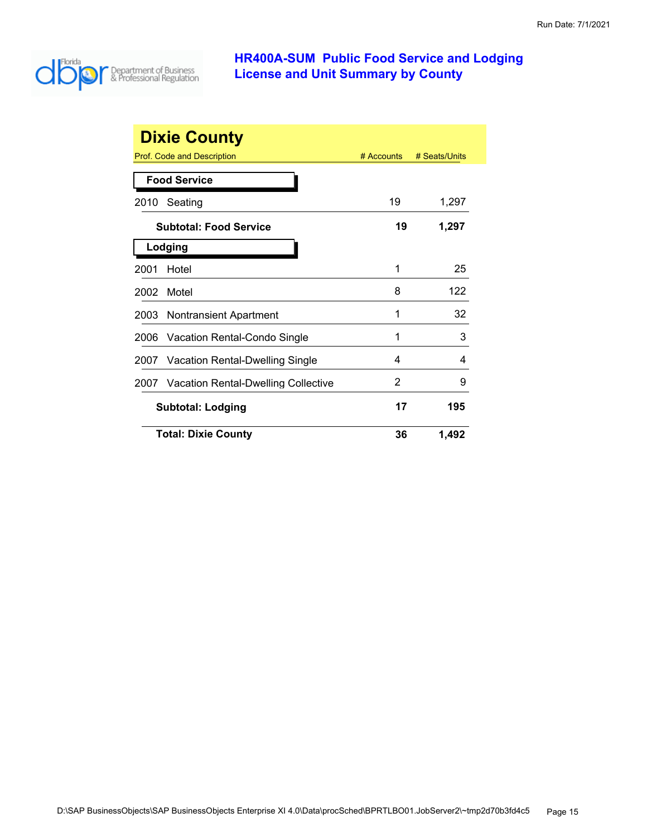

|      | <b>Dixie County</b>                      |              |               |
|------|------------------------------------------|--------------|---------------|
|      | Prof. Code and Description               | $#$ Accounts | # Seats/Units |
|      | <b>Food Service</b>                      |              |               |
| 2010 | Seating                                  | 19           | 1,297         |
|      | <b>Subtotal: Food Service</b>            | 19           | 1,297         |
|      | Lodging                                  |              |               |
| 2001 | Hotel                                    | 1            | 25            |
| 2002 | Motel                                    | 8            | 122           |
| 2003 | <b>Nontransient Apartment</b>            | 1            | 32            |
| 2006 | Vacation Rental-Condo Single             | 1            | 3             |
| 2007 | Vacation Rental-Dwelling Single          | 4            | 4             |
|      | 2007 Vacation Rental-Dwelling Collective | 2            | 9             |
|      | <b>Subtotal: Lodging</b>                 | 17           | 195           |
|      | <b>Total: Dixie County</b>               | 36           | 1,492         |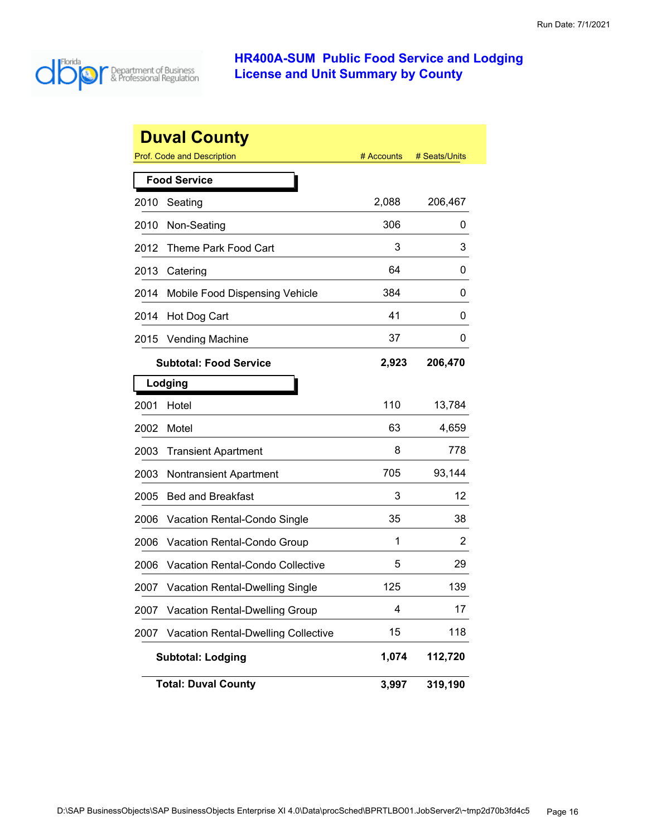

|      | <b>Duval County</b>                        |            |               |
|------|--------------------------------------------|------------|---------------|
|      | <b>Prof. Code and Description</b>          | # Accounts | # Seats/Units |
|      | <b>Food Service</b>                        |            |               |
| 2010 | Seating                                    | 2,088      | 206,467       |
| 2010 | Non-Seating                                | 306        | 0             |
| 2012 | <b>Theme Park Food Cart</b>                | 3          | 3             |
| 2013 | Catering                                   | 64         | 0             |
| 2014 | Mobile Food Dispensing Vehicle             | 384        | 0             |
| 2014 | Hot Dog Cart                               | 41         | 0             |
| 2015 | <b>Vending Machine</b>                     | 37         | 0             |
|      | <b>Subtotal: Food Service</b>              | 2,923      | 206,470       |
|      | Lodging                                    |            |               |
| 2001 | Hotel                                      | 110        | 13,784        |
| 2002 | Motel                                      | 63         | 4,659         |
| 2003 | <b>Transient Apartment</b>                 | 8          | 778           |
| 2003 | <b>Nontransient Apartment</b>              | 705        | 93,144        |
| 2005 | <b>Bed and Breakfast</b>                   | 3          | 12            |
| 2006 | Vacation Rental-Condo Single               | 35         | 38            |
| 2006 | Vacation Rental-Condo Group                | 1          | 2             |
| 2006 | <b>Vacation Rental-Condo Collective</b>    | 5          | 29            |
| 2007 | <b>Vacation Rental-Dwelling Single</b>     | 125        | 139           |
| 2007 | <b>Vacation Rental-Dwelling Group</b>      | 4          | 17            |
| 2007 | <b>Vacation Rental-Dwelling Collective</b> | 15         | 118           |
|      | <b>Subtotal: Lodging</b>                   | 1,074      | 112,720       |
|      | <b>Total: Duval County</b>                 | 3,997      | 319,190       |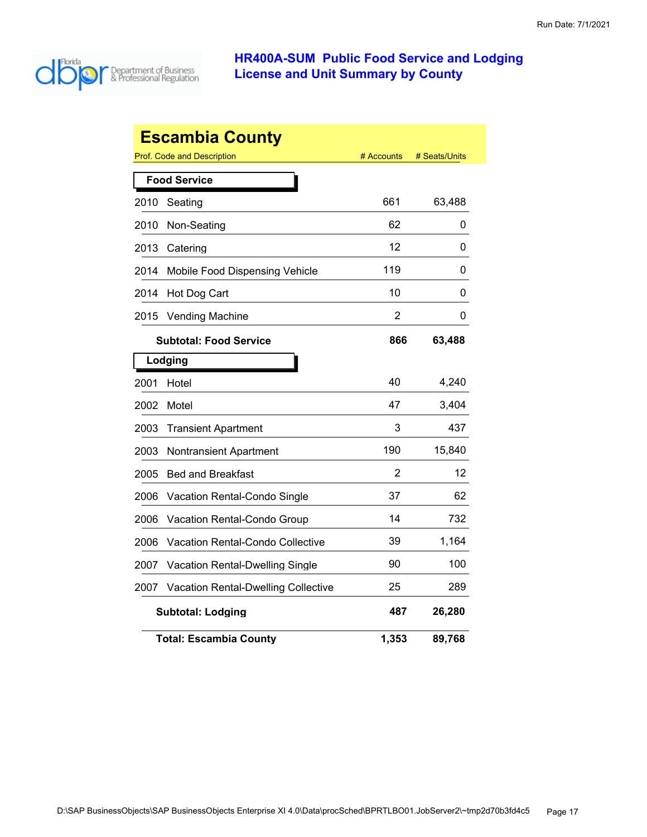

| <b>Escambia County</b> |                                                           |                |        |  |  |
|------------------------|-----------------------------------------------------------|----------------|--------|--|--|
|                        | Prof. Code and Description<br># Seats/Units<br># Accounts |                |        |  |  |
|                        | <b>Food Service</b>                                       |                |        |  |  |
| 2010                   | Seating                                                   | 661            | 63,488 |  |  |
| 2010                   | Non-Seating                                               | 62             | 0      |  |  |
| 2013                   | Catering                                                  | 12             | 0      |  |  |
| 2014                   | Mobile Food Dispensing Vehicle                            | 119            | 0      |  |  |
| 2014                   | Hot Dog Cart                                              | 10             | 0      |  |  |
| 2015                   | <b>Vending Machine</b>                                    | $\overline{2}$ | 0      |  |  |
|                        | <b>Subtotal: Food Service</b>                             | 866            | 63,488 |  |  |
|                        | Lodging                                                   |                |        |  |  |
| 2001                   | Hotel                                                     | 40             | 4,240  |  |  |
| 2002                   | Motel                                                     | 47             | 3,404  |  |  |
| 2003                   | <b>Transient Apartment</b>                                | 3              | 437    |  |  |
| 2003                   | <b>Nontransient Apartment</b>                             | 190            | 15,840 |  |  |
| 2005                   | <b>Bed and Breakfast</b>                                  | 2              | 12     |  |  |
| 2006                   | Vacation Rental-Condo Single                              | 37             | 62     |  |  |
| 2006                   | Vacation Rental-Condo Group                               | 14             | 732    |  |  |
| 2006                   | <b>Vacation Rental-Condo Collective</b>                   | 39             | 1,164  |  |  |
| 2007                   | <b>Vacation Rental-Dwelling Single</b>                    | 90             | 100    |  |  |
| 2007                   | <b>Vacation Rental-Dwelling Collective</b>                | 25             | 289    |  |  |
|                        | <b>Subtotal: Lodging</b>                                  | 487            | 26,280 |  |  |
|                        | <b>Total: Escambia County</b>                             | 1,353          | 89,768 |  |  |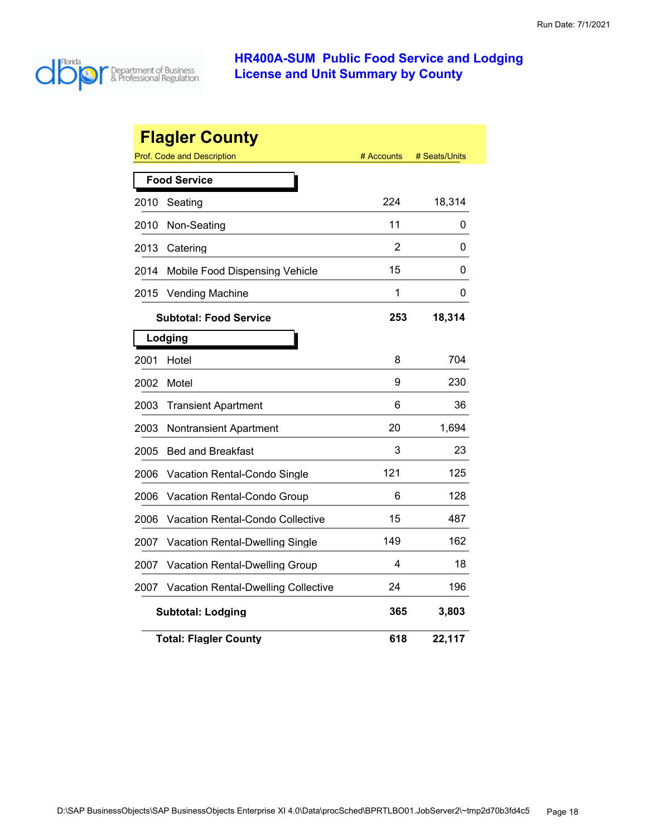

|      | <b>Flagler County</b><br><b>Prof. Code and Description</b> | # Accounts | # Seats/Units |
|------|------------------------------------------------------------|------------|---------------|
|      | <b>Food Service</b>                                        |            |               |
| 2010 | Seating                                                    | 224        | 18,314        |
|      |                                                            | 11         |               |
| 2010 | Non-Seating                                                |            | 0             |
| 2013 | Catering                                                   | 2          | 0             |
| 2014 | Mobile Food Dispensing Vehicle                             | 15         | 0             |
| 2015 | <b>Vending Machine</b>                                     | 1          | 0             |
|      | <b>Subtotal: Food Service</b>                              | 253        | 18,314        |
|      | Lodging                                                    |            |               |
| 2001 | Hotel                                                      | 8          | 704           |
| 2002 | Motel                                                      | 9          | 230           |
| 2003 | <b>Transient Apartment</b>                                 | 6          | 36            |
| 2003 | <b>Nontransient Apartment</b>                              | 20         | 1,694         |
| 2005 | <b>Bed and Breakfast</b>                                   | 3          | 23            |
| 2006 | Vacation Rental-Condo Single                               | 121        | 125           |
| 2006 | Vacation Rental-Condo Group                                | 6          | 128           |
| 2006 | Vacation Rental-Condo Collective                           | 15         | 487           |
| 2007 | Vacation Rental-Dwelling Single                            | 149        | 162           |
| 2007 | Vacation Rental-Dwelling Group                             | 4          | 18            |
| 2007 | <b>Vacation Rental-Dwelling Collective</b>                 | 24         | 196           |
|      | <b>Subtotal: Lodging</b>                                   | 365        | 3,803         |
|      | <b>Total: Flagler County</b>                               | 618        | 22,117        |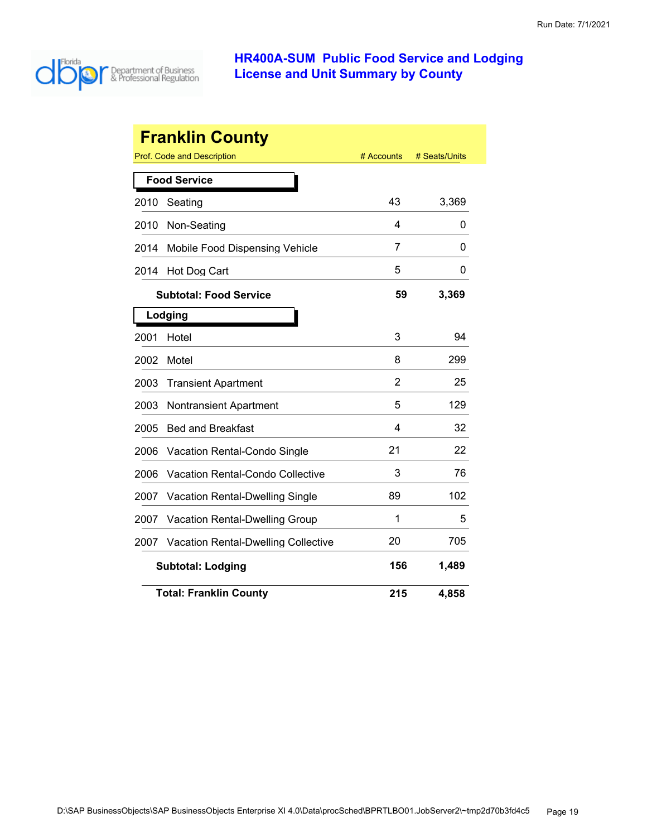

|      | <b>Franklin County</b>                     |                |               |
|------|--------------------------------------------|----------------|---------------|
|      | <b>Prof. Code and Description</b>          | # Accounts     | # Seats/Units |
|      | <b>Food Service</b>                        |                |               |
| 2010 | Seating                                    | 43             | 3,369         |
| 2010 | Non-Seating                                | 4              | 0             |
| 2014 | Mobile Food Dispensing Vehicle             | 7              | 0             |
| 2014 | Hot Dog Cart                               | 5              | 0             |
|      | <b>Subtotal: Food Service</b>              | 59             | 3,369         |
|      | Lodging                                    |                |               |
| 2001 | Hotel                                      | 3              | 94            |
| 2002 | Motel                                      | 8              | 299           |
| 2003 | <b>Transient Apartment</b>                 | $\overline{2}$ | 25            |
| 2003 | <b>Nontransient Apartment</b>              | 5              | 129           |
| 2005 | <b>Bed and Breakfast</b>                   | 4              | 32            |
| 2006 | Vacation Rental-Condo Single               | 21             | 22            |
| 2006 | <b>Vacation Rental-Condo Collective</b>    | 3              | 76            |
| 2007 | <b>Vacation Rental-Dwelling Single</b>     | 89             | 102           |
| 2007 | <b>Vacation Rental-Dwelling Group</b>      | 1              | 5             |
| 2007 | <b>Vacation Rental-Dwelling Collective</b> | 20             | 705           |
|      | <b>Subtotal: Lodging</b>                   | 156            | 1,489         |
|      | <b>Total: Franklin County</b>              | 215            | 4,858         |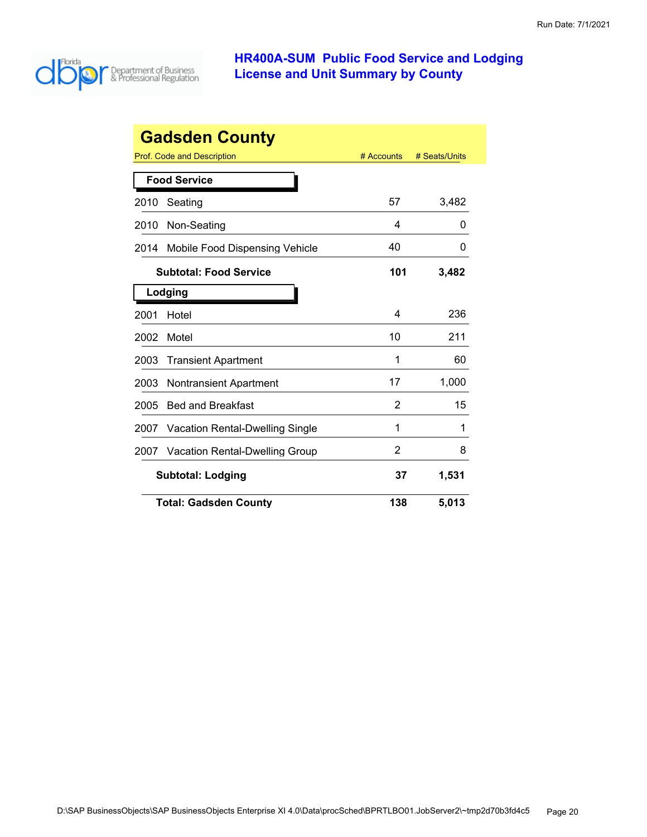

| <b>Gadsden County</b>                          |            |               |  |
|------------------------------------------------|------------|---------------|--|
| Prof. Code and Description                     | # Accounts | # Seats/Units |  |
| <b>Food Service</b>                            |            |               |  |
| Seating<br>2010                                | 57         | 3,482         |  |
| Non-Seating<br>2010                            | 4          | O             |  |
| Mobile Food Dispensing Vehicle<br>2014         | 40         | 0             |  |
| <b>Subtotal: Food Service</b>                  | 101        | 3,482         |  |
| Lodging                                        |            |               |  |
| 2001<br>Hotel                                  | 4          | 236           |  |
| Motel<br>2002                                  | 10         | 211           |  |
| 2003<br><b>Transient Apartment</b>             | 1          | 60            |  |
| 2003<br><b>Nontransient Apartment</b>          | 17         | 1,000         |  |
| 2005<br><b>Bed and Breakfast</b>               | 2          | 15            |  |
| <b>Vacation Rental-Dwelling Single</b><br>2007 | 1          | 1             |  |
| <b>Vacation Rental-Dwelling Group</b><br>2007  | 2          | 8             |  |
| <b>Subtotal: Lodging</b>                       | 37         | 1,531         |  |
| <b>Total: Gadsden County</b>                   | 138        | 5,013         |  |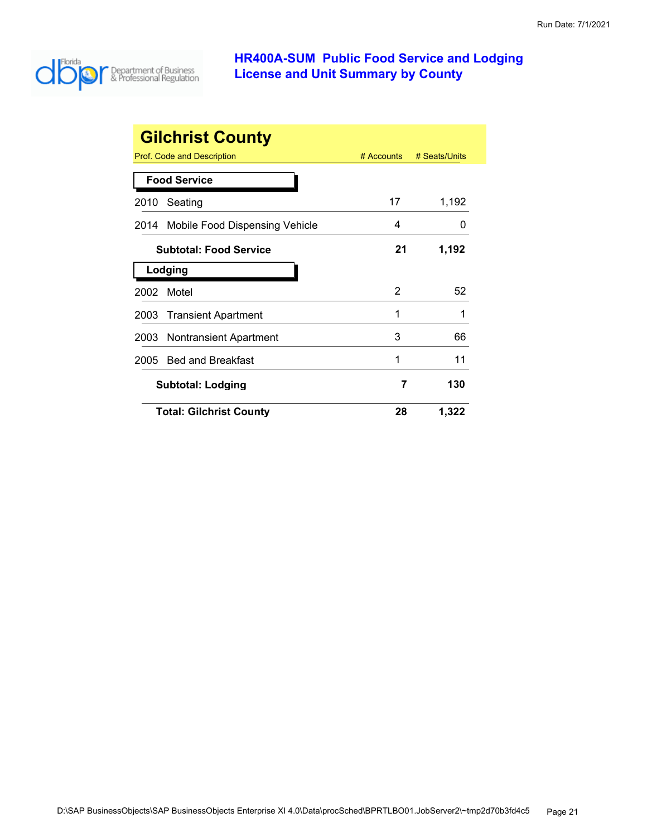

|                               | <b>Gilchrist County</b>        |            |               |
|-------------------------------|--------------------------------|------------|---------------|
|                               | Prof. Code and Description     | # Accounts | # Seats/Units |
|                               | <b>Food Service</b>            |            |               |
| 2010                          | Seating                        | 17         | 1,192         |
| 2014                          | Mobile Food Dispensing Vehicle | 4          | O             |
| <b>Subtotal: Food Service</b> |                                | 21         | 1,192         |
|                               | Lodging                        |            |               |
| 2002                          | Motel                          | 2          | 52            |
| 2003                          | <b>Transient Apartment</b>     | 1          | 1             |
| 2003                          | <b>Nontransient Apartment</b>  | 3          | 66            |
| 2005                          | <b>Bed and Breakfast</b>       | 1          | 11            |
|                               | <b>Subtotal: Lodging</b>       |            | 130           |
|                               | <b>Total: Gilchrist County</b> | 28         | 1,322         |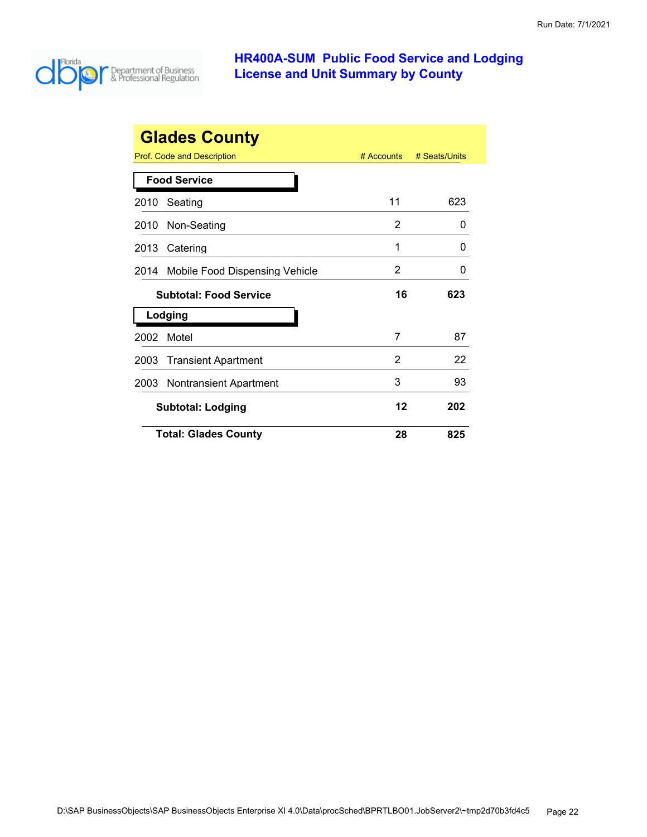

|      | <b>Glades County</b>              |              |               |
|------|-----------------------------------|--------------|---------------|
|      | <b>Prof. Code and Description</b> | $#$ Accounts | # Seats/Units |
|      | <b>Food Service</b>               |              |               |
| 2010 | Seating                           | 11           | 623           |
| 2010 | Non-Seating                       | 2            | O             |
| 2013 | Catering                          | 1            | O             |
| 2014 | Mobile Food Dispensing Vehicle    | 2            | ი             |
|      | <b>Subtotal: Food Service</b>     | 16           | 623           |
|      | Lodging                           |              |               |
| 2002 | Motel                             | 7            | 87            |
| 2003 | <b>Transient Apartment</b>        | 2            | 22            |
| 2003 | <b>Nontransient Apartment</b>     | 3            | 93            |
|      | <b>Subtotal: Lodging</b>          | 12           | 202           |
|      | <b>Total: Glades County</b>       | 28           | 825           |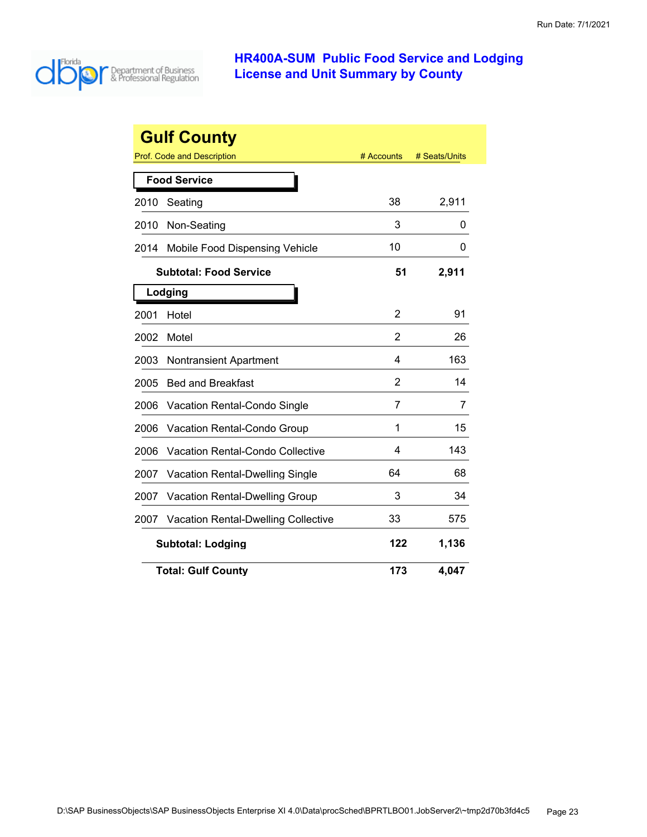

|      | <b>Gulf County</b>                         |            |               |
|------|--------------------------------------------|------------|---------------|
|      | Prof. Code and Description                 | # Accounts | # Seats/Units |
|      | <b>Food Service</b>                        |            |               |
| 2010 | Seating                                    | 38         | 2,911         |
| 2010 | Non-Seating                                | 3          | 0             |
| 2014 | Mobile Food Dispensing Vehicle             | 10         | 0             |
|      | <b>Subtotal: Food Service</b>              | 51         | 2,911         |
|      | Lodging                                    |            |               |
| 2001 | Hotel                                      | 2          | 91            |
| 2002 | Motel                                      | 2          | 26            |
| 2003 | <b>Nontransient Apartment</b>              | 4          | 163           |
| 2005 | <b>Bed and Breakfast</b>                   | 2          | 14            |
| 2006 | Vacation Rental-Condo Single               | 7          | 7             |
| 2006 | Vacation Rental-Condo Group                | 1          | 15            |
| 2006 | Vacation Rental-Condo Collective           | 4          | 143           |
| 2007 | <b>Vacation Rental-Dwelling Single</b>     | 64         | 68            |
| 2007 | Vacation Rental-Dwelling Group             | 3          | 34            |
| 2007 | <b>Vacation Rental-Dwelling Collective</b> | 33         | 575           |
|      | <b>Subtotal: Lodging</b>                   | 122        | 1,136         |
|      | <b>Total: Gulf County</b>                  | 173        | 4,047         |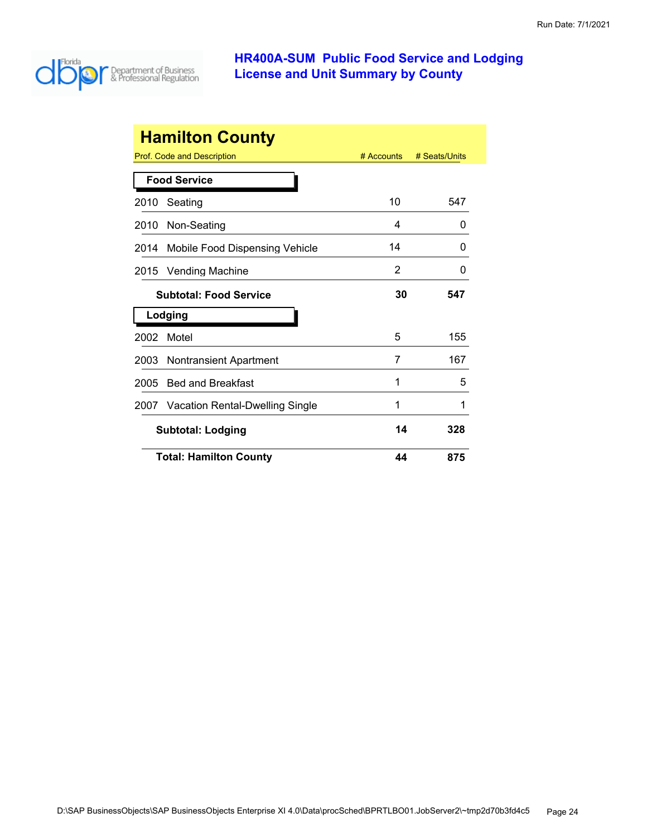

|      | <b>Hamilton County</b>               |            |               |
|------|--------------------------------------|------------|---------------|
|      | Prof. Code and Description           | # Accounts | # Seats/Units |
|      | <b>Food Service</b>                  |            |               |
| 2010 | Seating                              | 10         | 547           |
| 2010 | Non-Seating                          | 4          | 0             |
| 2014 | Mobile Food Dispensing Vehicle       | 14         | $\Omega$      |
| 2015 | <b>Vending Machine</b>               | 2          | 0             |
|      | <b>Subtotal: Food Service</b>        |            | 547           |
|      | Lodging                              |            |               |
| 2002 | Motel                                | 5          | 155           |
| 2003 | Nontransient Apartment               | 7          | 167           |
| 2005 | <b>Bed and Breakfast</b>             | 1          | 5             |
|      | 2007 Vacation Rental-Dwelling Single | 1          | 1             |
|      | <b>Subtotal: Lodging</b>             | 14         | 328           |
|      | <b>Total: Hamilton County</b>        | 44         | 875           |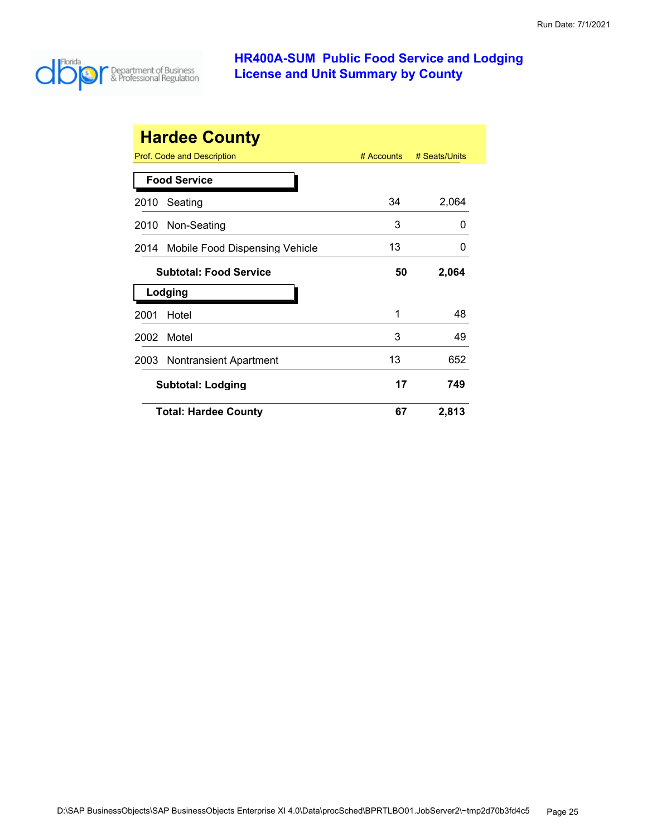

|      | <b>Hardee County</b>           |              |               |
|------|--------------------------------|--------------|---------------|
|      | Prof. Code and Description     | $#$ Accounts | # Seats/Units |
|      | <b>Food Service</b>            |              |               |
| 2010 | Seating                        | 34           | 2,064         |
| 2010 | Non-Seating                    | 3            | $\mathbf{0}$  |
| 2014 | Mobile Food Dispensing Vehicle | 13           | $\mathbf{I}$  |
|      | <b>Subtotal: Food Service</b>  | 50           | 2,064         |
|      | Lodging                        |              |               |
| 2001 | Hotel                          | 1            | 48            |
| 2002 | Motel                          | 3            | 49            |
| 2003 | Nontransient Apartment         | 13           | 652           |
|      | <b>Subtotal: Lodging</b>       | 17           | 749           |
|      | <b>Total: Hardee County</b>    | 67           | 2,813         |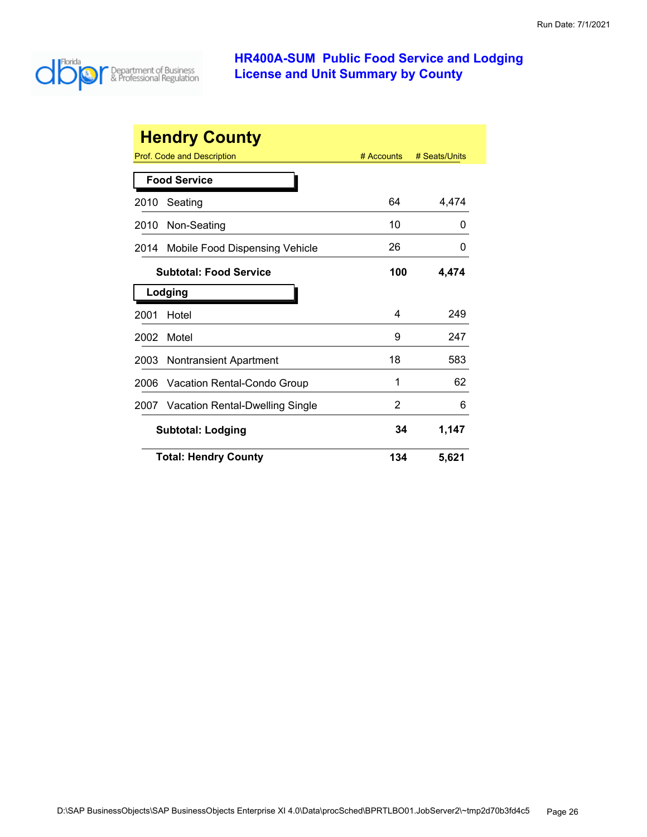

|      | <b>Hendry County</b>                   |            |               |
|------|----------------------------------------|------------|---------------|
|      | Prof. Code and Description             | # Accounts | # Seats/Units |
|      | <b>Food Service</b>                    |            |               |
| 2010 | Seating                                | 64         | 4,474         |
| 2010 | Non-Seating                            | 10         | 0             |
| 2014 | Mobile Food Dispensing Vehicle         | 26         | 0             |
|      | <b>Subtotal: Food Service</b>          | 100        | 4,474         |
|      | Lodging                                |            |               |
| 2001 | Hotel                                  | 4          | 249           |
| 2002 | Motel                                  | 9          | 247           |
| 2003 | Nontransient Apartment                 | 18         | 583           |
| 2006 | Vacation Rental-Condo Group            | 1          | 62            |
| 2007 | <b>Vacation Rental-Dwelling Single</b> | 2          | 6             |
|      | <b>Subtotal: Lodging</b>               | 34         | 1,147         |
|      | <b>Total: Hendry County</b>            | 134        | 5,621         |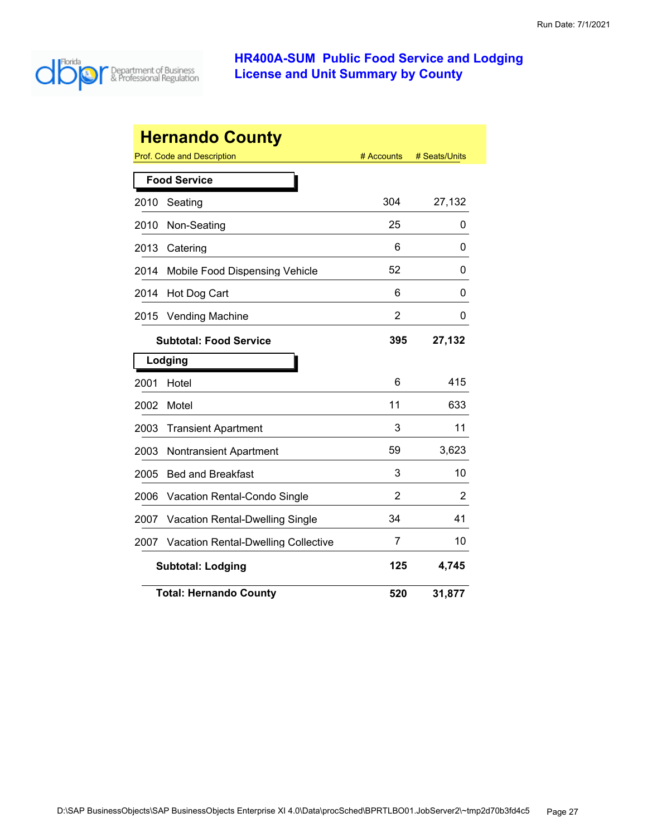

|      | <b>Hernando County</b>                     |            |               |
|------|--------------------------------------------|------------|---------------|
|      | Prof. Code and Description                 | # Accounts | # Seats/Units |
|      | <b>Food Service</b>                        |            |               |
| 2010 | Seating                                    | 304        | 27,132        |
| 2010 | Non-Seating                                | 25         | 0             |
| 2013 | Catering                                   | 6          | 0             |
| 2014 | Mobile Food Dispensing Vehicle             | 52         | 0             |
| 2014 | Hot Dog Cart                               | 6          | 0             |
| 2015 | <b>Vending Machine</b>                     | 2          | 0             |
|      | <b>Subtotal: Food Service</b>              | 395        | 27,132        |
|      | Lodging                                    |            |               |
| 2001 | Hotel                                      | 6          | 415           |
| 2002 | Motel                                      | 11         | 633           |
| 2003 | <b>Transient Apartment</b>                 | 3          | 11            |
| 2003 | <b>Nontransient Apartment</b>              | 59         | 3,623         |
| 2005 | <b>Bed and Breakfast</b>                   | 3          | 10            |
| 2006 | Vacation Rental-Condo Single               | 2          | 2             |
| 2007 | <b>Vacation Rental-Dwelling Single</b>     | 34         | 41            |
| 2007 | <b>Vacation Rental-Dwelling Collective</b> | 7          | 10            |
|      | <b>Subtotal: Lodging</b>                   | 125        | 4,745         |
|      | <b>Total: Hernando County</b>              | 520        | 31,877        |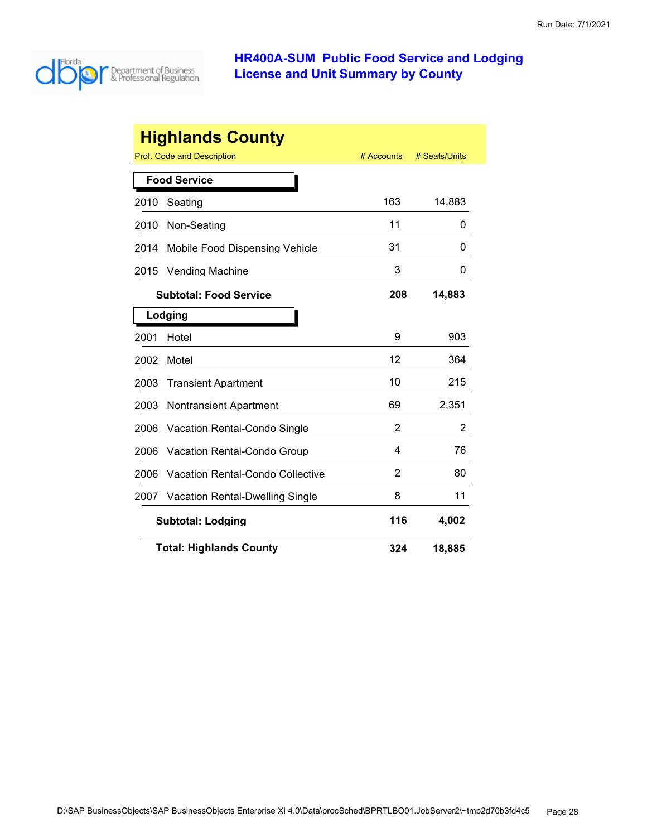

|      | <b>Highlands County</b>                |            |               |
|------|----------------------------------------|------------|---------------|
|      | Prof. Code and Description             | # Accounts | # Seats/Units |
|      | <b>Food Service</b>                    |            |               |
| 2010 | Seating                                | 163        | 14,883        |
| 2010 | Non-Seating                            | 11         | 0             |
| 2014 | Mobile Food Dispensing Vehicle         | 31         | O             |
| 2015 | <b>Vending Machine</b>                 | 3          | 0             |
|      | <b>Subtotal: Food Service</b>          | 208        | 14,883        |
|      | Lodging                                |            |               |
| 2001 | Hotel                                  | 9          | 903           |
| 2002 | Motel                                  | 12         | 364           |
| 2003 | <b>Transient Apartment</b>             | 10         | 215           |
| 2003 | <b>Nontransient Apartment</b>          | 69         | 2,351         |
| 2006 | Vacation Rental-Condo Single           | 2          | 2             |
| 2006 | Vacation Rental-Condo Group            | 4          | 76            |
| 2006 | Vacation Rental-Condo Collective       | 2          | 80            |
| 2007 | <b>Vacation Rental-Dwelling Single</b> | 8          | 11            |
|      | <b>Subtotal: Lodging</b>               | 116        | 4,002         |
|      | <b>Total: Highlands County</b>         | 324        | 18,885        |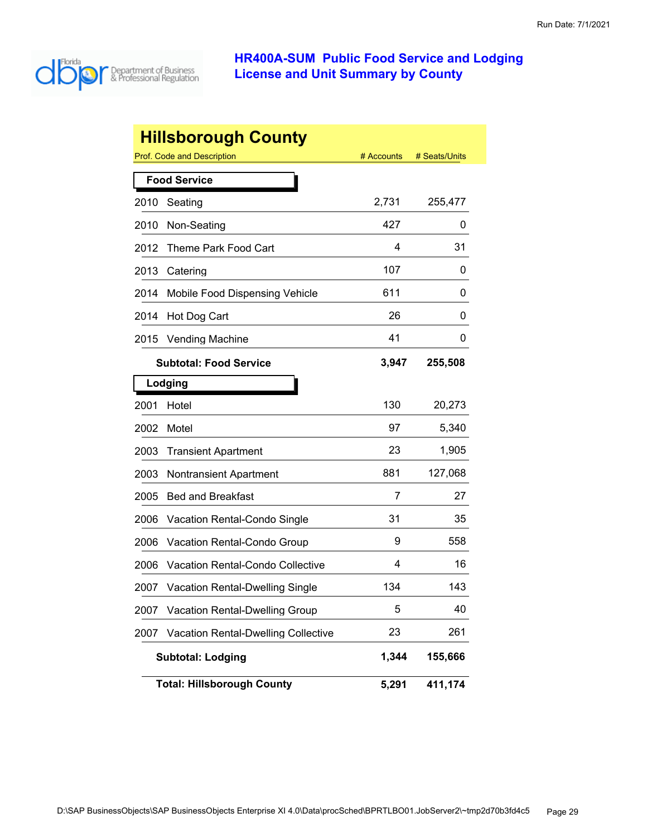

|      | <b>Hillsborough County</b>                 |            |               |
|------|--------------------------------------------|------------|---------------|
|      | Prof. Code and Description                 | # Accounts | # Seats/Units |
|      | <b>Food Service</b>                        |            |               |
| 2010 | Seating                                    | 2,731      | 255,477       |
| 2010 | Non-Seating                                | 427        | 0             |
| 2012 | Theme Park Food Cart                       | 4          | 31            |
| 2013 | Catering                                   | 107        | 0             |
| 2014 | Mobile Food Dispensing Vehicle             | 611        | 0             |
| 2014 | Hot Dog Cart                               | 26         | 0             |
| 2015 | <b>Vending Machine</b>                     | 41         | 0             |
|      | <b>Subtotal: Food Service</b>              | 3,947      | 255,508       |
|      | Lodging                                    |            |               |
| 2001 | Hotel                                      | 130        | 20,273        |
| 2002 | Motel                                      | 97         | 5,340         |
| 2003 | <b>Transient Apartment</b>                 | 23         | 1,905         |
| 2003 | <b>Nontransient Apartment</b>              | 881        | 127,068       |
| 2005 | <b>Bed and Breakfast</b>                   | 7          | 27            |
| 2006 | Vacation Rental-Condo Single               | 31         | 35            |
| 2006 | Vacation Rental-Condo Group                | 9          | 558           |
| 2006 | Vacation Rental-Condo Collective           | 4          | 16            |
| 2007 | <b>Vacation Rental-Dwelling Single</b>     | 134        | 143           |
| 2007 | <b>Vacation Rental-Dwelling Group</b>      | 5          | 40            |
| 2007 | <b>Vacation Rental-Dwelling Collective</b> | 23         | 261           |
|      | <b>Subtotal: Lodging</b>                   | 1,344      | 155,666       |
|      | <b>Total: Hillsborough County</b>          | 5,291      | 411,174       |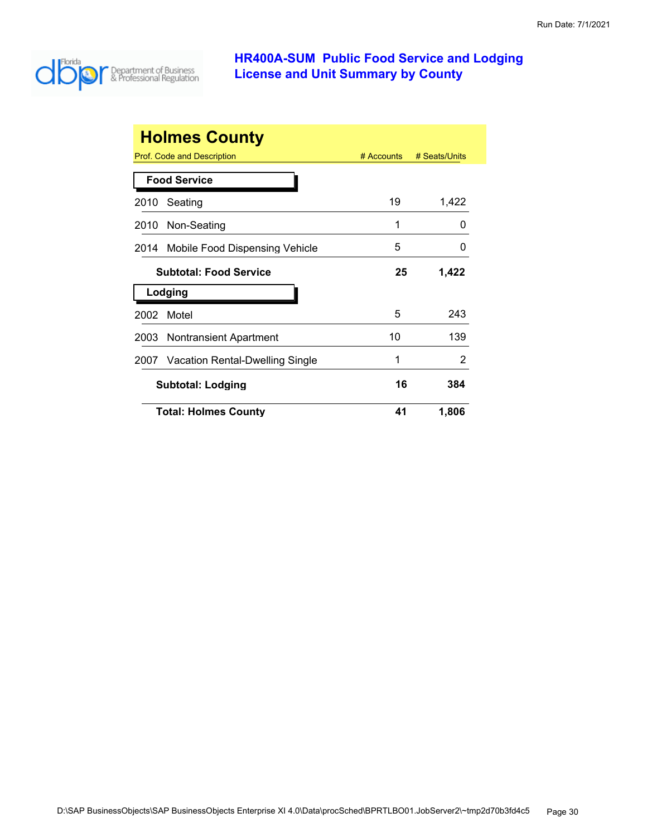

|      | <b>Holmes County</b><br>Prof. Code and Description | $#$ Accounts | # Seats/Units |
|------|----------------------------------------------------|--------------|---------------|
|      | <b>Food Service</b>                                |              |               |
| 2010 | Seating                                            | 19           | 1,422         |
| 2010 | Non-Seating                                        | 1            | O             |
| 2014 | Mobile Food Dispensing Vehicle                     | 5            | O             |
|      | <b>Subtotal: Food Service</b>                      | 25           | 1,422         |
|      | Lodging                                            |              |               |
| 2002 | Motel                                              | 5            | 243           |
| 2003 | Nontransient Apartment                             | 10           | 139           |
| 2007 | Vacation Rental-Dwelling Single                    | 1            | 2             |
|      | <b>Subtotal: Lodging</b>                           | 16           | 384           |
|      | <b>Total: Holmes County</b>                        | 41           | 1,806         |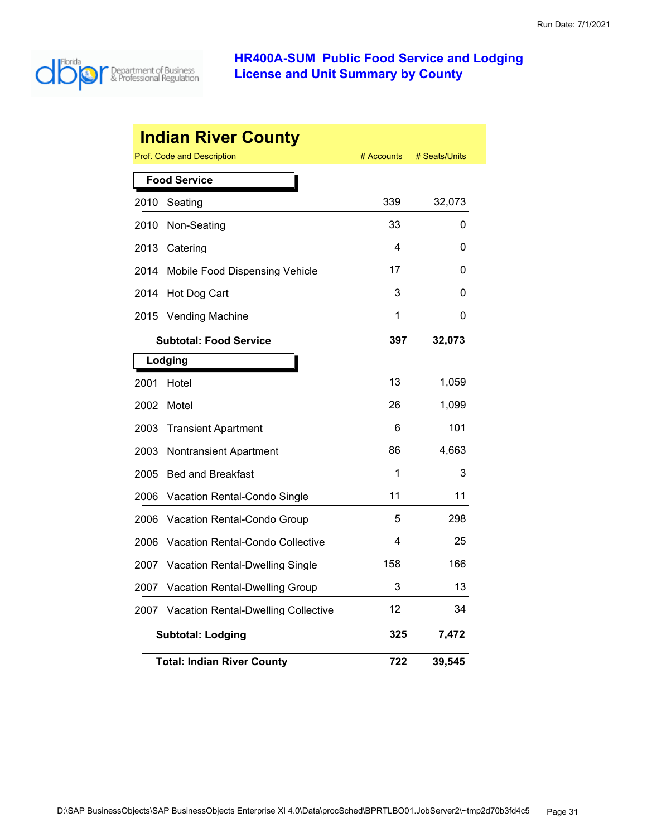

|      | <b>Indian River County</b>                 |            |               |
|------|--------------------------------------------|------------|---------------|
|      | Prof. Code and Description                 | # Accounts | # Seats/Units |
|      | <b>Food Service</b>                        |            |               |
| 2010 | Seating                                    | 339        | 32,073        |
| 2010 | Non-Seating                                | 33         | 0             |
| 2013 | Catering                                   | 4          | 0             |
| 2014 | Mobile Food Dispensing Vehicle             | 17         | 0             |
| 2014 | Hot Dog Cart                               | 3          | 0             |
| 2015 | <b>Vending Machine</b>                     | 1          | 0             |
|      | <b>Subtotal: Food Service</b>              | 397        | 32,073        |
|      | Lodging                                    |            |               |
| 2001 | Hotel                                      | 13         | 1,059         |
| 2002 | Motel                                      | 26         | 1,099         |
| 2003 | <b>Transient Apartment</b>                 | 6          | 101           |
| 2003 | Nontransient Apartment                     | 86         | 4,663         |
| 2005 | <b>Bed and Breakfast</b>                   | 1          | 3             |
| 2006 | Vacation Rental-Condo Single               | 11         | 11            |
| 2006 | Vacation Rental-Condo Group                | 5          | 298           |
| 2006 | <b>Vacation Rental-Condo Collective</b>    | 4          | 25            |
| 2007 | <b>Vacation Rental-Dwelling Single</b>     | 158        | 166           |
| 2007 | Vacation Rental-Dwelling Group             | 3          | 13            |
| 2007 | <b>Vacation Rental-Dwelling Collective</b> | 12         | 34            |
|      | <b>Subtotal: Lodging</b>                   | 325        | 7,472         |
|      | <b>Total: Indian River County</b>          | 722        | 39,545        |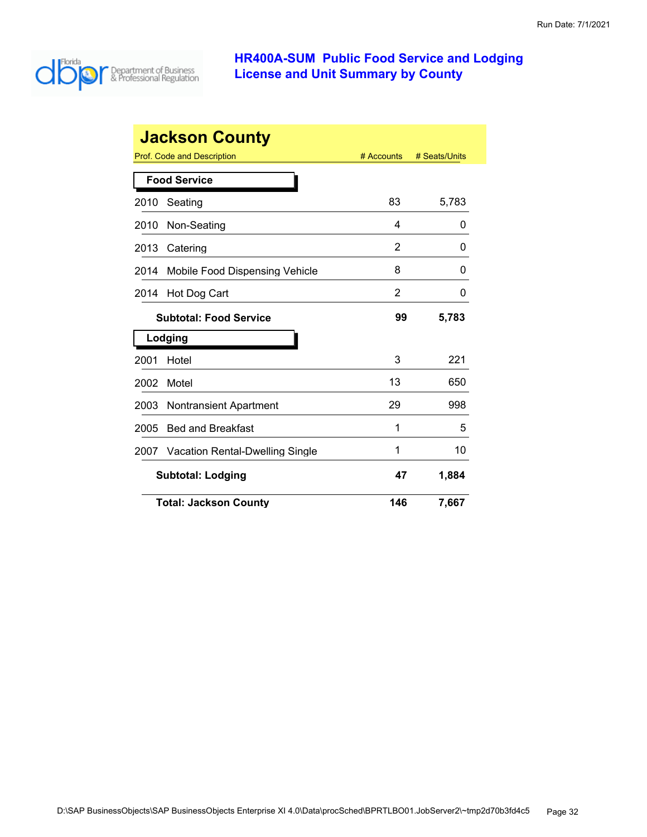

|      | <b>Jackson County</b>                  |                |               |
|------|----------------------------------------|----------------|---------------|
|      | Prof. Code and Description             | # Accounts     | # Seats/Units |
|      | <b>Food Service</b>                    |                |               |
| 2010 | Seating                                | 83             | 5,783         |
| 2010 | Non-Seating                            | 4              | 0             |
| 2013 | Catering                               | 2              | 0             |
| 2014 | Mobile Food Dispensing Vehicle         | 8              | 0             |
| 2014 | Hot Dog Cart                           | $\overline{2}$ | 0             |
|      | <b>Subtotal: Food Service</b>          | 99             | 5,783         |
|      | Lodging                                |                |               |
| 2001 | Hotel                                  | 3              | 221           |
| 2002 | Motel                                  | 13             | 650           |
| 2003 | <b>Nontransient Apartment</b>          | 29             | 998           |
| 2005 | <b>Bed and Breakfast</b>               | 1              | 5             |
| 2007 | <b>Vacation Rental-Dwelling Single</b> | 1              | 10            |
|      | <b>Subtotal: Lodging</b>               | 47             | 1,884         |
|      | <b>Total: Jackson County</b>           | 146            | 7,667         |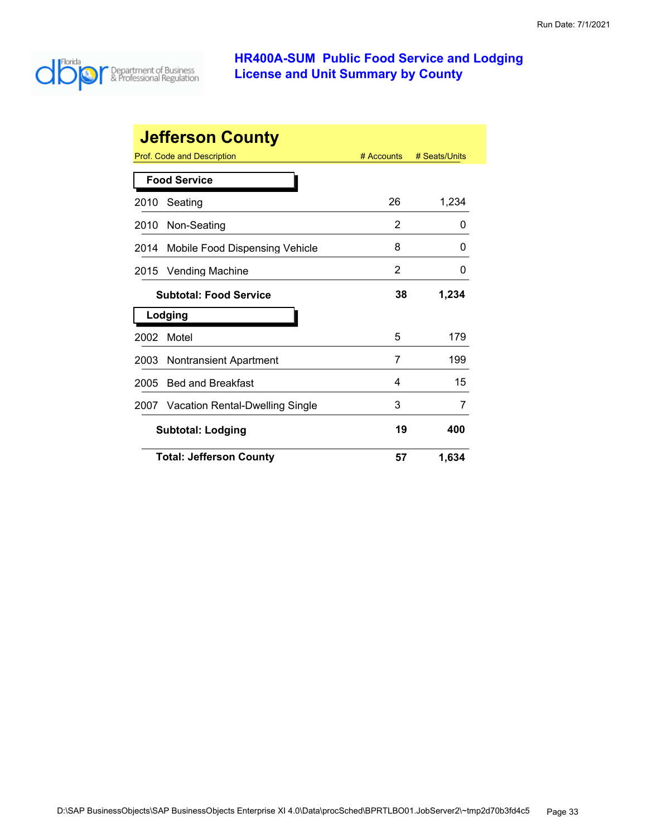

|      | <b>Jefferson County</b>              |              |               |
|------|--------------------------------------|--------------|---------------|
|      | <b>Prof. Code and Description</b>    | $#$ Accounts | # Seats/Units |
|      | <b>Food Service</b>                  |              |               |
| 2010 | Seating                              | 26           | 1,234         |
| 2010 | Non-Seating                          | 2            | 0             |
| 2014 | Mobile Food Dispensing Vehicle       | 8            | O             |
| 2015 | <b>Vending Machine</b>               | 2            | 0             |
|      | <b>Subtotal: Food Service</b>        | 38           | 1,234         |
|      | Lodging                              |              |               |
| 2002 | Motel                                | 5            | 179           |
| 2003 | <b>Nontransient Apartment</b>        | 7            | 199           |
| 2005 | <b>Bed and Breakfast</b>             | 4            | 15            |
|      | 2007 Vacation Rental-Dwelling Single | 3            | 7             |
|      | <b>Subtotal: Lodging</b>             | 19           | 400           |
|      | <b>Total: Jefferson County</b>       | 57           | 1,634         |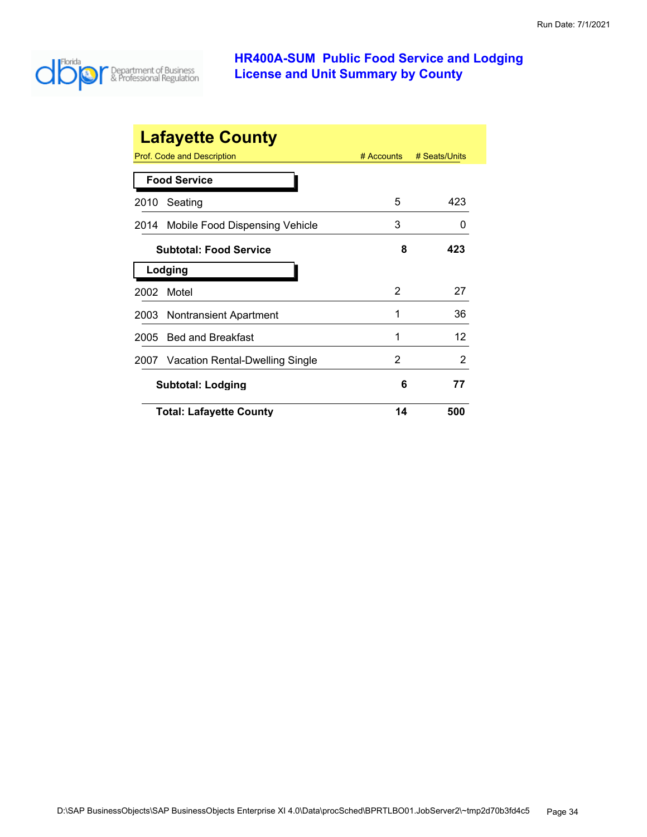

|      | <b>Lafayette County</b>         |              |               |
|------|---------------------------------|--------------|---------------|
|      | Prof. Code and Description      | $#$ Accounts | # Seats/Units |
|      | <b>Food Service</b>             |              |               |
| 2010 | Seating                         | 5            | 423           |
| 2014 | Mobile Food Dispensing Vehicle  | 3            | $\mathbf{0}$  |
|      | <b>Subtotal: Food Service</b>   | 8            | 423           |
|      | Lodging                         |              |               |
| 2002 | Motel                           | 2            | 27            |
| 2003 | <b>Nontransient Apartment</b>   | 1            | 36            |
| 2005 | <b>Bed and Breakfast</b>        | 1            | 12            |
| 2007 | Vacation Rental-Dwelling Single | 2            | 2             |
|      | <b>Subtotal: Lodging</b>        | 6            | 77            |
|      | <b>Total: Lafayette County</b>  | 14           | 500           |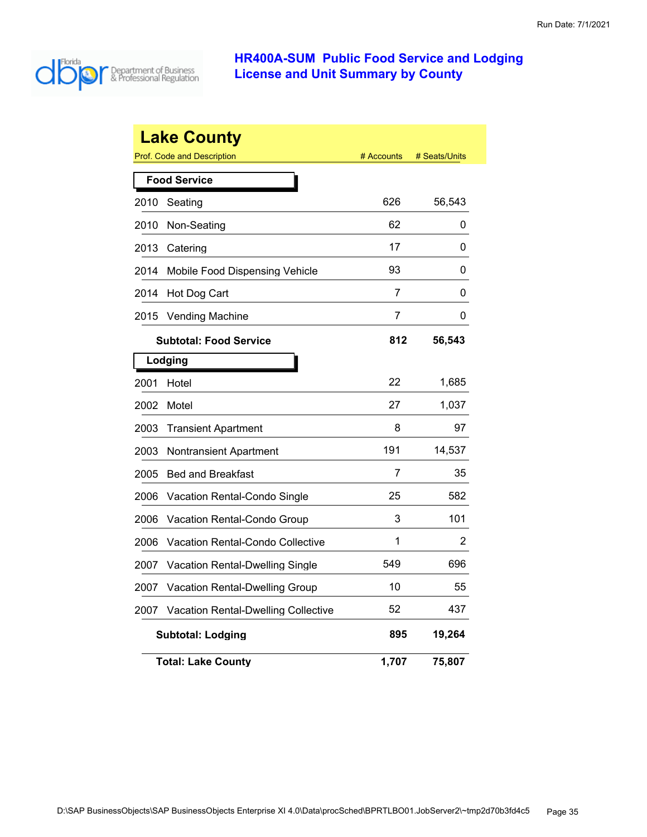

|      | <b>Lake County</b>                    |            |               |
|------|---------------------------------------|------------|---------------|
|      | <b>Prof. Code and Description</b>     | # Accounts | # Seats/Units |
|      | <b>Food Service</b>                   |            |               |
| 2010 | Seating                               | 626        | 56,543        |
| 2010 | Non-Seating                           | 62         | 0             |
| 2013 | Catering                              | 17         | 0             |
| 2014 | Mobile Food Dispensing Vehicle        | 93         | 0             |
| 2014 | Hot Dog Cart                          | 7          | 0             |
| 2015 | <b>Vending Machine</b>                | 7          | 0             |
|      | <b>Subtotal: Food Service</b>         | 812        | 56,543        |
|      | Lodging                               |            |               |
| 2001 | Hotel                                 | 22         | 1,685         |
| 2002 | Motel                                 | 27         | 1,037         |
| 2003 | <b>Transient Apartment</b>            | 8          | 97            |
| 2003 | Nontransient Apartment                | 191        | 14,537        |
| 2005 | <b>Bed and Breakfast</b>              | 7          | 35            |
| 2006 | Vacation Rental-Condo Single          | 25         | 582           |
| 2006 | Vacation Rental-Condo Group           | 3          | 101           |
| 2006 | Vacation Rental-Condo Collective      | 1          | 2             |
| 2007 | Vacation Rental-Dwelling Single       | 549        | 696           |
| 2007 | <b>Vacation Rental-Dwelling Group</b> | 10         | 55            |
| 2007 | Vacation Rental-Dwelling Collective   | 52         | 437           |
|      | <b>Subtotal: Lodging</b>              | 895        | 19,264        |
|      | <b>Total: Lake County</b>             | 1,707      | 75,807        |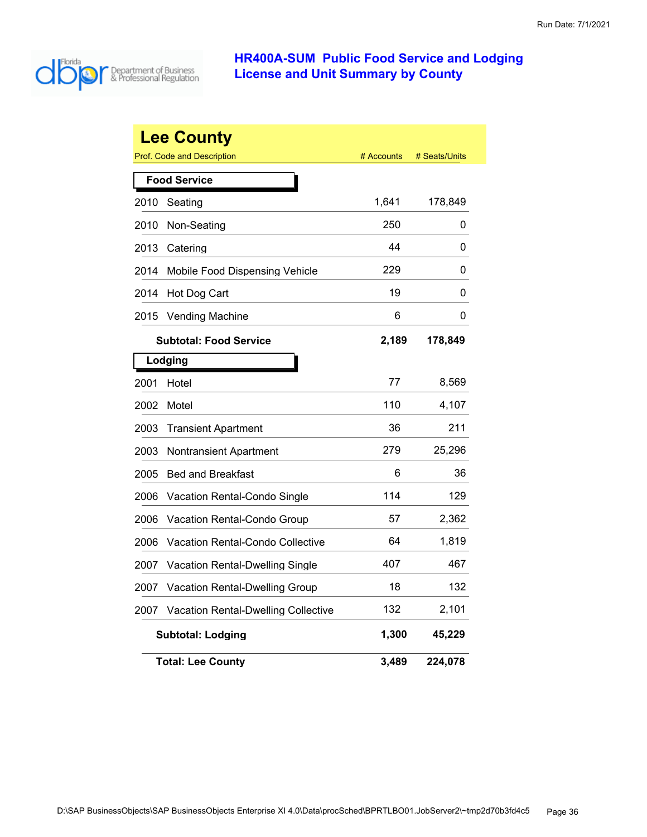

|      | <b>Lee County</b>                          |            |               |
|------|--------------------------------------------|------------|---------------|
|      | <b>Prof. Code and Description</b>          | # Accounts | # Seats/Units |
|      | <b>Food Service</b>                        |            |               |
| 2010 | Seating                                    | 1,641      | 178,849       |
| 2010 | Non-Seating                                | 250        | 0             |
| 2013 | Catering                                   | 44         | 0             |
| 2014 | Mobile Food Dispensing Vehicle             | 229        | 0             |
| 2014 | Hot Dog Cart                               | 19         | 0             |
| 2015 | <b>Vending Machine</b>                     | 6          | 0             |
|      | <b>Subtotal: Food Service</b>              | 2,189      | 178,849       |
|      | Lodging                                    |            |               |
| 2001 | Hotel                                      | 77         | 8,569         |
| 2002 | Motel                                      | 110        | 4,107         |
| 2003 | <b>Transient Apartment</b>                 | 36         | 211           |
| 2003 | <b>Nontransient Apartment</b>              | 279        | 25,296        |
| 2005 | <b>Bed and Breakfast</b>                   | 6          | 36            |
| 2006 | <b>Vacation Rental-Condo Single</b>        | 114        | 129           |
| 2006 | Vacation Rental-Condo Group                | 57         | 2,362         |
| 2006 | Vacation Rental-Condo Collective           | 64         | 1,819         |
| 2007 | <b>Vacation Rental-Dwelling Single</b>     | 407        | 467           |
| 2007 | Vacation Rental-Dwelling Group             | 18         | 132           |
| 2007 | <b>Vacation Rental-Dwelling Collective</b> | 132        | 2,101         |
|      | <b>Subtotal: Lodging</b>                   | 1,300      | 45,229        |
|      | Total: Lee Countv                          | 3,489      | 224,078       |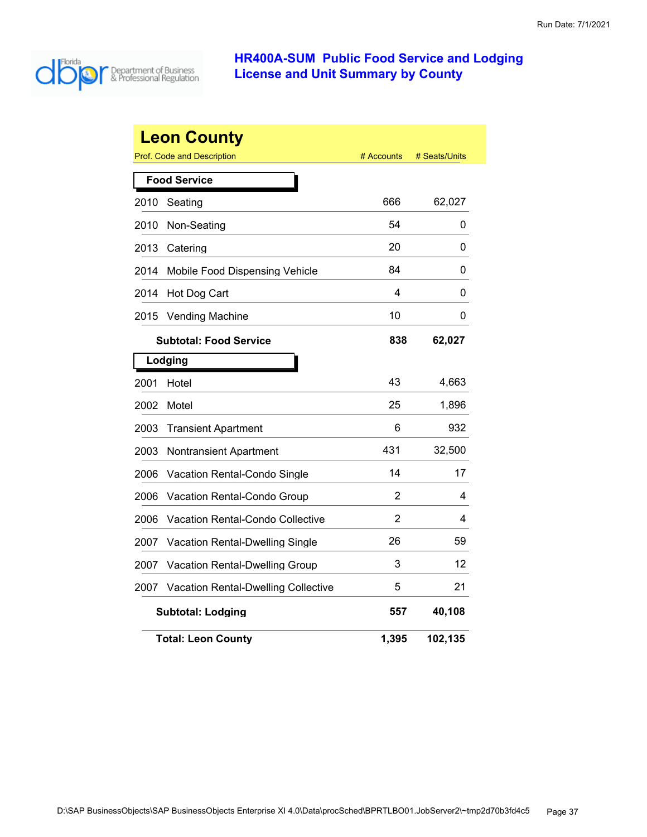

|      | <b>Leon County</b><br><b>Prof. Code and Description</b> | # Accounts | # Seats/Units |  |  |
|------|---------------------------------------------------------|------------|---------------|--|--|
|      | <b>Food Service</b>                                     |            |               |  |  |
| 2010 | Seating                                                 | 666        | 62,027        |  |  |
| 2010 | Non-Seating                                             | 54         | 0             |  |  |
| 2013 | Catering                                                | 20         | 0             |  |  |
| 2014 | Mobile Food Dispensing Vehicle                          | 84         | 0             |  |  |
| 2014 | Hot Dog Cart                                            | 4          | 0             |  |  |
| 2015 | <b>Vending Machine</b>                                  | 10         | 0             |  |  |
|      | <b>Subtotal: Food Service</b>                           | 838        | 62,027        |  |  |
|      | Lodging                                                 |            |               |  |  |
| 2001 | Hotel                                                   | 43         | 4,663         |  |  |
| 2002 | Motel                                                   | 25         | 1,896         |  |  |
| 2003 | <b>Transient Apartment</b>                              | 6          | 932           |  |  |
| 2003 | Nontransient Apartment                                  | 431        | 32,500        |  |  |
| 2006 | Vacation Rental-Condo Single                            | 14         | 17            |  |  |
| 2006 | Vacation Rental-Condo Group                             | 2          | 4             |  |  |
| 2006 | <b>Vacation Rental-Condo Collective</b>                 | 2          | 4             |  |  |
| 2007 | Vacation Rental-Dwelling Single                         | 26         | 59            |  |  |
| 2007 | Vacation Rental-Dwelling Group                          | 3          | 12            |  |  |
| 2007 | <b>Vacation Rental-Dwelling Collective</b>              | 5          | 21            |  |  |
|      | <b>Subtotal: Lodging</b>                                | 557        | 40,108        |  |  |
|      | <b>Total: Leon County</b>                               | 1,395      | 102,135       |  |  |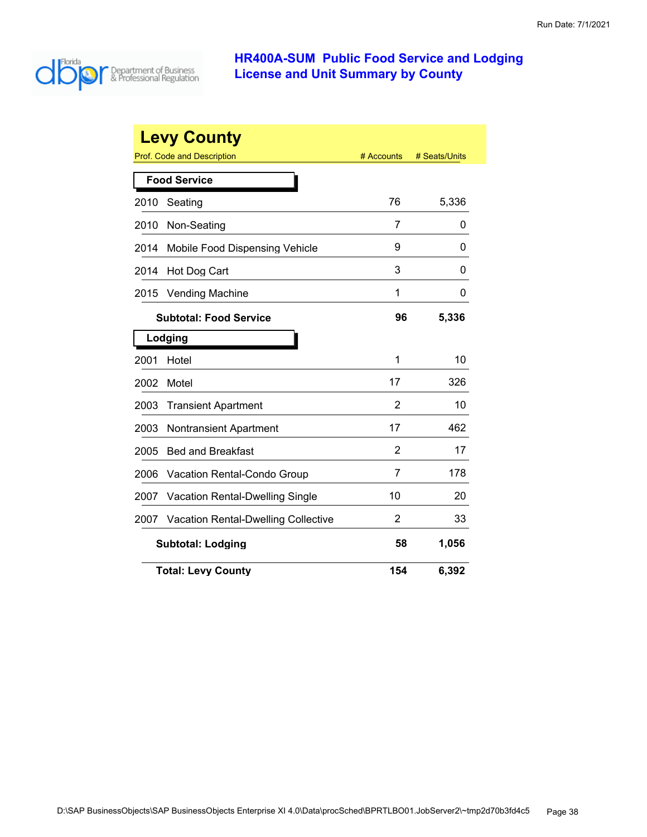

| <b>Levy County</b>                           |                                            |                |               |  |
|----------------------------------------------|--------------------------------------------|----------------|---------------|--|
|                                              | Prof. Code and Description                 | # Accounts     | # Seats/Units |  |
|                                              | <b>Food Service</b>                        |                |               |  |
| 2010                                         | Seating                                    | 76             | 5,336         |  |
| 2010                                         | Non-Seating                                | 7              | 0             |  |
| 2014                                         | Mobile Food Dispensing Vehicle             | 9              | 0             |  |
| 2014                                         | Hot Dog Cart                               | 3              | 0             |  |
| 2015                                         | <b>Vending Machine</b>                     | 1              | 0             |  |
| 96<br>5,336<br><b>Subtotal: Food Service</b> |                                            |                |               |  |
|                                              | Lodging                                    |                |               |  |
| 2001                                         | Hotel                                      | 1              | 10            |  |
| 2002                                         | Motel                                      | 17             | 326           |  |
| 2003                                         | <b>Transient Apartment</b>                 | $\overline{2}$ | 10            |  |
| 2003                                         | <b>Nontransient Apartment</b>              | 17             | 462           |  |
| 2005                                         | <b>Bed and Breakfast</b>                   | 2              | 17            |  |
| 2006                                         | Vacation Rental-Condo Group                | 7              | 178           |  |
| 2007                                         | <b>Vacation Rental-Dwelling Single</b>     | 10             | 20            |  |
| 2007                                         | <b>Vacation Rental-Dwelling Collective</b> | 2              | 33            |  |
|                                              | 58<br>1,056<br><b>Subtotal: Lodging</b>    |                |               |  |
| <b>Total: Levy County</b>                    | 6,392                                      |                |               |  |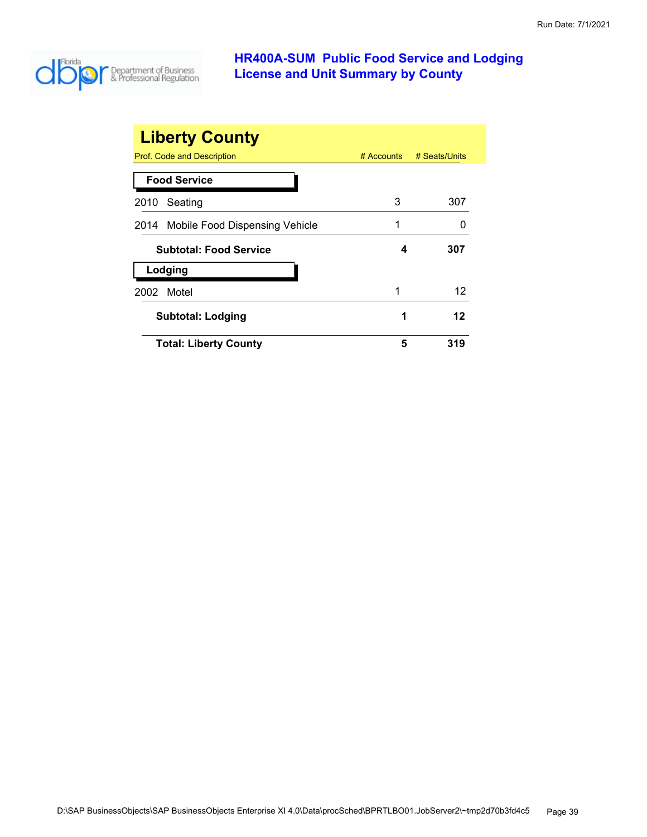

| <b>Liberty County</b>               |              |               |
|-------------------------------------|--------------|---------------|
| Prof. Code and Description          | $#$ Accounts | # Seats/Units |
| <b>Food Service</b>                 |              |               |
| Seating<br>2010                     | 3            | 307           |
| 2014 Mobile Food Dispensing Vehicle | 1            |               |
| <b>Subtotal: Food Service</b>       | 4            | 307           |
| Lodging                             |              |               |
| Motel<br>2002                       | 1            | 12            |
| <b>Subtotal: Lodging</b>            | 1            | 12            |
| <b>Total: Liberty County</b>        | 5            | 319           |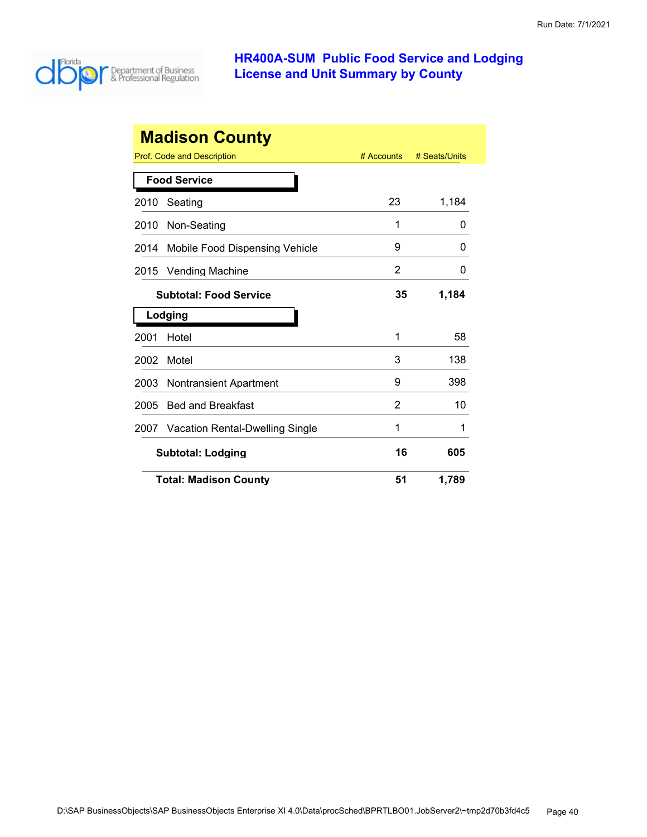

| <b>Madison County</b> |                                 |            |               |  |
|-----------------------|---------------------------------|------------|---------------|--|
|                       | Prof. Code and Description      | # Accounts | # Seats/Units |  |
|                       | <b>Food Service</b>             |            |               |  |
| 2010                  | Seating                         | 23         | 1,184         |  |
| 2010                  | Non-Seating                     | 1          | 0             |  |
| 2014                  | Mobile Food Dispensing Vehicle  | 9          | O             |  |
| 2015                  | <b>Vending Machine</b>          | 2          | 0             |  |
|                       | <b>Subtotal: Food Service</b>   | 35         | 1,184         |  |
|                       | Lodging                         |            |               |  |
| 2001                  | Hotel                           | 1          | 58            |  |
| 2002                  | Motel                           | 3          | 138           |  |
| 2003                  | <b>Nontransient Apartment</b>   | 9          | 398           |  |
| 2005                  | <b>Bed and Breakfast</b>        | 2          | 10            |  |
| 2007                  | Vacation Rental-Dwelling Single | 1          | 1             |  |
|                       | <b>Subtotal: Lodging</b>        | 16         | 605           |  |
|                       | <b>Total: Madison County</b>    | 51         | 1,789         |  |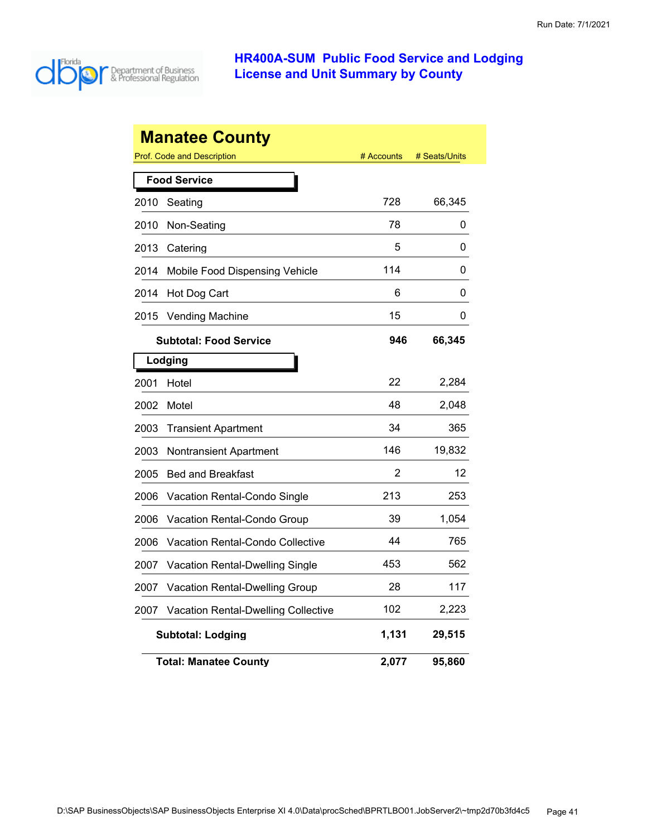

|      | <b>Manatee County</b>                      |            |               |
|------|--------------------------------------------|------------|---------------|
|      | <b>Prof. Code and Description</b>          | # Accounts | # Seats/Units |
|      | <b>Food Service</b>                        |            |               |
| 2010 | Seating                                    | 728        | 66,345        |
| 2010 | Non-Seating                                | 78         | 0             |
| 2013 | Catering                                   | 5          | 0             |
| 2014 | Mobile Food Dispensing Vehicle             | 114        | 0             |
| 2014 | Hot Dog Cart                               | 6          | 0             |
| 2015 | <b>Vending Machine</b>                     | 15         | 0             |
|      | <b>Subtotal: Food Service</b>              | 946        | 66,345        |
|      | Lodging                                    |            |               |
| 2001 | Hotel                                      | 22         | 2,284         |
| 2002 | Motel                                      | 48         | 2,048         |
| 2003 | <b>Transient Apartment</b>                 | 34         | 365           |
| 2003 | <b>Nontransient Apartment</b>              | 146        | 19,832        |
| 2005 | <b>Bed and Breakfast</b>                   | 2          | 12            |
| 2006 | <b>Vacation Rental-Condo Single</b>        | 213        | 253           |
| 2006 | Vacation Rental-Condo Group                | 39         | 1,054         |
| 2006 | <b>Vacation Rental-Condo Collective</b>    | 44         | 765           |
| 2007 | <b>Vacation Rental-Dwelling Single</b>     | 453        | 562           |
| 2007 | Vacation Rental-Dwelling Group             | 28         | 117           |
| 2007 | <b>Vacation Rental-Dwelling Collective</b> | 102        | 2,223         |
|      | <b>Subtotal: Lodging</b>                   | 1,131      | 29,515        |
|      | <b>Total: Manatee County</b>               | 2,077      | 95,860        |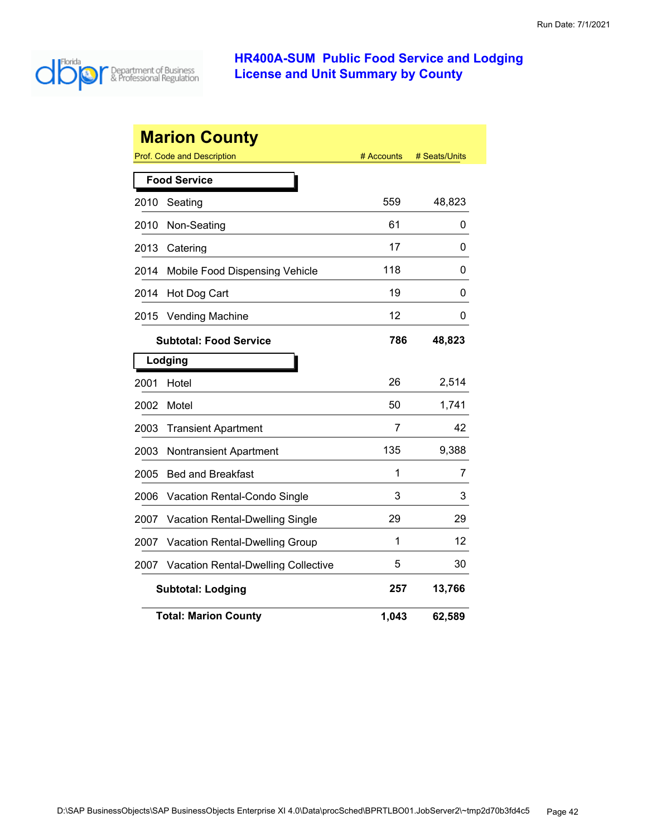

| <b>Marion County</b> |                                            |            |               |  |
|----------------------|--------------------------------------------|------------|---------------|--|
|                      | <b>Prof. Code and Description</b>          | # Accounts | # Seats/Units |  |
|                      | <b>Food Service</b>                        |            |               |  |
| 2010                 | Seating                                    | 559        | 48,823        |  |
| 2010                 | Non-Seating                                | 61         | 0             |  |
| 2013                 | Catering                                   | 17         | 0             |  |
| 2014                 | Mobile Food Dispensing Vehicle             | 118        | 0             |  |
| 2014                 | Hot Dog Cart                               | 19         | 0             |  |
| 2015                 | <b>Vending Machine</b>                     | 12         | 0             |  |
|                      | <b>Subtotal: Food Service</b>              | 786        | 48,823        |  |
|                      | Lodging                                    |            |               |  |
| 2001                 | Hotel                                      | 26         | 2,514         |  |
| 2002                 | Motel                                      | 50         | 1,741         |  |
| 2003                 | <b>Transient Apartment</b>                 | 7          | 42            |  |
| 2003                 | <b>Nontransient Apartment</b>              | 135        | 9,388         |  |
| 2005                 | <b>Bed and Breakfast</b>                   | 1          | 7             |  |
| 2006                 | Vacation Rental-Condo Single               | 3          | 3             |  |
| 2007                 | Vacation Rental-Dwelling Single            | 29         | 29            |  |
| 2007                 | Vacation Rental-Dwelling Group             | 1          | 12            |  |
| 2007                 | <b>Vacation Rental-Dwelling Collective</b> | 5          | 30            |  |
|                      | <b>Subtotal: Lodging</b>                   | 257        | 13,766        |  |
|                      | <b>Total: Marion County</b>                | 1,043      | 62,589        |  |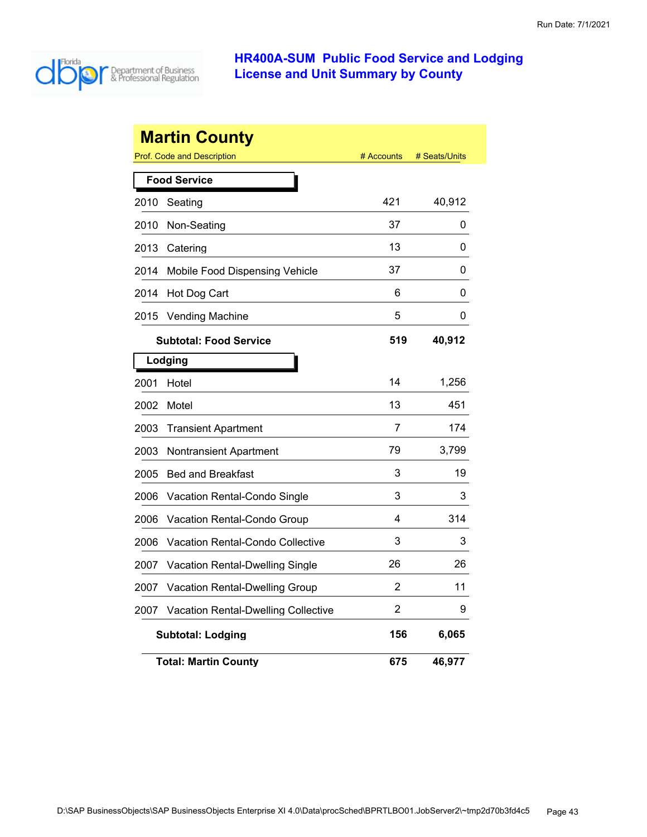

|                     | <b>Martin County</b><br><b>Prof. Code and Description</b> | # Accounts | # Seats/Units |
|---------------------|-----------------------------------------------------------|------------|---------------|
| <b>Food Service</b> |                                                           |            |               |
| 2010                | Seating                                                   | 421        | 40,912        |
| 2010                | Non-Seating                                               | 37         | 0             |
| 2013                | Catering                                                  | 13         | 0             |
| 2014                | Mobile Food Dispensing Vehicle                            | 37         | 0             |
| 2014                | Hot Dog Cart                                              | 6          | 0             |
| 2015                | <b>Vending Machine</b>                                    | 5          | 0             |
|                     | <b>Subtotal: Food Service</b>                             | 519        | 40,912        |
|                     | Lodging                                                   |            |               |
| 2001                | Hotel                                                     | 14         | 1,256         |
| 2002                | Motel                                                     | 13         | 451           |
| 2003                | <b>Transient Apartment</b>                                | 7          | 174           |
| 2003                | Nontransient Apartment                                    | 79         | 3,799         |
| 2005                | <b>Bed and Breakfast</b>                                  | 3          | 19            |
| 2006                | Vacation Rental-Condo Single                              | 3          | 3             |
| 2006                | Vacation Rental-Condo Group                               | 4          | 314           |
| 2006                | <b>Vacation Rental-Condo Collective</b>                   | 3          | 3             |
| 2007                | <b>Vacation Rental-Dwelling Single</b>                    | 26         | 26            |
| 2007                | Vacation Rental-Dwelling Group                            | 2          | 11            |
| 2007                | <b>Vacation Rental-Dwelling Collective</b>                | 2          | 9             |
|                     | <b>Subtotal: Lodging</b>                                  | 156        | 6,065         |
|                     | <b>Total: Martin County</b>                               | 675        | 46,977        |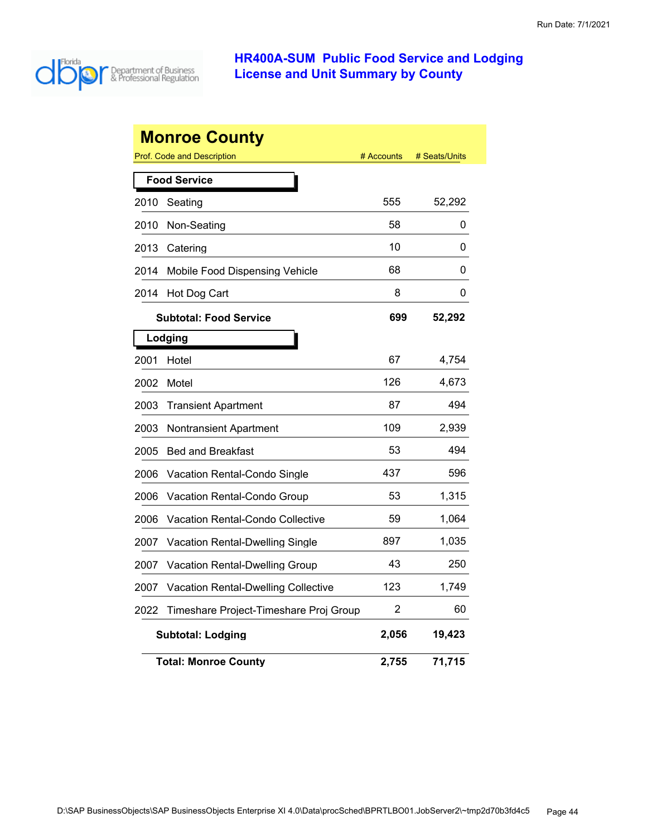

|      | <b>Monroe County</b>                    |            |               |
|------|-----------------------------------------|------------|---------------|
|      | Prof. Code and Description              | # Accounts | # Seats/Units |
|      | <b>Food Service</b>                     |            |               |
| 2010 | Seating                                 | 555        | 52,292        |
| 2010 | Non-Seating                             | 58         | 0             |
| 2013 | Catering                                | 10         | 0             |
| 2014 | Mobile Food Dispensing Vehicle          | 68         | 0             |
| 2014 | Hot Dog Cart                            | 8          | 0             |
|      | <b>Subtotal: Food Service</b>           | 699        | 52,292        |
|      | Lodging                                 |            |               |
| 2001 | Hotel                                   | 67         | 4,754         |
| 2002 | Motel                                   | 126        | 4,673         |
| 2003 | <b>Transient Apartment</b>              | 87         | 494           |
| 2003 | <b>Nontransient Apartment</b>           | 109        | 2,939         |
| 2005 | <b>Bed and Breakfast</b>                | 53         | 494           |
| 2006 | Vacation Rental-Condo Single            | 437        | 596           |
| 2006 | Vacation Rental-Condo Group             | 53         | 1,315         |
| 2006 | <b>Vacation Rental-Condo Collective</b> | 59         | 1,064         |
| 2007 | Vacation Rental-Dwelling Single         | 897        | 1,035         |
| 2007 | <b>Vacation Rental-Dwelling Group</b>   | 43         | 250           |
| 2007 | Vacation Rental-Dwelling Collective     | 123        | 1,749         |
| 2022 | Timeshare Project-Timeshare Proj Group  | 2          | 60            |
|      | <b>Subtotal: Lodging</b>                | 2,056      | 19,423        |
|      | <b>Total: Monroe Countv</b>             | 2,755      | 71,715        |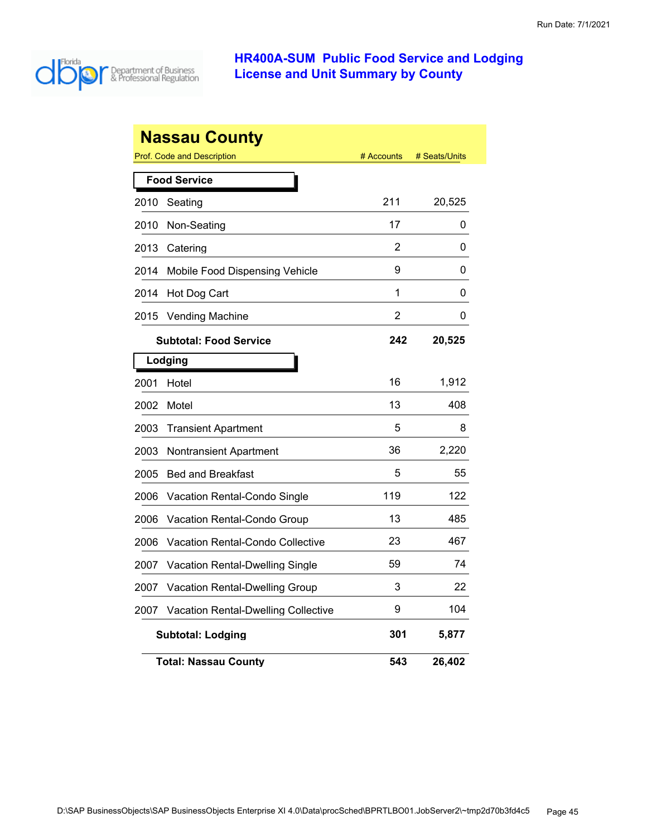

|      | <b>Nassau County</b>                       |                |               |
|------|--------------------------------------------|----------------|---------------|
|      | Prof. Code and Description                 | # Accounts     | # Seats/Units |
|      | <b>Food Service</b>                        |                |               |
| 2010 | Seating                                    | 211            | 20,525        |
| 2010 | Non-Seating                                | 17             | 0             |
| 2013 | Catering                                   | 2              | 0             |
| 2014 | Mobile Food Dispensing Vehicle             | 9              | 0             |
| 2014 | Hot Dog Cart                               | 1              | 0             |
| 2015 | <b>Vending Machine</b>                     | $\overline{2}$ | 0             |
|      | <b>Subtotal: Food Service</b>              | 242            | 20,525        |
|      | Lodging                                    |                |               |
| 2001 | Hotel                                      | 16             | 1,912         |
| 2002 | Motel                                      | 13             | 408           |
| 2003 | <b>Transient Apartment</b>                 | 5              | 8             |
| 2003 | <b>Nontransient Apartment</b>              | 36             | 2,220         |
| 2005 | <b>Bed and Breakfast</b>                   | 5              | 55            |
| 2006 | <b>Vacation Rental-Condo Single</b>        | 119            | 122           |
| 2006 | Vacation Rental-Condo Group                | 13             | 485           |
| 2006 | Vacation Rental-Condo Collective           | 23             | 467           |
| 2007 | Vacation Rental-Dwelling Single            | 59             | 74            |
| 2007 | Vacation Rental-Dwelling Group             | 3              | 22            |
| 2007 | <b>Vacation Rental-Dwelling Collective</b> | 9              | 104           |
|      | <b>Subtotal: Lodging</b>                   | 301            | 5,877         |
|      | Total: Nassau Countv                       | 543            | 26,402        |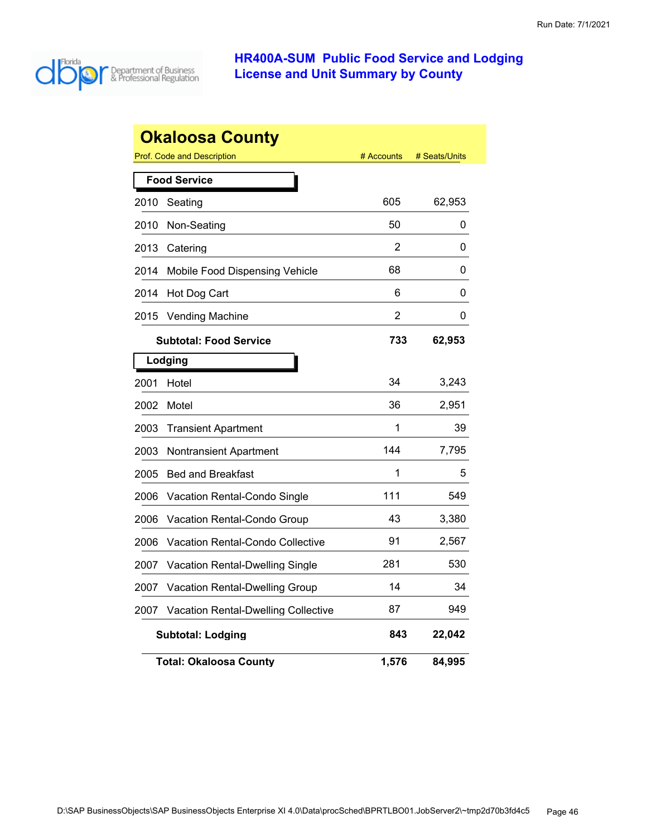

|      | <b>Okaloosa County</b>                     |            |               |
|------|--------------------------------------------|------------|---------------|
|      | <b>Prof. Code and Description</b>          | # Accounts | # Seats/Units |
|      | <b>Food Service</b>                        |            |               |
| 2010 | Seating                                    | 605        | 62,953        |
| 2010 | Non-Seating                                | 50         | 0             |
| 2013 | Catering                                   | 2          | 0             |
| 2014 | Mobile Food Dispensing Vehicle             | 68         | 0             |
| 2014 | Hot Dog Cart                               | 6          | 0             |
| 2015 | <b>Vending Machine</b>                     | 2          | 0             |
|      | <b>Subtotal: Food Service</b>              | 733        | 62,953        |
|      | Lodging                                    |            |               |
| 2001 | Hotel                                      | 34         | 3,243         |
| 2002 | Motel                                      | 36         | 2,951         |
| 2003 | <b>Transient Apartment</b>                 | 1          | 39            |
| 2003 | Nontransient Apartment                     | 144        | 7,795         |
| 2005 | <b>Bed and Breakfast</b>                   | 1          | 5             |
| 2006 | Vacation Rental-Condo Single               | 111        | 549           |
| 2006 | Vacation Rental-Condo Group                | 43         | 3,380         |
| 2006 | Vacation Rental-Condo Collective           | 91         | 2,567         |
| 2007 | Vacation Rental-Dwelling Single            | 281        | 530           |
| 2007 | Vacation Rental-Dwelling Group             | 14         | 34            |
| 2007 | <b>Vacation Rental-Dwelling Collective</b> | 87         | 949           |
|      | <b>Subtotal: Lodging</b>                   | 843        | 22,042        |
|      | <b>Total: Okaloosa County</b>              | 1,576      | 84,995        |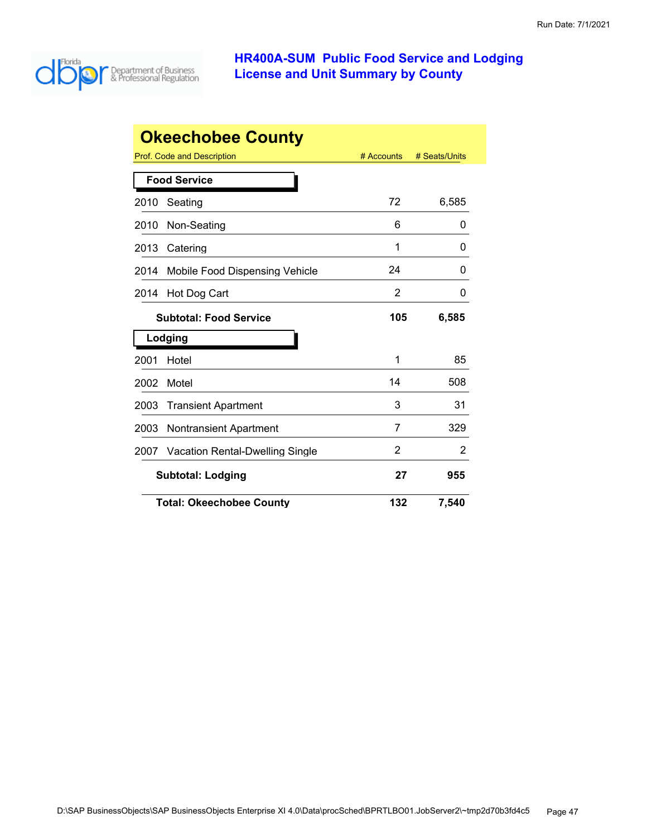

|      | <b>Okeechobee County</b>               |            |               |
|------|----------------------------------------|------------|---------------|
|      | Prof. Code and Description             | # Accounts | # Seats/Units |
|      | <b>Food Service</b>                    |            |               |
| 2010 | Seating                                | 72         | 6,585         |
| 2010 | Non-Seating                            | 6          | 0             |
| 2013 | Catering                               | 1          | 0             |
| 2014 | Mobile Food Dispensing Vehicle         | 24         | 0             |
| 2014 | Hot Dog Cart                           | 2          | 0             |
|      | <b>Subtotal: Food Service</b>          | 105        | 6,585         |
|      | Lodging                                |            |               |
| 2001 | Hotel                                  | 1          | 85            |
| 2002 | Motel                                  | 14         | 508           |
| 2003 | <b>Transient Apartment</b>             | 3          | 31            |
| 2003 | <b>Nontransient Apartment</b>          | 7          | 329           |
| 2007 | <b>Vacation Rental-Dwelling Single</b> | 2          | 2             |
|      | <b>Subtotal: Lodging</b>               | 27         | 955           |
|      | <b>Total: Okeechobee County</b>        | 132        | 7,540         |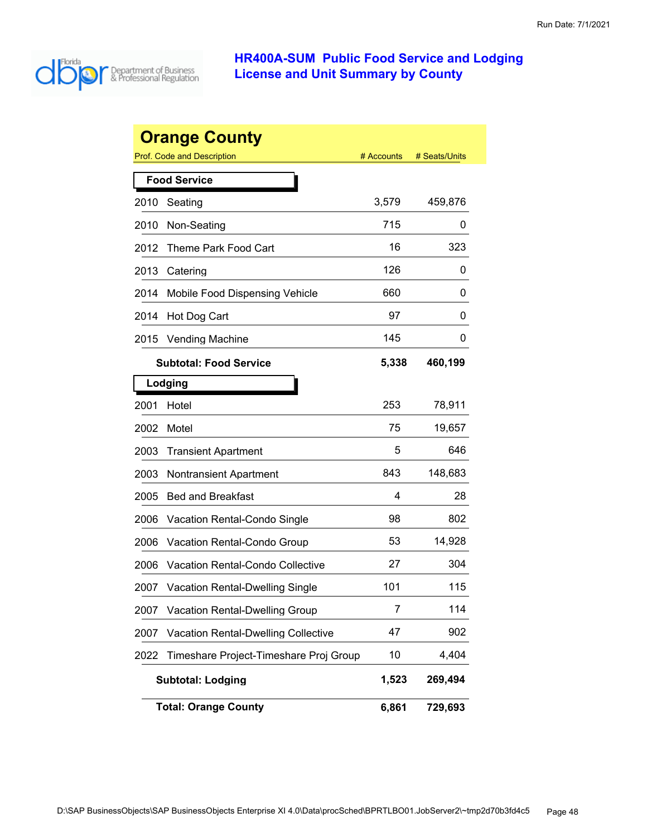

|      | <b>Orange County</b>                       |            |               |
|------|--------------------------------------------|------------|---------------|
|      | Prof. Code and Description                 | # Accounts | # Seats/Units |
|      | <b>Food Service</b>                        |            |               |
| 2010 | Seating                                    | 3,579      | 459,876       |
| 2010 | Non-Seating                                | 715        | 0             |
| 2012 | Theme Park Food Cart                       | 16         | 323           |
| 2013 | Catering                                   | 126        | 0             |
| 2014 | Mobile Food Dispensing Vehicle             | 660        | 0             |
| 2014 | Hot Dog Cart                               | 97         | 0             |
| 2015 | <b>Vending Machine</b>                     | 145        | Ü             |
|      | Subtotal: Food Service                     | 5,338      | 460,199       |
|      | Lodging                                    |            |               |
| 2001 | Hotel                                      | 253        | 78,911        |
| 2002 | Motel                                      | 75         | 19,657        |
| 2003 | <b>Transient Apartment</b>                 | 5          | 646           |
| 2003 | <b>Nontransient Apartment</b>              | 843        | 148,683       |
| 2005 | <b>Bed and Breakfast</b>                   | 4          | 28            |
| 2006 | Vacation Rental-Condo Single               | 98         | 802           |
| 2006 | Vacation Rental-Condo Group                | 53         | 14,928        |
| 2006 | Vacation Rental-Condo Collective           | 27         | 304           |
| 2007 | <b>Vacation Rental-Dwelling Single</b>     | 101        | 115           |
| 2007 | <b>Vacation Rental-Dwelling Group</b>      | 7          | 114           |
| 2007 | <b>Vacation Rental-Dwelling Collective</b> | 47         | 902           |
| 2022 | Timeshare Project-Timeshare Proj Group     | 10         | 4,404         |
|      | <b>Subtotal: Lodging</b>                   | 1,523      | 269,494       |
|      | <b>Total: Orange County</b>                | 6,861      | 729,693       |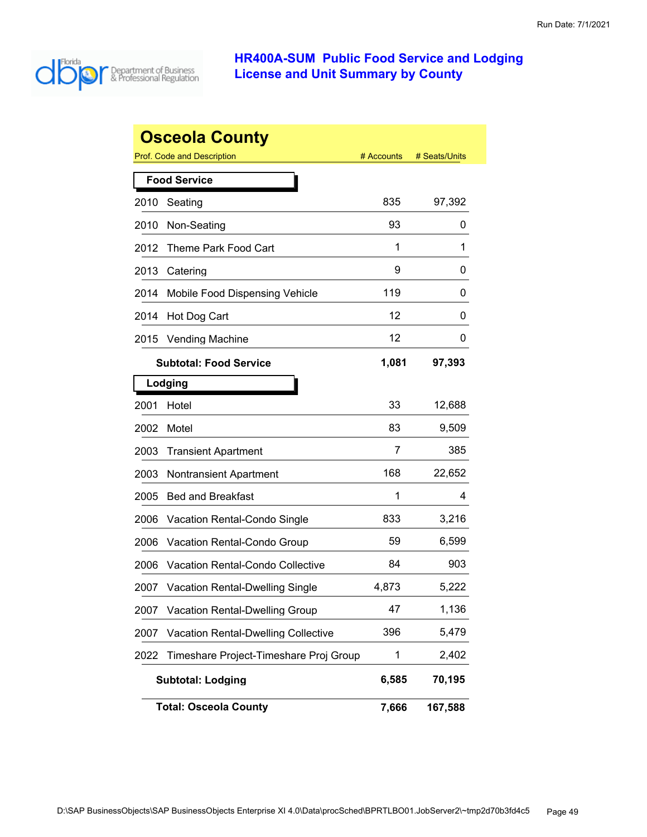

|      | <b>Osceola County</b>                      |            |               |
|------|--------------------------------------------|------------|---------------|
|      | <b>Prof. Code and Description</b>          | # Accounts | # Seats/Units |
|      | <b>Food Service</b>                        |            |               |
| 2010 | Seating                                    | 835        | 97,392        |
| 2010 | Non-Seating                                | 93         | 0             |
| 2012 | Theme Park Food Cart                       | 1          | 1             |
| 2013 | Catering                                   | 9          | 0             |
| 2014 | Mobile Food Dispensing Vehicle             | 119        | 0             |
| 2014 | Hot Dog Cart                               | 12         | 0             |
| 2015 | <b>Vending Machine</b>                     | 12         | 0             |
|      | <b>Subtotal: Food Service</b>              | 1,081      | 97,393        |
|      | Lodging                                    |            |               |
| 2001 | Hotel                                      | 33         | 12,688        |
| 2002 | Motel                                      | 83         | 9,509         |
| 2003 | <b>Transient Apartment</b>                 | 7          | 385           |
| 2003 | Nontransient Apartment                     | 168        | 22,652        |
| 2005 | <b>Bed and Breakfast</b>                   | 1          | 4             |
| 2006 | Vacation Rental-Condo Single               | 833        | 3,216         |
| 2006 | Vacation Rental-Condo Group                | 59         | 6,599         |
| 2006 | Vacation Rental-Condo Collective           | 84         | 903           |
| 2007 | <b>Vacation Rental-Dwelling Single</b>     | 4,873      | 5,222         |
| 2007 | <b>Vacation Rental-Dwelling Group</b>      | 47         | 1,136         |
| 2007 | <b>Vacation Rental-Dwelling Collective</b> | 396        | 5,479         |
| 2022 | Timeshare Project-Timeshare Proj Group     | 1          | 2,402         |
|      | <b>Subtotal: Lodging</b>                   | 6,585      | 70,195        |
|      | <b>Total: Osceola County</b>               | 7,666      | 167,588       |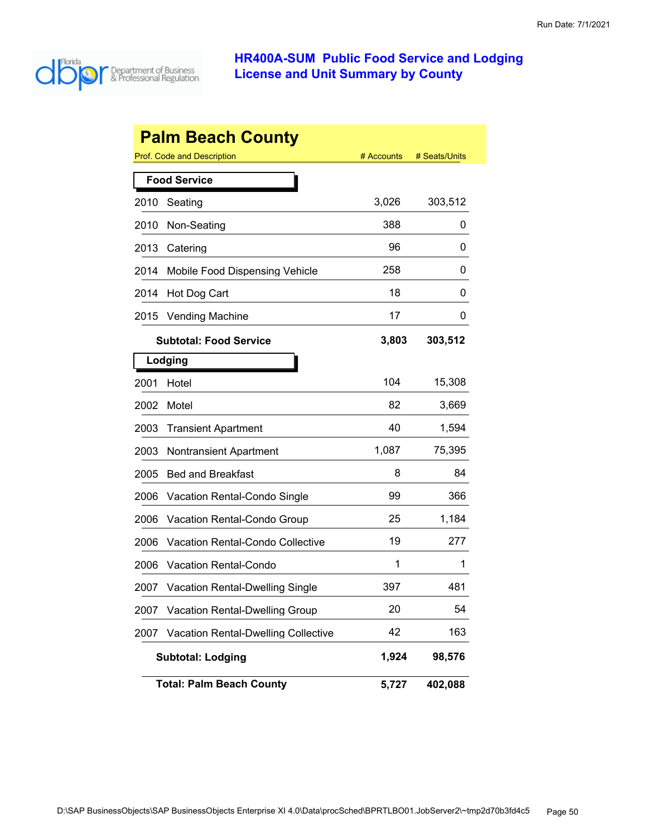

| <b>Palm Beach County</b> |                                            |            |               |  |
|--------------------------|--------------------------------------------|------------|---------------|--|
|                          | <b>Prof. Code and Description</b>          | # Accounts | # Seats/Units |  |
|                          | <b>Food Service</b>                        |            |               |  |
| 2010                     | Seating                                    | 3,026      | 303,512       |  |
| 2010                     | Non-Seating                                | 388        | 0             |  |
| 2013                     | Catering                                   | 96         | 0             |  |
| 2014                     | Mobile Food Dispensing Vehicle             | 258        | 0             |  |
| 2014                     | Hot Dog Cart                               | 18         | 0             |  |
| 2015                     | <b>Vending Machine</b>                     | 17         | 0             |  |
|                          | <b>Subtotal: Food Service</b>              | 3,803      | 303,512       |  |
|                          | Lodging                                    |            |               |  |
| 2001                     | Hotel                                      | 104        | 15,308        |  |
| 2002                     | Motel                                      | 82         | 3,669         |  |
| 2003                     | <b>Transient Apartment</b>                 | 40         | 1,594         |  |
| 2003                     | <b>Nontransient Apartment</b>              | 1,087      | 75,395        |  |
| 2005                     | <b>Bed and Breakfast</b>                   | 8          | 84            |  |
| 2006                     | Vacation Rental-Condo Single               | 99         | 366           |  |
| 2006                     | Vacation Rental-Condo Group                | 25         | 1,184         |  |
| 2006                     | Vacation Rental-Condo Collective           | 19         | 277           |  |
| 2006                     | Vacation Rental-Condo                      | 1          | 1             |  |
| 2007                     | <b>Vacation Rental-Dwelling Single</b>     | 397        | 481           |  |
| 2007                     | <b>Vacation Rental-Dwelling Group</b>      | 20         | 54            |  |
| 2007                     | <b>Vacation Rental-Dwelling Collective</b> | 42         | 163           |  |
|                          | <b>Subtotal: Lodging</b>                   | 1,924      | 98,576        |  |
|                          | <b>Total: Palm Beach County</b>            | 5,727      | 402,088       |  |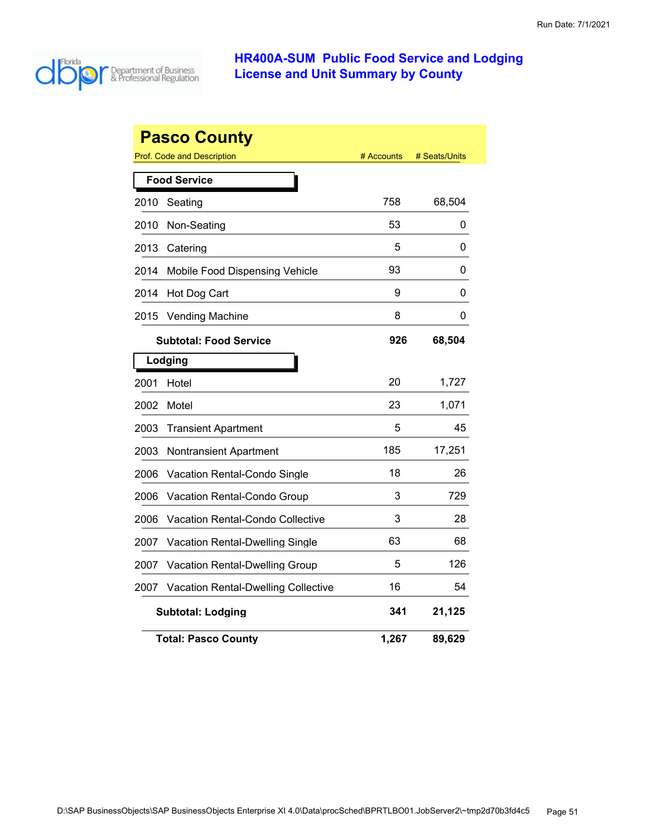

| <b>Pasco County</b> |                                            |            |               |  |  |
|---------------------|--------------------------------------------|------------|---------------|--|--|
|                     | Prof. Code and Description                 | # Accounts | # Seats/Units |  |  |
|                     | <b>Food Service</b>                        |            |               |  |  |
| 2010                | Seating                                    | 758        | 68,504        |  |  |
| 2010                | Non-Seating                                | 53         | 0             |  |  |
| 2013                | Catering                                   | 5          | 0             |  |  |
| 2014                | Mobile Food Dispensing Vehicle             | 93         | 0             |  |  |
| 2014                | Hot Dog Cart                               | 9          | 0             |  |  |
| 2015                | Vending Machine                            | 8          | 0             |  |  |
|                     | <b>Subtotal: Food Service</b>              | 926        | 68,504        |  |  |
|                     | Lodging                                    |            |               |  |  |
| 2001                | Hotel                                      | 20         | 1,727         |  |  |
| 2002                | Motel                                      | 23         | 1,071         |  |  |
| 2003                | <b>Transient Apartment</b>                 | 5          | 45            |  |  |
| 2003                | Nontransient Apartment                     | 185        | 17,251        |  |  |
| 2006                | Vacation Rental-Condo Single               | 18         | 26            |  |  |
| 2006                | Vacation Rental-Condo Group                | 3          | 729           |  |  |
| 2006                | <b>Vacation Rental-Condo Collective</b>    | 3          | 28            |  |  |
| 2007                | Vacation Rental-Dwelling Single            | 63         | 68            |  |  |
| 2007                | Vacation Rental-Dwelling Group             | 5          | 126           |  |  |
| 2007                | <b>Vacation Rental-Dwelling Collective</b> | 16         | 54            |  |  |
|                     | <b>Subtotal: Lodging</b>                   | 341        | 21,125        |  |  |
|                     | Total: Pasco Countv                        | 1,267      | 89,629        |  |  |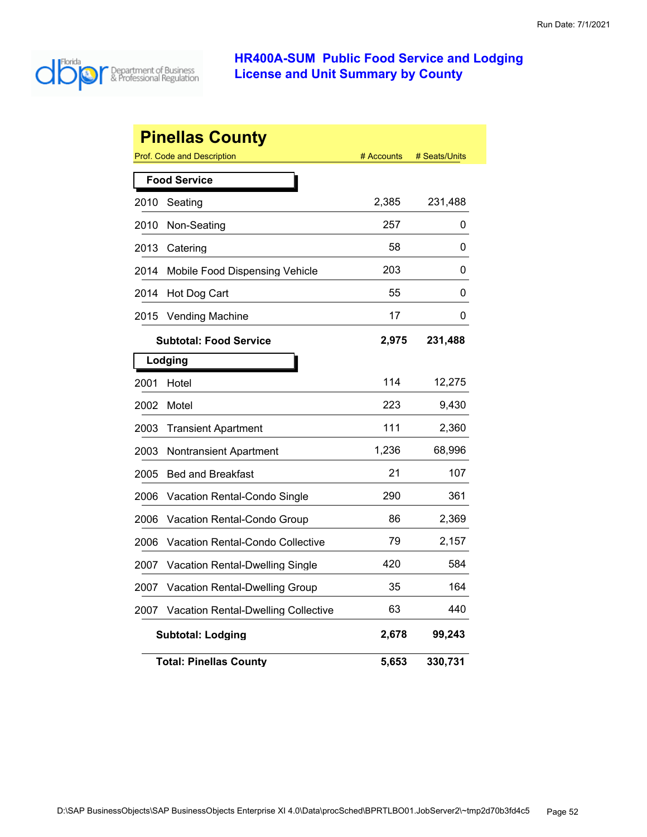

| <b>Pinellas County</b> |                                            |            |               |  |
|------------------------|--------------------------------------------|------------|---------------|--|
|                        | <b>Prof. Code and Description</b>          | # Accounts | # Seats/Units |  |
|                        | <b>Food Service</b>                        |            |               |  |
| 2010                   | Seating                                    | 2,385      | 231,488       |  |
| 2010                   | Non-Seating                                | 257        | 0             |  |
| 2013                   | Catering                                   | 58         | 0             |  |
| 2014                   | Mobile Food Dispensing Vehicle             | 203        | 0             |  |
| 2014                   | Hot Dog Cart                               | 55         | 0             |  |
| 2015                   | <b>Vending Machine</b>                     | 17         | 0             |  |
|                        | <b>Subtotal: Food Service</b>              | 2,975      | 231,488       |  |
|                        | Lodging                                    |            |               |  |
| 2001                   | Hotel                                      | 114        | 12,275        |  |
| 2002                   | Motel                                      | 223        | 9,430         |  |
| 2003                   | <b>Transient Apartment</b>                 | 111        | 2,360         |  |
| 2003                   | Nontransient Apartment                     | 1,236      | 68,996        |  |
| 2005                   | <b>Bed and Breakfast</b>                   | 21         | 107           |  |
| 2006                   | <b>Vacation Rental-Condo Single</b>        | 290        | 361           |  |
| 2006                   | Vacation Rental-Condo Group                | 86         | 2,369         |  |
| 2006                   | Vacation Rental-Condo Collective           | 79         | 2,157         |  |
| 2007                   | Vacation Rental-Dwelling Single            | 420        | 584           |  |
| 2007                   | <b>Vacation Rental-Dwelling Group</b>      | 35         | 164           |  |
| 2007                   | <b>Vacation Rental-Dwelling Collective</b> | 63         | 440           |  |
|                        | <b>Subtotal: Lodging</b>                   | 2,678      | 99,243        |  |
|                        | <b>Total: Pinellas County</b>              | 5,653      | 330,731       |  |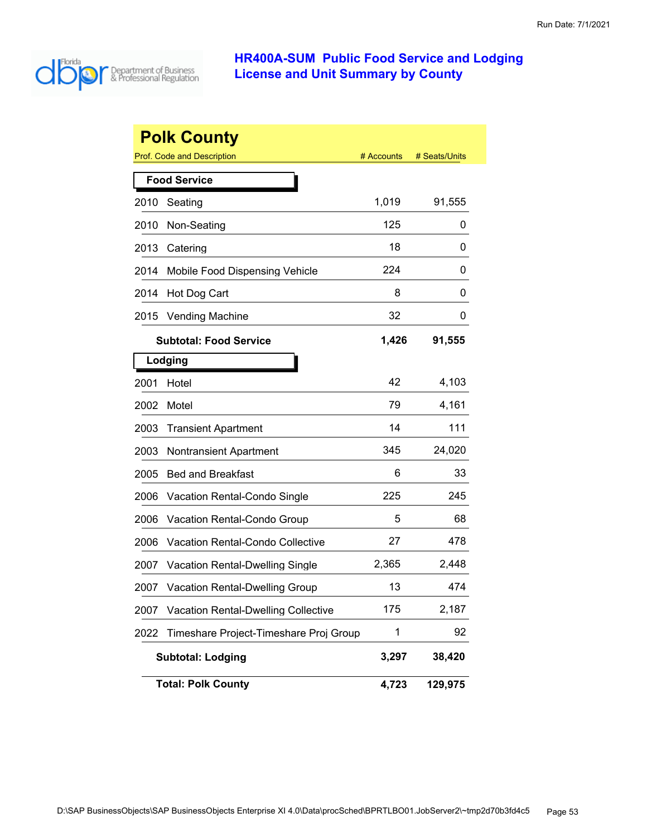

|      | <b>Polk County</b>                                       |            |               |
|------|----------------------------------------------------------|------------|---------------|
|      | <b>Prof. Code and Description</b><br><b>Food Service</b> | # Accounts | # Seats/Units |
| 2010 | Seating                                                  | 1,019      | 91,555        |
| 2010 | Non-Seating                                              | 125        | 0             |
| 2013 | Catering                                                 | 18         | 0             |
| 2014 | Mobile Food Dispensing Vehicle                           | 224        | 0             |
| 2014 | Hot Dog Cart                                             | 8          | 0             |
| 2015 | <b>Vending Machine</b>                                   | 32         | 0             |
|      | <b>Subtotal: Food Service</b>                            | 1,426      | 91,555        |
|      | Lodging                                                  |            |               |
| 2001 | Hotel                                                    | 42         | 4,103         |
| 2002 | Motel                                                    | 79         | 4,161         |
| 2003 | <b>Transient Apartment</b>                               | 14         | 111           |
| 2003 | <b>Nontransient Apartment</b>                            | 345        | 24,020        |
| 2005 | <b>Bed and Breakfast</b>                                 | 6          | 33            |
| 2006 | Vacation Rental-Condo Single                             | 225        | 245           |
| 2006 | Vacation Rental-Condo Group                              | 5          | 68            |
| 2006 | <b>Vacation Rental-Condo Collective</b>                  | 27         | 478           |
| 2007 | <b>Vacation Rental-Dwelling Single</b>                   | 2,365      | 2,448         |
| 2007 | <b>Vacation Rental-Dwelling Group</b>                    | 13         | 474           |
| 2007 | <b>Vacation Rental-Dwelling Collective</b>               | 175        | 2,187         |
| 2022 | Timeshare Project-Timeshare Proj Group                   | 1          | 92            |
|      | <b>Subtotal: Lodging</b>                                 | 3,297      | 38,420        |
|      | <b>Total: Polk County</b>                                | 4,723      | 129,975       |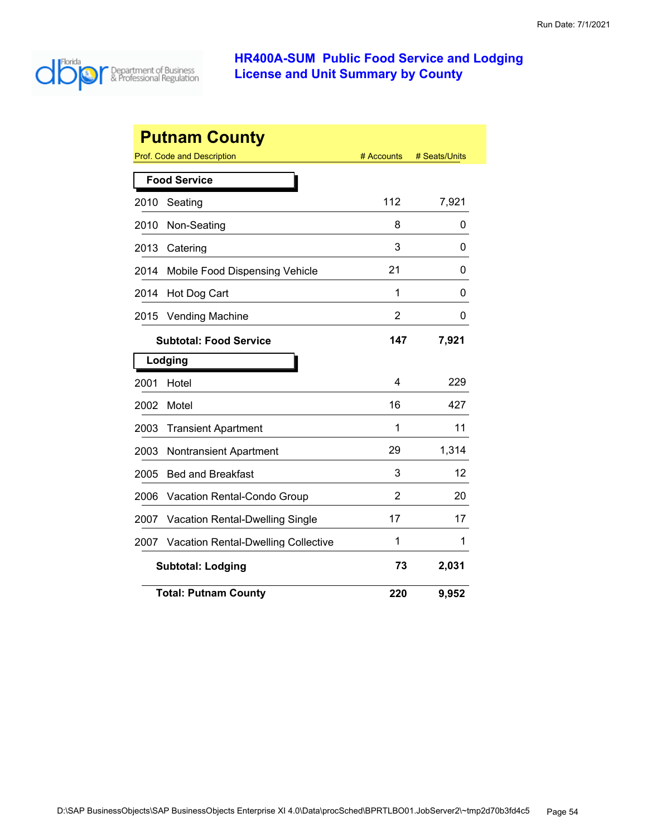

| <b>Putnam County</b>          |                                            |            |               |  |  |
|-------------------------------|--------------------------------------------|------------|---------------|--|--|
|                               | Prof. Code and Description                 | # Accounts | # Seats/Units |  |  |
|                               | <b>Food Service</b>                        |            |               |  |  |
| 2010                          | Seating                                    | 112        | 7,921         |  |  |
| 2010                          | Non-Seating                                | 8          | 0             |  |  |
| 2013                          | Catering                                   | 3          | 0             |  |  |
| 2014                          | Mobile Food Dispensing Vehicle             | 21         | 0             |  |  |
| 2014                          | Hot Dog Cart                               | 1          | 0             |  |  |
| 2015                          | <b>Vending Machine</b>                     | 2          | 0             |  |  |
| <b>Subtotal: Food Service</b> |                                            | 147        | 7,921         |  |  |
|                               | Lodging                                    |            |               |  |  |
| 2001                          | Hotel                                      | 4          | 229           |  |  |
| 2002                          | Motel                                      | 16         | 427           |  |  |
| 2003                          | <b>Transient Apartment</b>                 | 1          | 11            |  |  |
| 2003                          | <b>Nontransient Apartment</b>              | 29         | 1,314         |  |  |
| 2005                          | <b>Bed and Breakfast</b>                   | 3          | 12            |  |  |
| 2006                          | Vacation Rental-Condo Group                | 2          | 20            |  |  |
| 2007                          | <b>Vacation Rental-Dwelling Single</b>     | 17         | 17            |  |  |
| 2007                          | <b>Vacation Rental-Dwelling Collective</b> | 1          | 1             |  |  |
|                               | <b>Subtotal: Lodging</b>                   | 73         | 2,031         |  |  |
|                               | <b>Total: Putnam County</b>                | 220        | 9,952         |  |  |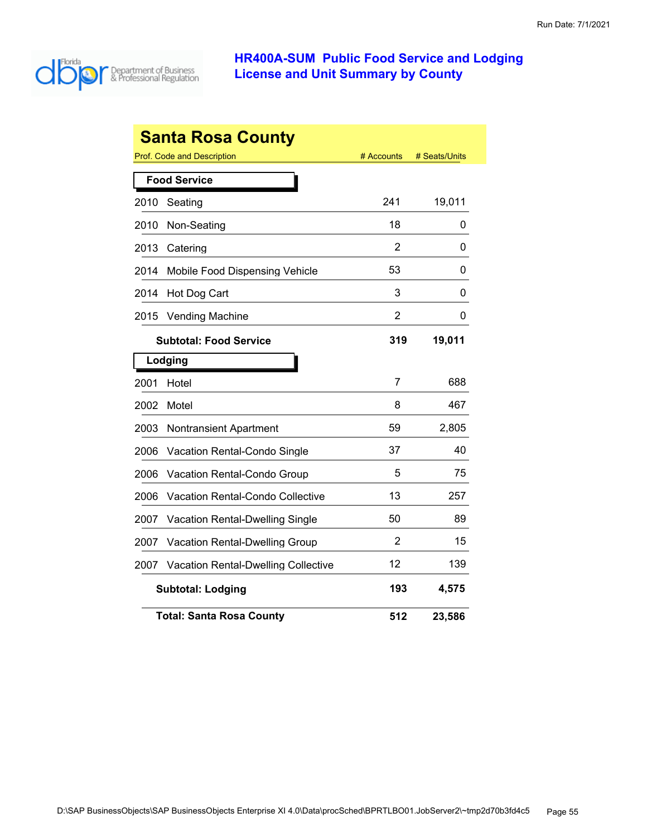

| <b>Santa Rosa County</b> |                                                           |     |        |  |  |  |
|--------------------------|-----------------------------------------------------------|-----|--------|--|--|--|
|                          | Prof. Code and Description<br># Accounts<br># Seats/Units |     |        |  |  |  |
|                          | <b>Food Service</b>                                       |     |        |  |  |  |
| 2010                     | Seating                                                   | 241 | 19,011 |  |  |  |
| 2010                     | Non-Seating                                               | 18  | 0      |  |  |  |
| 2013                     | Catering                                                  | 2   | 0      |  |  |  |
| 2014                     | Mobile Food Dispensing Vehicle                            | 53  | 0      |  |  |  |
| 2014                     | Hot Dog Cart                                              | 3   | 0      |  |  |  |
| 2015                     | <b>Vending Machine</b>                                    | 2   | 0      |  |  |  |
|                          | <b>Subtotal: Food Service</b>                             | 319 | 19,011 |  |  |  |
|                          | Lodging                                                   |     |        |  |  |  |
| 2001                     | Hotel                                                     | 7   | 688    |  |  |  |
| 2002                     | Motel                                                     | 8   | 467    |  |  |  |
| 2003                     | <b>Nontransient Apartment</b>                             | 59  | 2,805  |  |  |  |
| 2006                     | <b>Vacation Rental-Condo Single</b>                       | 37  | 40     |  |  |  |
| 2006                     | Vacation Rental-Condo Group                               | 5   | 75     |  |  |  |
| 2006                     | Vacation Rental-Condo Collective                          | 13  | 257    |  |  |  |
| 2007                     | Vacation Rental-Dwelling Single                           | 50  | 89     |  |  |  |
| 2007                     | <b>Vacation Rental-Dwelling Group</b>                     | 2   | 15     |  |  |  |
| 2007                     | <b>Vacation Rental-Dwelling Collective</b>                | 12  | 139    |  |  |  |
|                          | <b>Subtotal: Lodging</b>                                  | 193 | 4,575  |  |  |  |
|                          | <b>Total: Santa Rosa County</b>                           | 512 | 23,586 |  |  |  |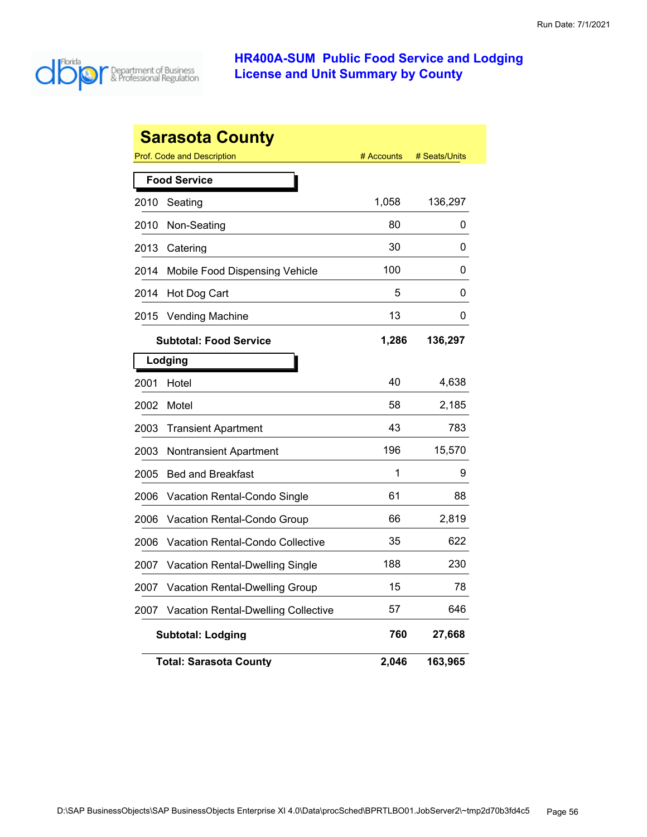

| <b>Sarasota County</b> |                                            |            |               |  |
|------------------------|--------------------------------------------|------------|---------------|--|
|                        | Prof. Code and Description                 | # Accounts | # Seats/Units |  |
|                        | <b>Food Service</b>                        |            |               |  |
| 2010                   | Seating                                    | 1,058      | 136,297       |  |
| 2010                   | Non-Seating                                | 80         | 0             |  |
| 2013                   | Catering                                   | 30         | 0             |  |
| 2014                   | Mobile Food Dispensing Vehicle             | 100        | 0             |  |
| 2014                   | Hot Dog Cart                               | 5          | 0             |  |
| 2015                   | <b>Vending Machine</b>                     | 13         | 0             |  |
|                        | <b>Subtotal: Food Service</b>              | 1,286      | 136,297       |  |
| Lodging                |                                            |            |               |  |
| 2001                   | Hotel                                      | 40         | 4,638         |  |
| 2002                   | Motel                                      | 58         | 2,185         |  |
| 2003                   | <b>Transient Apartment</b>                 | 43         | 783           |  |
| 2003                   | <b>Nontransient Apartment</b>              | 196        | 15,570        |  |
| 2005                   | <b>Bed and Breakfast</b>                   | 1          | 9             |  |
| 2006                   | Vacation Rental-Condo Single               | 61         | 88            |  |
| 2006                   | Vacation Rental-Condo Group                | 66         | 2,819         |  |
| 2006                   | Vacation Rental-Condo Collective           | 35         | 622           |  |
| 2007                   | <b>Vacation Rental-Dwelling Single</b>     | 188        | 230           |  |
| 2007                   | <b>Vacation Rental-Dwelling Group</b>      | 15         | 78            |  |
| 2007                   | <b>Vacation Rental-Dwelling Collective</b> | 57         | 646           |  |
|                        | <b>Subtotal: Lodging</b>                   | 760        | 27,668        |  |
|                        | Total: Sarasota Countv                     | 2,046      | 163,965       |  |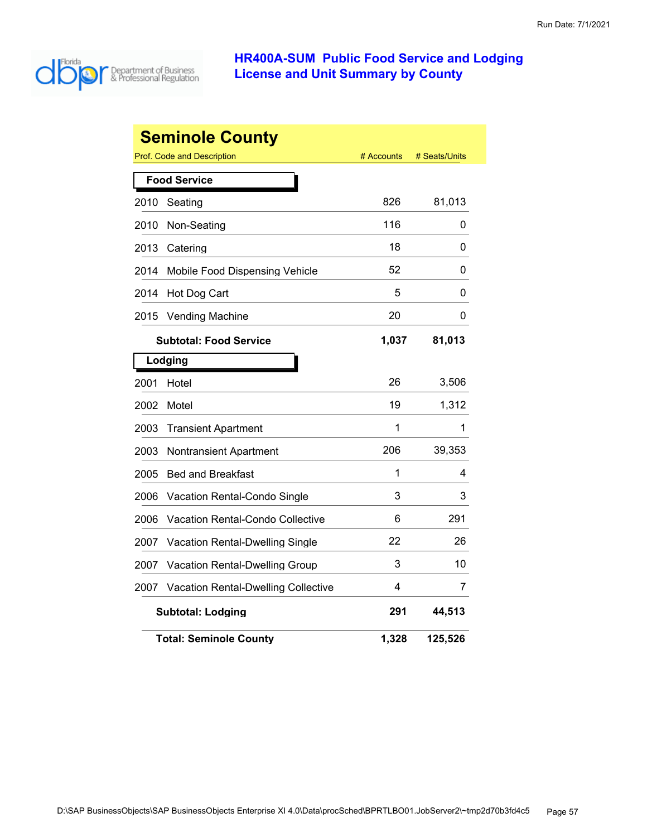

| <b>Seminole County</b> |                                            |            |               |  |  |
|------------------------|--------------------------------------------|------------|---------------|--|--|
|                        | <b>Prof. Code and Description</b>          | # Accounts | # Seats/Units |  |  |
|                        | <b>Food Service</b>                        |            |               |  |  |
| 2010                   | Seating                                    | 826        | 81,013        |  |  |
| 2010                   | Non-Seating                                | 116        | 0             |  |  |
| 2013                   | Catering                                   | 18         | 0             |  |  |
| 2014                   | Mobile Food Dispensing Vehicle             | 52         | 0             |  |  |
| 2014                   | Hot Dog Cart                               | 5          | 0             |  |  |
| 2015                   | <b>Vending Machine</b>                     | 20         | 0             |  |  |
|                        | <b>Subtotal: Food Service</b>              | 1,037      | 81,013        |  |  |
|                        | Lodging                                    |            |               |  |  |
| 2001                   | Hotel                                      | 26         | 3,506         |  |  |
| 2002                   | Motel                                      | 19         | 1,312         |  |  |
| 2003                   | <b>Transient Apartment</b>                 | 1          | 1             |  |  |
| 2003                   | <b>Nontransient Apartment</b>              | 206        | 39,353        |  |  |
| 2005                   | <b>Bed and Breakfast</b>                   | 1          | 4             |  |  |
| 2006                   | Vacation Rental-Condo Single               | 3          | 3             |  |  |
| 2006                   | Vacation Rental-Condo Collective           | 6          | 291           |  |  |
| 2007                   | Vacation Rental-Dwelling Single            | 22         | 26            |  |  |
| 2007                   | Vacation Rental-Dwelling Group             | 3          | 10            |  |  |
| 2007                   | <b>Vacation Rental-Dwelling Collective</b> | 4          | 7             |  |  |
|                        | <b>Subtotal: Lodging</b>                   | 291        | 44,513        |  |  |
|                        | <b>Total: Seminole County</b>              | 1,328      | 125,526       |  |  |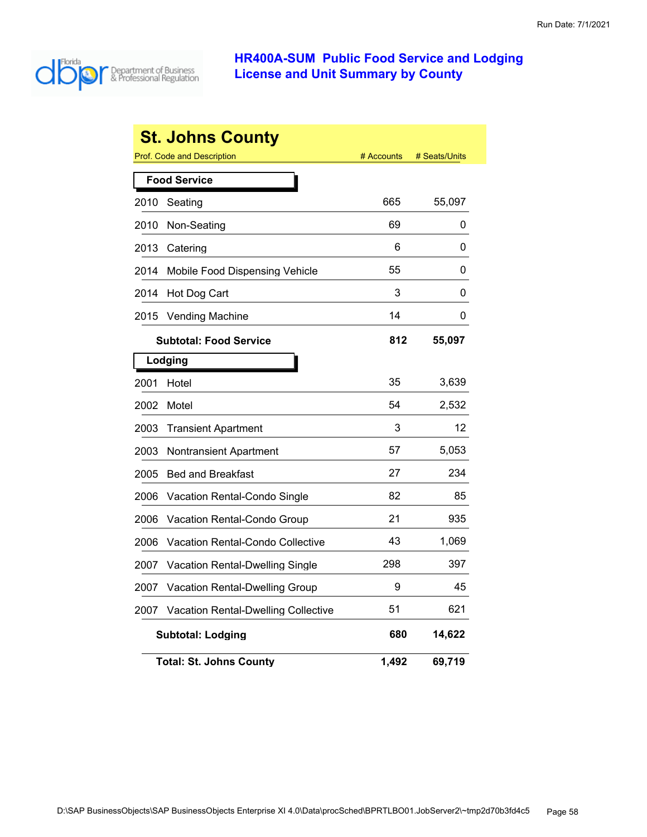

|      | <b>St. Johns County</b>                    |            |               |
|------|--------------------------------------------|------------|---------------|
|      | <b>Prof. Code and Description</b>          | # Accounts | # Seats/Units |
|      | <b>Food Service</b>                        |            |               |
| 2010 | Seating                                    | 665        | 55,097        |
| 2010 | Non-Seating                                | 69         | 0             |
| 2013 | Catering                                   | 6          | 0             |
| 2014 | Mobile Food Dispensing Vehicle             | 55         | 0             |
| 2014 | Hot Dog Cart                               | 3          | 0             |
| 2015 | <b>Vending Machine</b>                     | 14         | 0             |
|      | <b>Subtotal: Food Service</b>              | 812        | 55,097        |
|      | Lodging                                    |            |               |
| 2001 | Hotel                                      | 35         | 3,639         |
| 2002 | Motel                                      | 54         | 2,532         |
| 2003 | <b>Transient Apartment</b>                 | 3          | 12            |
| 2003 | Nontransient Apartment                     | 57         | 5,053         |
| 2005 | <b>Bed and Breakfast</b>                   | 27         | 234           |
| 2006 | Vacation Rental-Condo Single               | 82         | 85            |
| 2006 | Vacation Rental-Condo Group                | 21         | 935           |
| 2006 | Vacation Rental-Condo Collective           | 43         | 1,069         |
| 2007 | Vacation Rental-Dwelling Single            | 298        | 397           |
| 2007 | Vacation Rental-Dwelling Group             | 9          | 45            |
| 2007 | <b>Vacation Rental-Dwelling Collective</b> | 51         | 621           |
|      | <b>Subtotal: Lodging</b>                   | 680        | 14,622        |
|      | <b>Total: St. Johns County</b>             | 1,492      | 69,719        |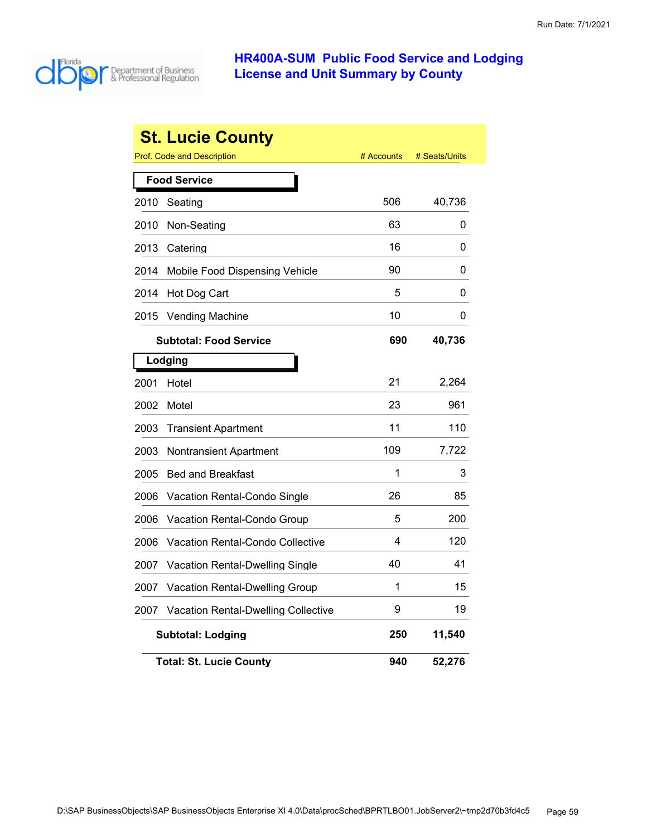

|      | <b>St. Lucie County</b>             |            |               |
|------|-------------------------------------|------------|---------------|
|      | <b>Prof. Code and Description</b>   | # Accounts | # Seats/Units |
|      | <b>Food Service</b>                 |            |               |
| 2010 | Seating                             | 506        | 40,736        |
| 2010 | Non-Seating                         | 63         | 0             |
| 2013 | Catering                            | 16         | 0             |
| 2014 | Mobile Food Dispensing Vehicle      | 90         | 0             |
| 2014 | Hot Dog Cart                        | 5          | 0             |
| 2015 | <b>Vending Machine</b>              | 10         | 0             |
|      | <b>Subtotal: Food Service</b>       | 690        | 40,736        |
|      | Lodging                             |            |               |
| 2001 | Hotel                               | 21         | 2,264         |
| 2002 | Motel                               | 23         | 961           |
| 2003 | <b>Transient Apartment</b>          | 11         | 110           |
| 2003 | Nontransient Apartment              | 109        | 7,722         |
| 2005 | <b>Bed and Breakfast</b>            | 1          | 3             |
| 2006 | Vacation Rental-Condo Single        | 26         | 85            |
| 2006 | Vacation Rental-Condo Group         | 5          | 200           |
| 2006 | Vacation Rental-Condo Collective    | 4          | 120           |
| 2007 | Vacation Rental-Dwelling Single     | 40         | 41            |
| 2007 | Vacation Rental-Dwelling Group      | 1          | 15            |
| 2007 | Vacation Rental-Dwelling Collective | 9          | 19            |
|      | <b>Subtotal: Lodging</b>            | 250        | 11,540        |
|      | <b>Total: St. Lucie County</b>      | 940        | 52,276        |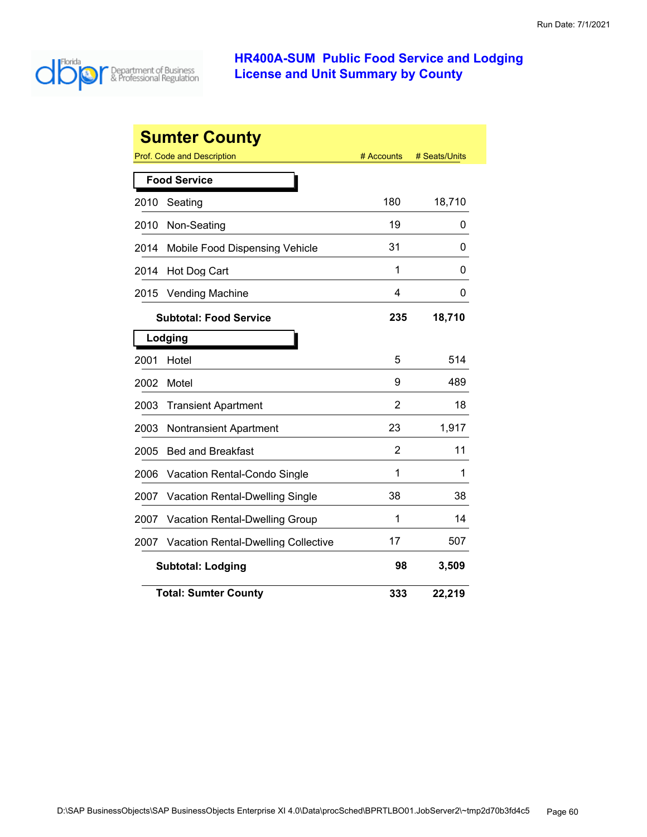

|      | <b>Sumter County</b>                       |                |               |
|------|--------------------------------------------|----------------|---------------|
|      | Prof. Code and Description                 | # Accounts     | # Seats/Units |
|      | <b>Food Service</b>                        |                |               |
| 2010 | Seating                                    | 180            | 18,710        |
| 2010 | Non-Seating                                | 19             | 0             |
| 2014 | Mobile Food Dispensing Vehicle             | 31             | 0             |
| 2014 | Hot Dog Cart                               | 1              | 0             |
| 2015 | <b>Vending Machine</b>                     | 4              | 0             |
|      | <b>Subtotal: Food Service</b>              | 235            | 18,710        |
|      | Lodging                                    |                |               |
| 2001 | Hotel                                      | 5              | 514           |
| 2002 | Motel                                      | 9              | 489           |
| 2003 | <b>Transient Apartment</b>                 | $\overline{2}$ | 18            |
| 2003 | <b>Nontransient Apartment</b>              | 23             | 1,917         |
| 2005 | <b>Bed and Breakfast</b>                   | 2              | 11            |
| 2006 | <b>Vacation Rental-Condo Single</b>        | 1              | 1             |
| 2007 | <b>Vacation Rental-Dwelling Single</b>     | 38             | 38            |
| 2007 | <b>Vacation Rental-Dwelling Group</b>      | 1              | 14            |
| 2007 | <b>Vacation Rental-Dwelling Collective</b> | 17             | 507           |
|      | <b>Subtotal: Lodging</b>                   | 98             | 3,509         |
|      | <b>Total: Sumter County</b>                | 333            | 22,219        |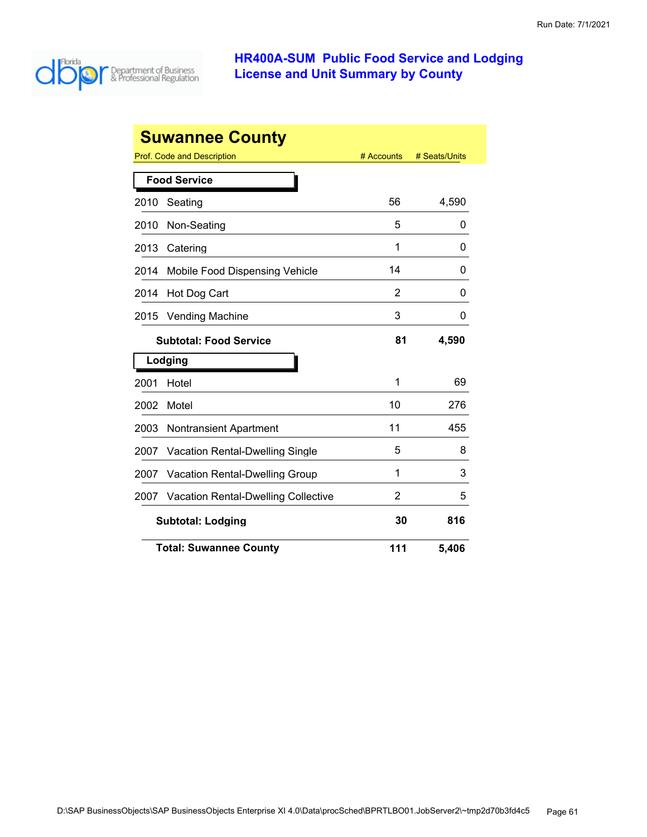

|                                       | <b>Suwannee County</b>                     |                |               |
|---------------------------------------|--------------------------------------------|----------------|---------------|
|                                       | Prof. Code and Description                 | # Accounts     | # Seats/Units |
|                                       | <b>Food Service</b>                        |                |               |
| 2010                                  | Seating                                    | 56             | 4,590         |
| 2010                                  | Non-Seating                                | 5              | 0             |
| 2013                                  | Catering                                   | 1              | 0             |
| 2014                                  | Mobile Food Dispensing Vehicle             | 14             | 0             |
| 2014                                  | Hot Dog Cart                               | 2              | 0             |
| 2015                                  | <b>Vending Machine</b>                     | 3              | 0             |
|                                       | <b>Subtotal: Food Service</b>              | 81             | 4,590         |
|                                       | Lodging                                    |                |               |
| 2001                                  | Hotel                                      | 1              | 69            |
| 2002                                  | Motel                                      | 10             | 276           |
| 2003                                  | <b>Nontransient Apartment</b>              | 11             | 455           |
| 2007                                  | <b>Vacation Rental-Dwelling Single</b>     | 5              | 8             |
| 2007                                  | <b>Vacation Rental-Dwelling Group</b>      | 1              | 3             |
| 2007                                  | <b>Vacation Rental-Dwelling Collective</b> | $\overline{2}$ | 5             |
| <b>Subtotal: Lodging</b><br>30<br>816 |                                            |                |               |
|                                       | <b>Total: Suwannee County</b>              | 111            | 5,406         |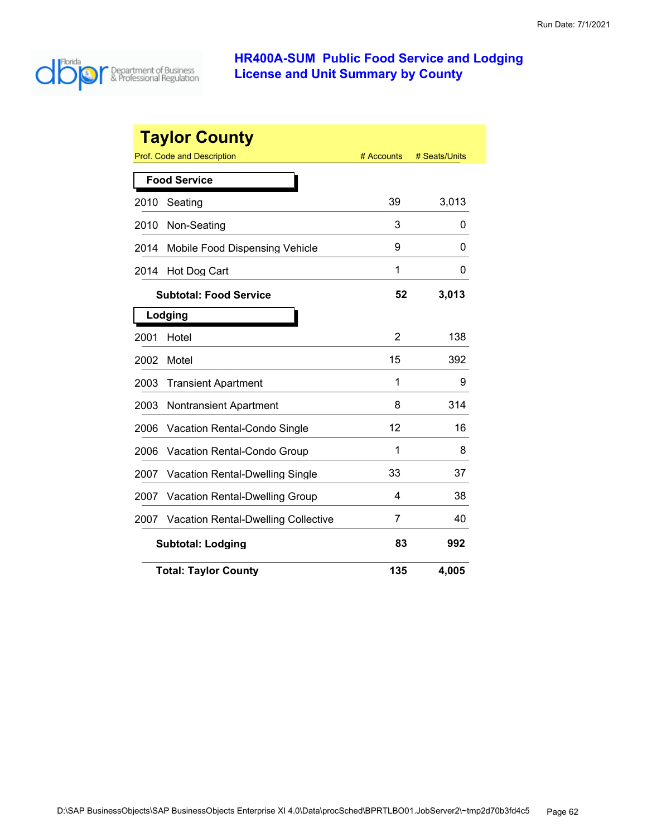

|      | <b>Taylor County</b>                       |                |               |
|------|--------------------------------------------|----------------|---------------|
|      | Prof. Code and Description                 | # Accounts     | # Seats/Units |
|      | <b>Food Service</b>                        |                |               |
| 2010 | Seating                                    | 39             | 3,013         |
| 2010 | Non-Seating                                | 3              | 0             |
| 2014 | Mobile Food Dispensing Vehicle             | 9              | 0             |
| 2014 | Hot Dog Cart                               | 1              | 0             |
|      | <b>Subtotal: Food Service</b>              | 52             | 3,013         |
|      | Lodging                                    |                |               |
| 2001 | Hotel                                      | $\overline{2}$ | 138           |
| 2002 | Motel                                      | 15             | 392           |
| 2003 | <b>Transient Apartment</b>                 | 1              | 9             |
| 2003 | <b>Nontransient Apartment</b>              | 8              | 314           |
| 2006 | <b>Vacation Rental-Condo Single</b>        | 12             | 16            |
| 2006 | Vacation Rental-Condo Group                | 1              | 8             |
| 2007 | <b>Vacation Rental-Dwelling Single</b>     | 33             | 37            |
| 2007 | <b>Vacation Rental-Dwelling Group</b>      | 4              | 38            |
| 2007 | <b>Vacation Rental-Dwelling Collective</b> | 7              | 40            |
|      | <b>Subtotal: Lodging</b>                   | 83             | 992           |
|      | <b>Total: Taylor County</b>                | 135            | 4,005         |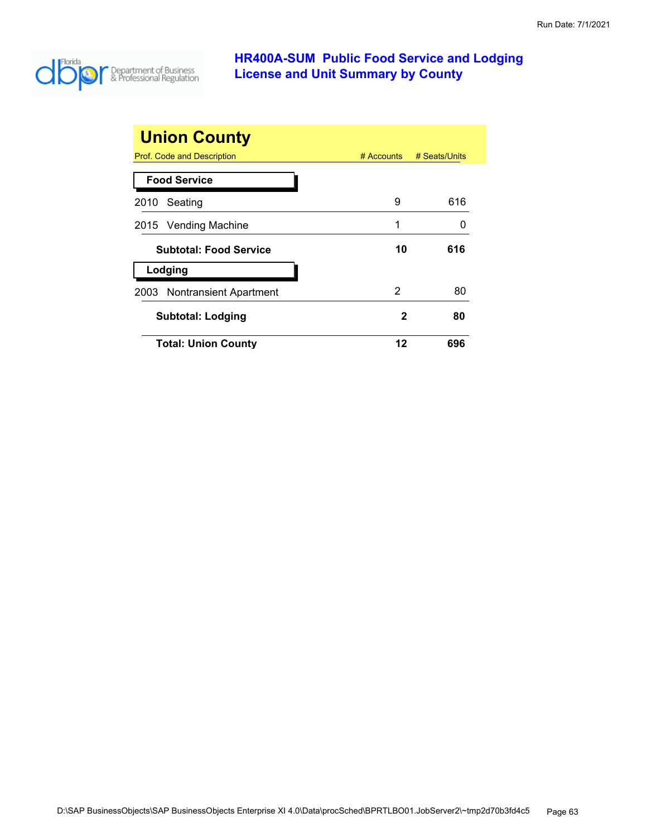

| <b>Union County</b>           |    |                          |
|-------------------------------|----|--------------------------|
| Prof. Code and Description    |    | # Accounts # Seats/Units |
| <b>Food Service</b>           |    |                          |
| 2010 Seating                  | 9  | 616                      |
| 2015 Vending Machine          | 1  |                          |
| <b>Subtotal: Food Service</b> | 10 | 616                      |
| Lodging                       |    |                          |
| 2003 Nontransient Apartment   | 2  | 80                       |
| <b>Subtotal: Lodging</b>      | 2  | 80                       |
| <b>Total: Union County</b>    | 12 | 696                      |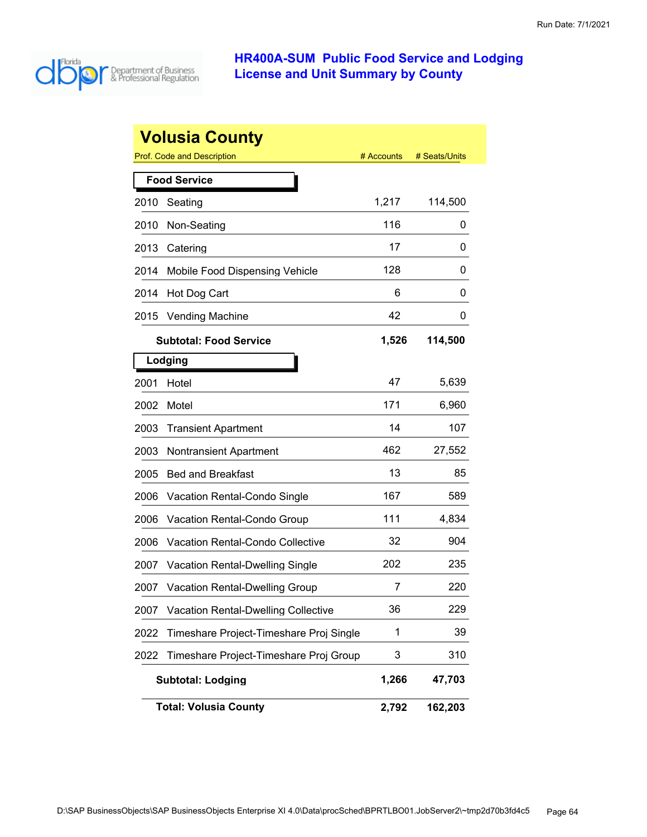

|      | <b>Volusia County</b>                      |            |               |
|------|--------------------------------------------|------------|---------------|
|      | Prof. Code and Description                 | # Accounts | # Seats/Units |
|      | <b>Food Service</b>                        |            |               |
| 2010 | Seating                                    | 1,217      | 114,500       |
| 2010 | Non-Seating                                | 116        | 0             |
| 2013 | Catering                                   | 17         | 0             |
| 2014 | Mobile Food Dispensing Vehicle             | 128        | 0             |
| 2014 | Hot Dog Cart                               | 6          | 0             |
| 2015 | <b>Vending Machine</b>                     | 42         | 0             |
|      | <b>Subtotal: Food Service</b>              | 1,526      | 114,500       |
|      | Lodging                                    |            |               |
| 2001 | Hotel                                      | 47         | 5,639         |
| 2002 | Motel                                      | 171        | 6,960         |
| 2003 | <b>Transient Apartment</b>                 | 14         | 107           |
| 2003 | <b>Nontransient Apartment</b>              | 462        | 27,552        |
| 2005 | <b>Bed and Breakfast</b>                   | 13         | 85            |
| 2006 | Vacation Rental-Condo Single               | 167        | 589           |
| 2006 | Vacation Rental-Condo Group                | 111        | 4,834         |
| 2006 | <b>Vacation Rental-Condo Collective</b>    | 32         | 904           |
| 2007 | <b>Vacation Rental-Dwelling Single</b>     | 202        | 235           |
| 2007 | <b>Vacation Rental-Dwelling Group</b>      | 7          | 220           |
| 2007 | <b>Vacation Rental-Dwelling Collective</b> | 36         | 229           |
| 2022 | Timeshare Project-Timeshare Proj Single    | 1          | 39            |
| 2022 | Timeshare Project-Timeshare Proj Group     | 3          | 310           |
|      | <b>Subtotal: Lodging</b>                   | 1,266      | 47,703        |
|      | <b>Total: Volusia County</b>               | 2,792      | 162,203       |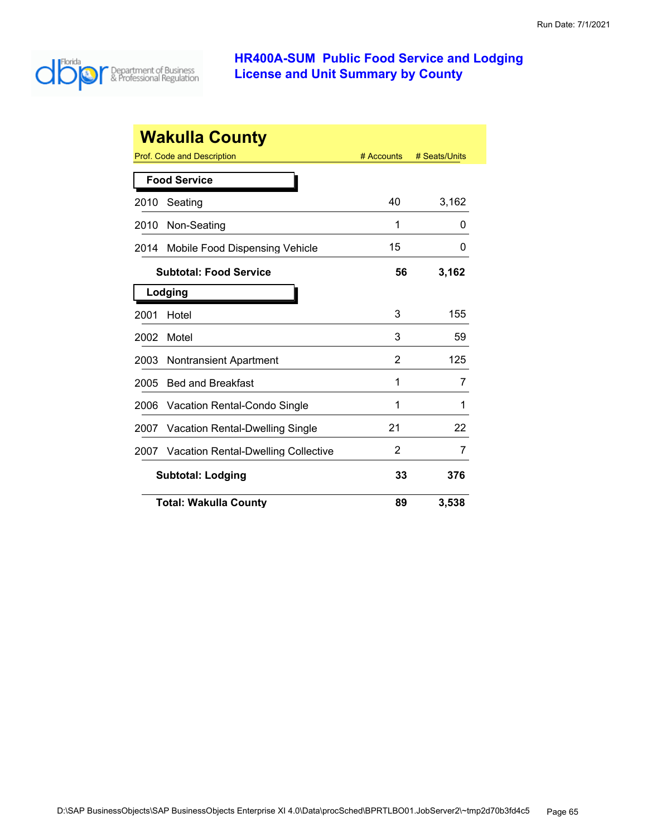

|      | <b>Wakulla County</b>                  |            |               |
|------|----------------------------------------|------------|---------------|
|      | Prof. Code and Description             | # Accounts | # Seats/Units |
|      | <b>Food Service</b>                    |            |               |
| 2010 | Seating                                | 40         | 3,162         |
| 2010 | Non-Seating                            | 1          | 0             |
| 2014 | Mobile Food Dispensing Vehicle         | 15         | O             |
|      | <b>Subtotal: Food Service</b>          | 56         | 3,162         |
|      | Lodging                                |            |               |
| 2001 | Hotel                                  | 3          | 155           |
| 2002 | Motel                                  | 3          | 59            |
| 2003 | <b>Nontransient Apartment</b>          | 2          | 125           |
| 2005 | <b>Bed and Breakfast</b>               | 1          | 7             |
| 2006 | Vacation Rental-Condo Single           | 1          | 1             |
| 2007 | <b>Vacation Rental-Dwelling Single</b> | 21         | 22            |
| 2007 | Vacation Rental-Dwelling Collective    | 2          | 7             |
|      | <b>Subtotal: Lodging</b>               | 33         | 376           |
|      | <b>Total: Wakulla County</b>           | 89         | 3,538         |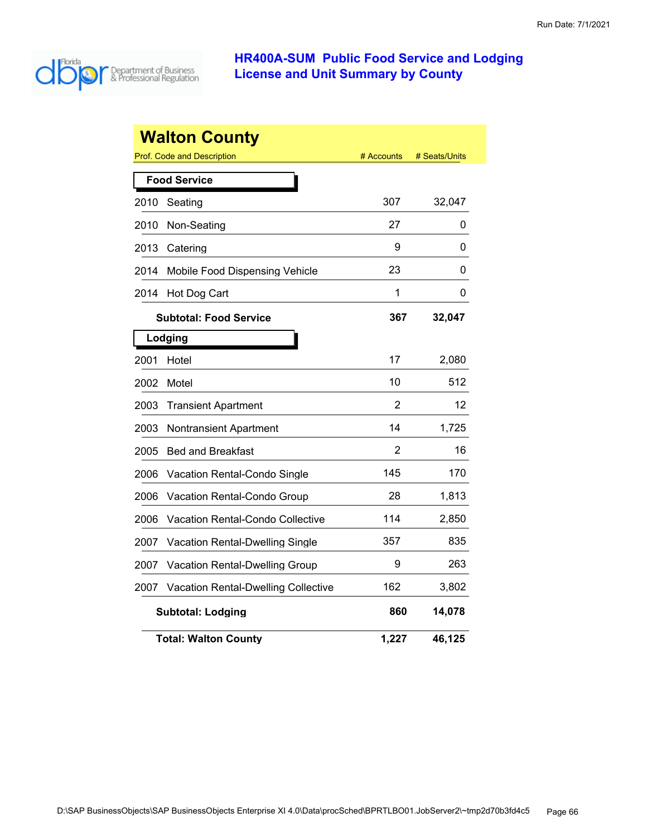

|      | <b>Walton County</b><br><b>Prof. Code and Description</b> | # Accounts     | # Seats/Units |
|------|-----------------------------------------------------------|----------------|---------------|
|      |                                                           |                |               |
|      | <b>Food Service</b>                                       |                |               |
| 2010 | Seating                                                   | 307            | 32,047        |
| 2010 | Non-Seating                                               | 27             | 0             |
| 2013 | Catering                                                  | 9              | 0             |
| 2014 | Mobile Food Dispensing Vehicle                            | 23             | 0             |
| 2014 | Hot Dog Cart                                              | 1              | 0             |
|      | <b>Subtotal: Food Service</b>                             | 367            | 32,047        |
|      | Lodging                                                   |                |               |
| 2001 | Hotel                                                     | 17             | 2,080         |
| 2002 | Motel                                                     | 10             | 512           |
| 2003 | <b>Transient Apartment</b>                                | $\overline{2}$ | 12            |
| 2003 | Nontransient Apartment                                    | 14             | 1,725         |
| 2005 | <b>Bed and Breakfast</b>                                  | 2              | 16            |
| 2006 | Vacation Rental-Condo Single                              | 145            | 170           |
| 2006 | Vacation Rental-Condo Group                               | 28             | 1,813         |
| 2006 | <b>Vacation Rental-Condo Collective</b>                   | 114            | 2,850         |
| 2007 | Vacation Rental-Dwelling Single                           | 357            | 835           |
| 2007 | <b>Vacation Rental-Dwelling Group</b>                     | 9              | 263           |
| 2007 | <b>Vacation Rental-Dwelling Collective</b>                | 162            | 3,802         |
|      | <b>Subtotal: Lodging</b>                                  | 860            | 14,078        |
|      | <b>Total: Walton County</b>                               | 1,227          | 46,125        |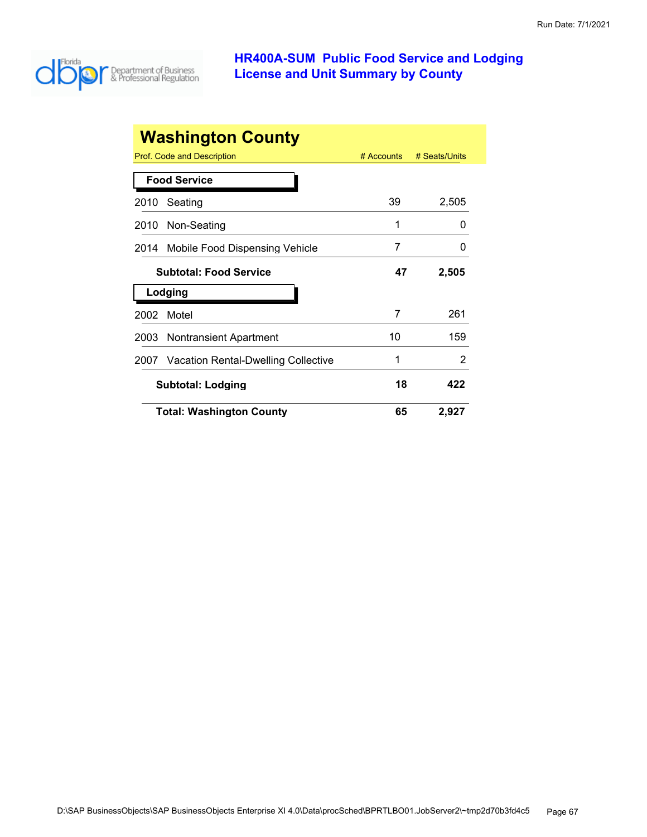

|      | <b>Washington County</b>            |              |               |
|------|-------------------------------------|--------------|---------------|
|      | Prof. Code and Description          | $#$ Accounts | # Seats/Units |
|      | <b>Food Service</b>                 |              |               |
| 2010 | Seating                             | 39           | 2,505         |
| 2010 | Non-Seating                         | 1            | 0             |
| 2014 | Mobile Food Dispensing Vehicle      | 7            | 0             |
|      | <b>Subtotal: Food Service</b>       | 47           | 2,505         |
|      | Lodging                             |              |               |
| 2002 | Motel                               | 7            | 261           |
| 2003 | <b>Nontransient Apartment</b>       | 10           | 159           |
| 2007 | Vacation Rental-Dwelling Collective | 1            | 2             |
|      | <b>Subtotal: Lodging</b>            | 18           | 422           |
|      | <b>Total: Washington County</b>     | 65           | 2,927         |